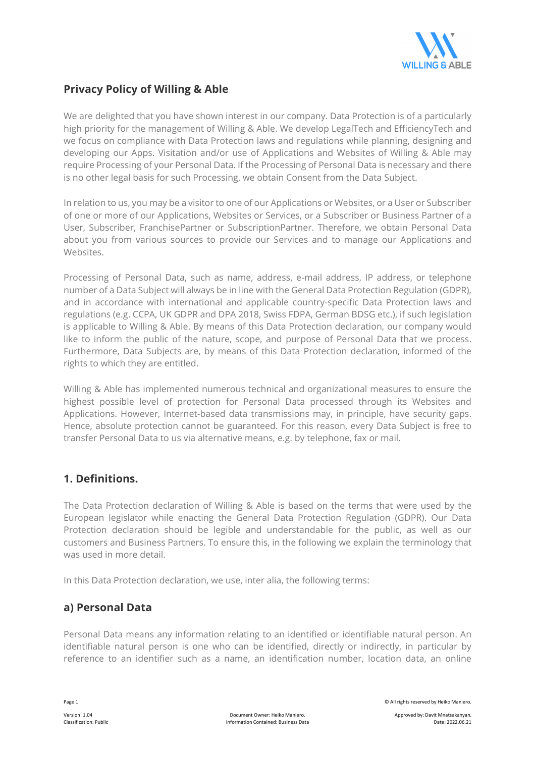

# **Privacy Policy of Willing & Able**

We are delighted that you have shown interest in our company. Data Protection is of a particularly high priority for the management of Willing & Able. We develop LegalTech and EfficiencyTech and we focus on compliance with Data Protection laws and regulations while planning, designing and developing our Apps. Visitation and/or use of Applications and Websites of Willing & Able may require Processing of your Personal Data. If the Processing of Personal Data is necessary and there is no other legal basis for such Processing, we obtain Consent from the Data Subject.

In relation to us, you may be a visitor to one of our Applications or Websites, or a User or Subscriber of one or more of our Applications, Websites or Services, or a Subscriber or Business Partner of a User, Subscriber, FranchisePartner or SubscriptionPartner. Therefore, we obtain Personal Data about you from various sources to provide our Services and to manage our Applications and Websites.

Processing of Personal Data, such as name, address, e-mail address, IP address, or telephone number of a Data Subject will always be in line with the General Data Protection Regulation (GDPR), and in accordance with international and applicable country-specific Data Protection laws and regulations (e.g. CCPA, UK GDPR and DPA 2018, Swiss FDPA, German BDSG etc.), if such legislation is applicable to Willing & Able. By means of this Data Protection declaration, our company would like to inform the public of the nature, scope, and purpose of Personal Data that we process. Furthermore, Data Subjects are, by means of this Data Protection declaration, informed of the rights to which they are entitled.

Willing & Able has implemented numerous technical and organizational measures to ensure the highest possible level of protection for Personal Data processed through its Websites and Applications. However, Internet-based data transmissions may, in principle, have security gaps. Hence, absolute protection cannot be guaranteed. For this reason, every Data Subject is free to transfer Personal Data to us via alternative means, e.g. by telephone, fax or mail.

# **1. Definitions.**

The Data Protection declaration of Willing & Able is based on the terms that were used by the European legislator while enacting the General Data Protection Regulation (GDPR). Our Data Protection declaration should be legible and understandable for the public, as well as our customers and Business Partners. To ensure this, in the following we explain the terminology that was used in more detail.

In this Data Protection declaration, we use, inter alia, the following terms:

## **a) Personal Data**

Personal Data means any information relating to an identified or identifiable natural person. An identifiable natural person is one who can be identified, directly or indirectly, in particular by reference to an identifier such as a name, an identification number, location data, an online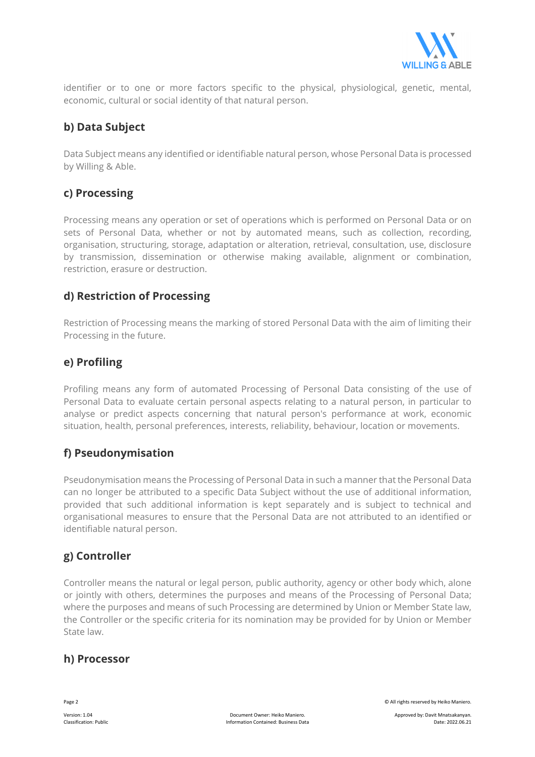

identifier or to one or more factors specific to the physical, physiological, genetic, mental, economic, cultural or social identity of that natural person.

# **b) Data Subject**

Data Subject means any identified or identifiable natural person, whose Personal Data is processed by Willing & Able.

## **c) Processing**

Processing means any operation or set of operations which is performed on Personal Data or on sets of Personal Data, whether or not by automated means, such as collection, recording, organisation, structuring, storage, adaptation or alteration, retrieval, consultation, use, disclosure by transmission, dissemination or otherwise making available, alignment or combination, restriction, erasure or destruction.

## **d) Restriction of Processing**

Restriction of Processing means the marking of stored Personal Data with the aim of limiting their Processing in the future.

## **e) Profiling**

Profiling means any form of automated Processing of Personal Data consisting of the use of Personal Data to evaluate certain personal aspects relating to a natural person, in particular to analyse or predict aspects concerning that natural person's performance at work, economic situation, health, personal preferences, interests, reliability, behaviour, location or movements.

## **f) Pseudonymisation**

Pseudonymisation means the Processing of Personal Data in such a manner that the Personal Data can no longer be attributed to a specific Data Subject without the use of additional information, provided that such additional information is kept separately and is subject to technical and organisational measures to ensure that the Personal Data are not attributed to an identified or identifiable natural person.

# **g) Controller**

Controller means the natural or legal person, public authority, agency or other body which, alone or jointly with others, determines the purposes and means of the Processing of Personal Data; where the purposes and means of such Processing are determined by Union or Member State law, the Controller or the specific criteria for its nomination may be provided for by Union or Member State law.

## **h) Processor**

Page 2 © All rights reserved by Heiko Maniero.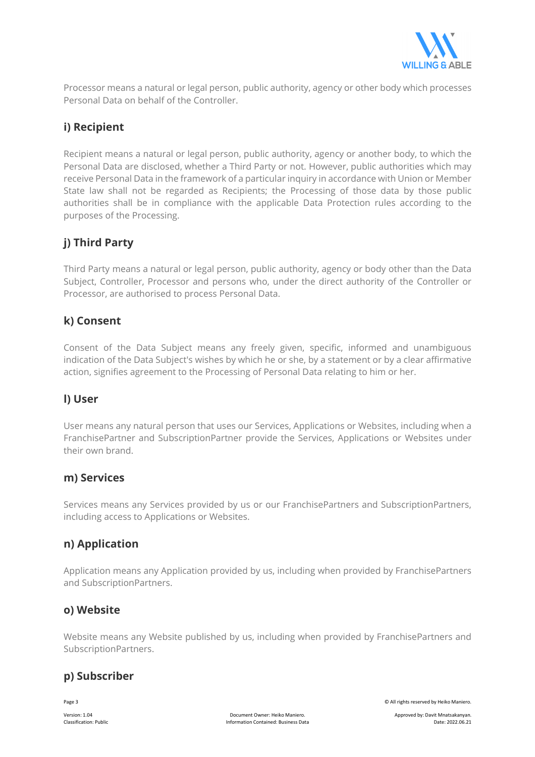

Processor means a natural or legal person, public authority, agency or other body which processes Personal Data on behalf of the Controller.

# **i) Recipient**

Recipient means a natural or legal person, public authority, agency or another body, to which the Personal Data are disclosed, whether a Third Party or not. However, public authorities which may receive Personal Data in the framework of a particular inquiry in accordance with Union or Member State law shall not be regarded as Recipients; the Processing of those data by those public authorities shall be in compliance with the applicable Data Protection rules according to the purposes of the Processing.

# **j) Third Party**

Third Party means a natural or legal person, public authority, agency or body other than the Data Subject, Controller, Processor and persons who, under the direct authority of the Controller or Processor, are authorised to process Personal Data.

# **k) Consent**

Consent of the Data Subject means any freely given, specific, informed and unambiguous indication of the Data Subject's wishes by which he or she, by a statement or by a clear affirmative action, signifies agreement to the Processing of Personal Data relating to him or her.

## **l) User**

User means any natural person that uses our Services, Applications or Websites, including when a FranchisePartner and SubscriptionPartner provide the Services, Applications or Websites under their own brand.

### **m) Services**

Services means any Services provided by us or our FranchisePartners and SubscriptionPartners, including access to Applications or Websites.

## **n) Application**

Application means any Application provided by us, including when provided by FranchisePartners and SubscriptionPartners.

### **o) Website**

Website means any Website published by us, including when provided by FranchisePartners and SubscriptionPartners.

## **p) Subscriber**

Page 3 © All rights reserved by Heiko Maniero.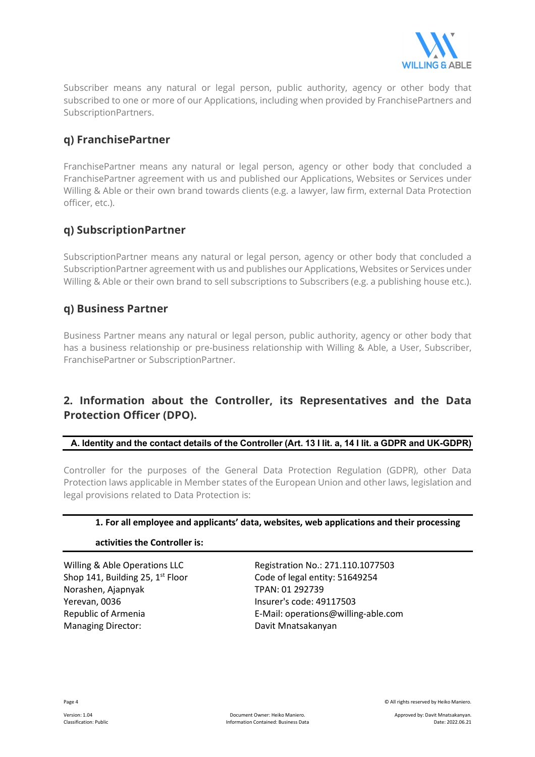

Subscriber means any natural or legal person, public authority, agency or other body that subscribed to one or more of our Applications, including when provided by FranchisePartners and SubscriptionPartners.

# **q) FranchisePartner**

FranchisePartner means any natural or legal person, agency or other body that concluded a FranchisePartner agreement with us and published our Applications, Websites or Services under Willing & Able or their own brand towards clients (e.g. a lawyer, law firm, external Data Protection officer, etc.).

# **q) SubscriptionPartner**

SubscriptionPartner means any natural or legal person, agency or other body that concluded a SubscriptionPartner agreement with us and publishes our Applications, Websites or Services under Willing & Able or their own brand to sell subscriptions to Subscribers (e.g. a publishing house etc.).

# **q) Business Partner**

Business Partner means any natural or legal person, public authority, agency or other body that has a business relationship or pre-business relationship with Willing & Able, a User, Subscriber, FranchisePartner or SubscriptionPartner.

# **2. Information about the Controller, its Representatives and the Data Protection Officer (DPO).**

### **A. Identity and the contact details of the Controller (Art. 13 I lit. a, 14 I lit. a GDPR and UK-GDPR)**

Controller for the purposes of the General Data Protection Regulation (GDPR), other Data Protection laws applicable in Member states of the European Union and other laws, legislation and legal provisions related to Data Protection is:

### **1. For all employee and applicants' data, websites, web applications and their processing**

### **activities the Controller is:**

Shop 141, Building 25,  $1^{st}$  Floor Code of legal entity: 51649254 Norashen, Ajapnyak TPAN: 01 292739 Yerevan, 0036 Insurer's code: 49117503 Managing Director: Davit Mnatsakanyan

Willing & Able Operations LLC Registration No.: 271.110.1077503 Republic of Armenia E-Mail: operations@willing-able.com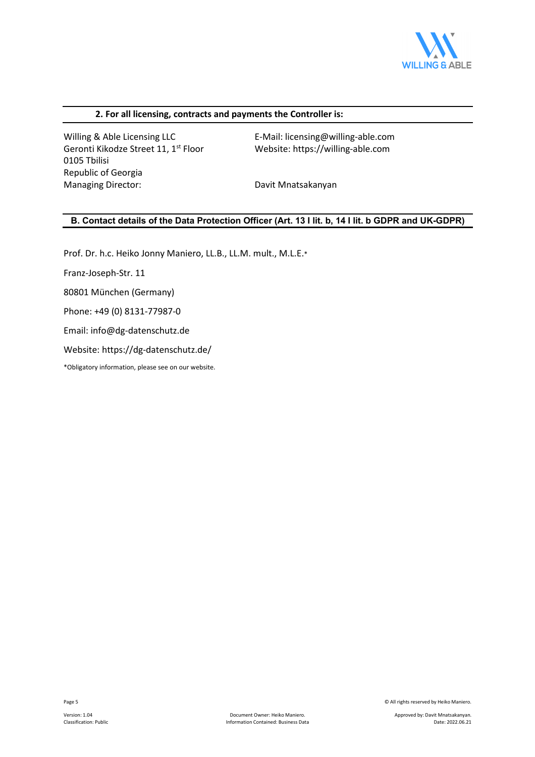

### **2. For all licensing, contracts and payments the Controller is:**

Willing & Able Licensing LLC **E-Mail:** licensing@willing-able.com Geronti Kikodze Street 11, 1<sup>st</sup> Floor Website: https://willing-able.com 0105 Tbilisi Republic of Georgia Managing Director: Davit Mnatsakanyan

#### **B. Contact details of the Data Protection Officer (Art. 13 I lit. b, 14 I lit. b GDPR and UK-GDPR)**

Prof. Dr. h.c. Heiko Jonny Maniero, LL.B., LL.M. mult., M.L.E.\*

Franz-Joseph-Str. 11

80801 München (Germany)

Phone: +49 (0) 8131-77987-0

Email: info@dg-datenschutz.de

Website: https://dg-datenschutz.de/

\*Obligatory information, please see on our website.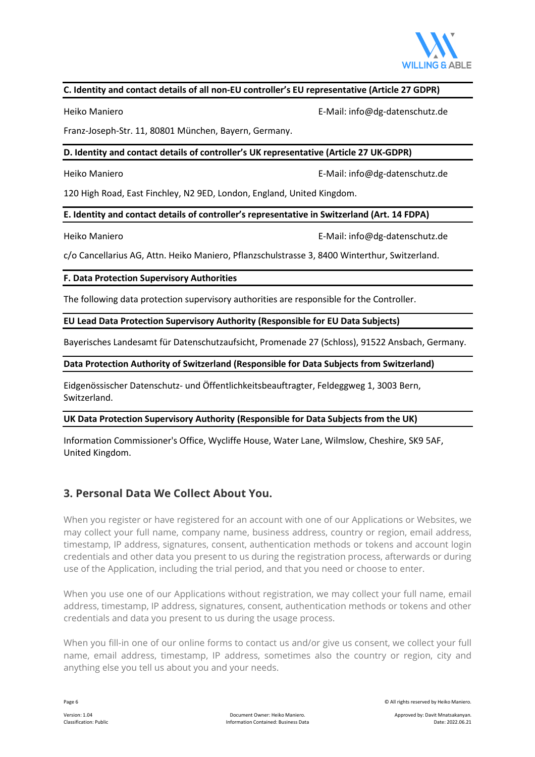

### **C. Identity and contact details of all non-EU controller's EU representative (Article 27 GDPR)**

Heiko Maniero E-Mail: info@dg-datenschutz.de

Franz-Joseph-Str. 11, 80801 München, Bayern, Germany.

### **D. Identity and contact details of controller's UK representative (Article 27 UK-GDPR)**

Heiko Maniero E-Mail: info@dg-datenschutz.de

120 High Road, East Finchley, N2 9ED, London, England, United Kingdom.

### **E. Identity and contact details of controller's representative in Switzerland (Art. 14 FDPA)**

Heiko Maniero E-Mail: info@dg-datenschutz.de

c/o Cancellarius AG, Attn. Heiko Maniero, Pflanzschulstrasse 3, 8400 Winterthur, Switzerland.

### **F. Data Protection Supervisory Authorities**

The following data protection supervisory authorities are responsible for the Controller.

### **EU Lead Data Protection Supervisory Authority (Responsible for EU Data Subjects)**

Bayerisches Landesamt für Datenschutzaufsicht, Promenade 27 (Schloss), 91522 Ansbach, Germany.

### **Data Protection Authority of Switzerland (Responsible for Data Subjects from Switzerland)**

Eidgenössischer Datenschutz- und Öffentlichkeitsbeauftragter, Feldeggweg 1, 3003 Bern, Switzerland.

### **UK Data Protection Supervisory Authority (Responsible for Data Subjects from the UK)**

Information Commissioner's Office, Wycliffe House, Water Lane, Wilmslow, Cheshire, SK9 5AF, United Kingdom.

## **3. Personal Data We Collect About You.**

When you register or have registered for an account with one of our Applications or Websites, we may collect your full name, company name, business address, country or region, email address, timestamp, IP address, signatures, consent, authentication methods or tokens and account login credentials and other data you present to us during the registration process, afterwards or during use of the Application, including the trial period, and that you need or choose to enter.

When you use one of our Applications without registration, we may collect your full name, email address, timestamp, IP address, signatures, consent, authentication methods or tokens and other credentials and data you present to us during the usage process.

When you fill-in one of our online forms to contact us and/or give us consent, we collect your full name, email address, timestamp, IP address, sometimes also the country or region, city and anything else you tell us about you and your needs.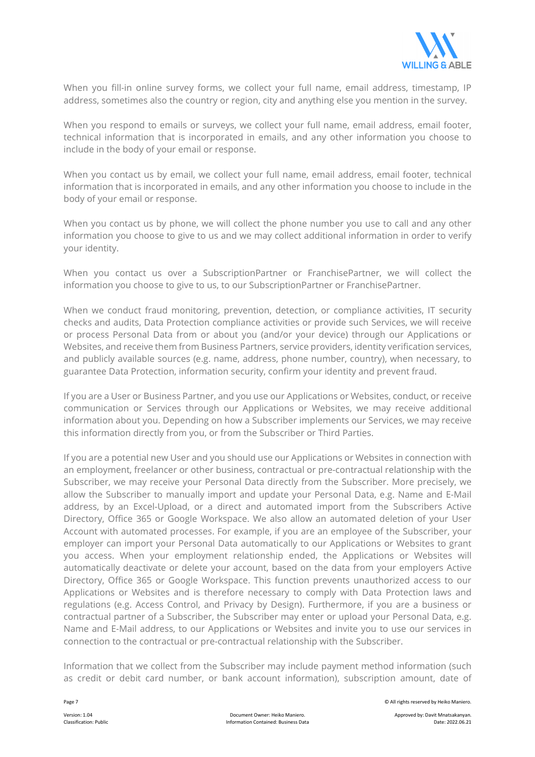

When you fill-in online survey forms, we collect your full name, email address, timestamp, IP address, sometimes also the country or region, city and anything else you mention in the survey.

When you respond to emails or surveys, we collect your full name, email address, email footer, technical information that is incorporated in emails, and any other information you choose to include in the body of your email or response.

When you contact us by email, we collect your full name, email address, email footer, technical information that is incorporated in emails, and any other information you choose to include in the body of your email or response.

When you contact us by phone, we will collect the phone number you use to call and any other information you choose to give to us and we may collect additional information in order to verify your identity.

When you contact us over a SubscriptionPartner or FranchisePartner, we will collect the information you choose to give to us, to our SubscriptionPartner or FranchisePartner.

When we conduct fraud monitoring, prevention, detection, or compliance activities, IT security checks and audits, Data Protection compliance activities or provide such Services, we will receive or process Personal Data from or about you (and/or your device) through our Applications or Websites, and receive them from Business Partners, service providers, identity verification services, and publicly available sources (e.g. name, address, phone number, country), when necessary, to guarantee Data Protection, information security, confirm your identity and prevent fraud.

If you are a User or Business Partner, and you use our Applications or Websites, conduct, or receive communication or Services through our Applications or Websites, we may receive additional information about you. Depending on how a Subscriber implements our Services, we may receive this information directly from you, or from the Subscriber or Third Parties.

If you are a potential new User and you should use our Applications or Websites in connection with an employment, freelancer or other business, contractual or pre-contractual relationship with the Subscriber, we may receive your Personal Data directly from the Subscriber. More precisely, we allow the Subscriber to manually import and update your Personal Data, e.g. Name and E-Mail address, by an Excel-Upload, or a direct and automated import from the Subscribers Active Directory, Office 365 or Google Workspace. We also allow an automated deletion of your User Account with automated processes. For example, if you are an employee of the Subscriber, your employer can import your Personal Data automatically to our Applications or Websites to grant you access. When your employment relationship ended, the Applications or Websites will automatically deactivate or delete your account, based on the data from your employers Active Directory, Office 365 or Google Workspace. This function prevents unauthorized access to our Applications or Websites and is therefore necessary to comply with Data Protection laws and regulations (e.g. Access Control, and Privacy by Design). Furthermore, if you are a business or contractual partner of a Subscriber, the Subscriber may enter or upload your Personal Data, e.g. Name and E-Mail address, to our Applications or Websites and invite you to use our services in connection to the contractual or pre-contractual relationship with the Subscriber.

Information that we collect from the Subscriber may include payment method information (such as credit or debit card number, or bank account information), subscription amount, date of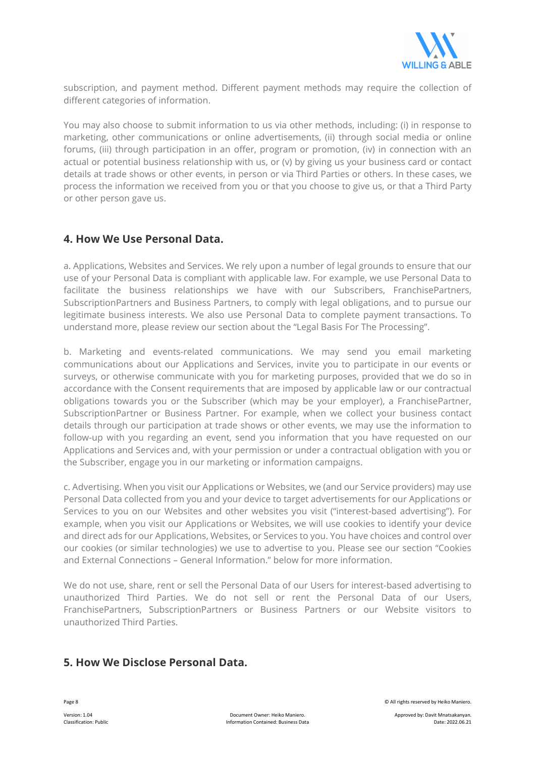

subscription, and payment method. Different payment methods may require the collection of different categories of information.

You may also choose to submit information to us via other methods, including: (i) in response to marketing, other communications or online advertisements, (ii) through social media or online forums, (iii) through participation in an offer, program or promotion, (iv) in connection with an actual or potential business relationship with us, or (v) by giving us your business card or contact details at trade shows or other events, in person or via Third Parties or others. In these cases, we process the information we received from you or that you choose to give us, or that a Third Party or other person gave us.

## **4. How We Use Personal Data.**

a. Applications, Websites and Services. We rely upon a number of legal grounds to ensure that our use of your Personal Data is compliant with applicable law. For example, we use Personal Data to facilitate the business relationships we have with our Subscribers, FranchisePartners, SubscriptionPartners and Business Partners, to comply with legal obligations, and to pursue our legitimate business interests. We also use Personal Data to complete payment transactions. To understand more, please review our section about the "Legal Basis For The Processing".

b. Marketing and events-related communications. We may send you email marketing communications about our Applications and Services, invite you to participate in our events or surveys, or otherwise communicate with you for marketing purposes, provided that we do so in accordance with the Consent requirements that are imposed by applicable law or our contractual obligations towards you or the Subscriber (which may be your employer), a FranchisePartner, SubscriptionPartner or Business Partner. For example, when we collect your business contact details through our participation at trade shows or other events, we may use the information to follow-up with you regarding an event, send you information that you have requested on our Applications and Services and, with your permission or under a contractual obligation with you or the Subscriber, engage you in our marketing or information campaigns.

c. Advertising. When you visit our Applications or Websites, we (and our Service providers) may use Personal Data collected from you and your device to target advertisements for our Applications or Services to you on our Websites and other websites you visit ("interest-based advertising"). For example, when you visit our Applications or Websites, we will use cookies to identify your device and direct ads for our Applications, Websites, or Services to you. You have choices and control over our cookies (or similar technologies) we use to advertise to you. Please see our section "Cookies and External Connections – General Information." below for more information.

We do not use, share, rent or sell the Personal Data of our Users for interest-based advertising to unauthorized Third Parties. We do not sell or rent the Personal Data of our Users, FranchisePartners, SubscriptionPartners or Business Partners or our Website visitors to unauthorized Third Parties.

### **5. How We Disclose Personal Data.**

Page 8 © All rights reserved by Heiko Maniero.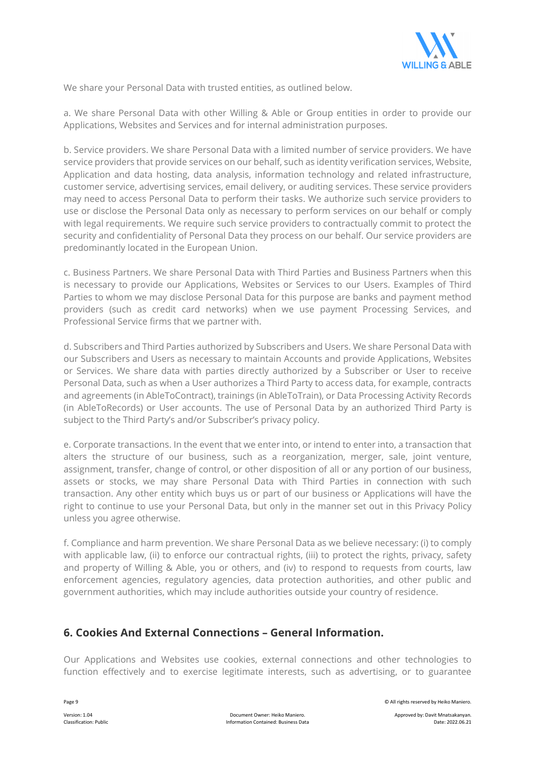

We share your Personal Data with trusted entities, as outlined below.

a. We share Personal Data with other Willing & Able or Group entities in order to provide our Applications, Websites and Services and for internal administration purposes.

b. Service providers. We share Personal Data with a limited number of service providers. We have service providers that provide services on our behalf, such as identity verification services, Website, Application and data hosting, data analysis, information technology and related infrastructure, customer service, advertising services, email delivery, or auditing services. These service providers may need to access Personal Data to perform their tasks. We authorize such service providers to use or disclose the Personal Data only as necessary to perform services on our behalf or comply with legal requirements. We require such service providers to contractually commit to protect the security and confidentiality of Personal Data they process on our behalf. Our service providers are predominantly located in the European Union.

c. Business Partners. We share Personal Data with Third Parties and Business Partners when this is necessary to provide our Applications, Websites or Services to our Users. Examples of Third Parties to whom we may disclose Personal Data for this purpose are banks and payment method providers (such as credit card networks) when we use payment Processing Services, and Professional Service firms that we partner with.

d. Subscribers and Third Parties authorized by Subscribers and Users. We share Personal Data with our Subscribers and Users as necessary to maintain Accounts and provide Applications, Websites or Services. We share data with parties directly authorized by a Subscriber or User to receive Personal Data, such as when a User authorizes a Third Party to access data, for example, contracts and agreements (in AbleToContract), trainings (in AbleToTrain), or Data Processing Activity Records (in AbleToRecords) or User accounts. The use of Personal Data by an authorized Third Party is subject to the Third Party's and/or Subscriber's privacy policy.

e. Corporate transactions. In the event that we enter into, or intend to enter into, a transaction that alters the structure of our business, such as a reorganization, merger, sale, joint venture, assignment, transfer, change of control, or other disposition of all or any portion of our business, assets or stocks, we may share Personal Data with Third Parties in connection with such transaction. Any other entity which buys us or part of our business or Applications will have the right to continue to use your Personal Data, but only in the manner set out in this Privacy Policy unless you agree otherwise.

f. Compliance and harm prevention. We share Personal Data as we believe necessary: (i) to comply with applicable law, (ii) to enforce our contractual rights, (iii) to protect the rights, privacy, safety and property of Willing & Able, you or others, and (iv) to respond to requests from courts, law enforcement agencies, regulatory agencies, data protection authorities, and other public and government authorities, which may include authorities outside your country of residence.

## **6. Cookies And External Connections – General Information.**

Our Applications and Websites use cookies, external connections and other technologies to function effectively and to exercise legitimate interests, such as advertising, or to guarantee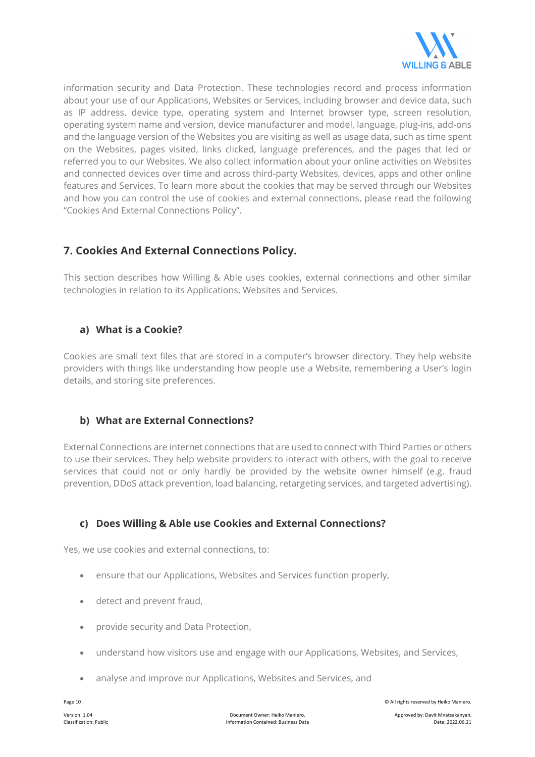

information security and Data Protection. These technologies record and process information about your use of our Applications, Websites or Services, including browser and device data, such as IP address, device type, operating system and Internet browser type, screen resolution, operating system name and version, device manufacturer and model, language, plug-ins, add-ons and the language version of the Websites you are visiting as well as usage data, such as time spent on the Websites, pages visited, links clicked, language preferences, and the pages that led or referred you to our Websites. We also collect information about your online activities on Websites and connected devices over time and across third-party Websites, devices, apps and other online features and Services. To learn more about the cookies that may be served through our Websites and how you can control the use of cookies and external connections, please read the following "Cookies And External Connections Policy".

# **7. Cookies And External Connections Policy.**

This section describes how Willing & Able uses cookies, external connections and other similar technologies in relation to its Applications, Websites and Services.

### **a) What is a Cookie?**

Cookies are small text files that are stored in a computer's browser directory. They help website providers with things like understanding how people use a Website, remembering a User's login details, and storing site preferences.

### **b) What are External Connections?**

External Connections are internet connections that are used to connect with Third Parties or others to use their services. They help website providers to interact with others, with the goal to receive services that could not or only hardly be provided by the website owner himself (e.g. fraud prevention, DDoS attack prevention, load balancing, retargeting services, and targeted advertising).

## **c) Does Willing & Able use Cookies and External Connections?**

Yes, we use cookies and external connections, to:

- ensure that our Applications, Websites and Services function properly,
- detect and prevent fraud,
- provide security and Data Protection,
- understand how visitors use and engage with our Applications, Websites, and Services,
- analyse and improve our Applications, Websites and Services, and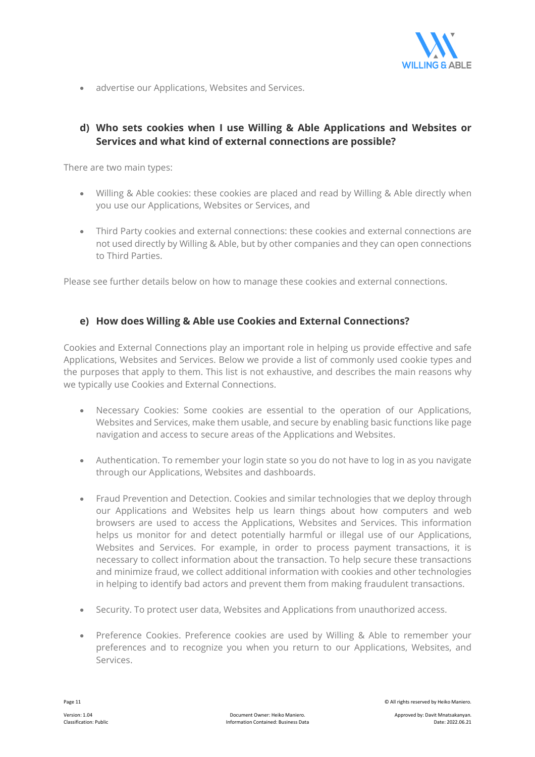

advertise our Applications, Websites and Services.

### **d) Who sets cookies when I use Willing & Able Applications and Websites or Services and what kind of external connections are possible?**

There are two main types:

- Willing & Able cookies: these cookies are placed and read by Willing & Able directly when you use our Applications, Websites or Services, and
- Third Party cookies and external connections: these cookies and external connections are not used directly by Willing & Able, but by other companies and they can open connections to Third Parties.

Please see further details below on how to manage these cookies and external connections.

### **e) How does Willing & Able use Cookies and External Connections?**

Cookies and External Connections play an important role in helping us provide effective and safe Applications, Websites and Services. Below we provide a list of commonly used cookie types and the purposes that apply to them. This list is not exhaustive, and describes the main reasons why we typically use Cookies and External Connections.

- Necessary Cookies: Some cookies are essential to the operation of our Applications, Websites and Services, make them usable, and secure by enabling basic functions like page navigation and access to secure areas of the Applications and Websites.
- Authentication. To remember your login state so you do not have to log in as you navigate through our Applications, Websites and dashboards.
- Fraud Prevention and Detection. Cookies and similar technologies that we deploy through our Applications and Websites help us learn things about how computers and web browsers are used to access the Applications, Websites and Services. This information helps us monitor for and detect potentially harmful or illegal use of our Applications, Websites and Services. For example, in order to process payment transactions, it is necessary to collect information about the transaction. To help secure these transactions and minimize fraud, we collect additional information with cookies and other technologies in helping to identify bad actors and prevent them from making fraudulent transactions.
- Security. To protect user data, Websites and Applications from unauthorized access.
- Preference Cookies. Preference cookies are used by Willing & Able to remember your preferences and to recognize you when you return to our Applications, Websites, and Services.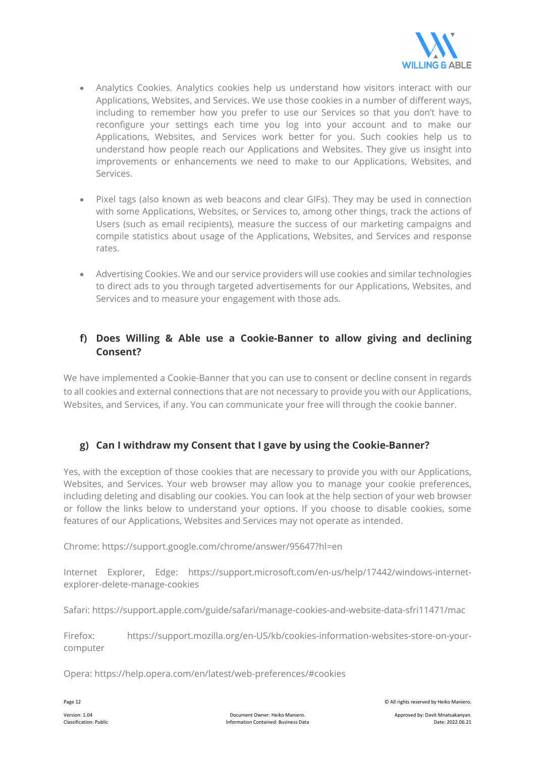

- Analytics Cookies. Analytics cookies help us understand how visitors interact with our Applications, Websites, and Services. We use those cookies in a number of different ways, including to remember how you prefer to use our Services so that you don't have to reconfigure your settings each time you log into your account and to make our Applications, Websites, and Services work better for you. Such cookies help us to understand how people reach our Applications and Websites. They give us insight into improvements or enhancements we need to make to our Applications, Websites, and Services.
- Pixel tags (also known as web beacons and clear GIFs). They may be used in connection with some Applications, Websites, or Services to, among other things, track the actions of Users (such as email recipients), measure the success of our marketing campaigns and compile statistics about usage of the Applications, Websites, and Services and response rates.
- Advertising Cookies. We and our service providers will use cookies and similar technologies to direct ads to you through targeted advertisements for our Applications, Websites, and Services and to measure your engagement with those ads.

### **f) Does Willing & Able use a Cookie-Banner to allow giving and declining Consent?**

We have implemented a Cookie-Banner that you can use to consent or decline consent in regards to all cookies and external connections that are not necessary to provide you with our Applications, Websites, and Services, if any. You can communicate your free will through the cookie banner.

## **g) Can I withdraw my Consent that I gave by using the Cookie-Banner?**

Yes, with the exception of those cookies that are necessary to provide you with our Applications, Websites, and Services. Your web browser may allow you to manage your cookie preferences, including deleting and disabling our cookies. You can look at the help section of your web browser or follow the links below to understand your options. If you choose to disable cookies, some features of our Applications, Websites and Services may not operate as intended.

Chrome: https://support.google.com/chrome/answer/95647?hl=en

Internet Explorer, Edge: https://support.microsoft.com/en-us/help/17442/windows-internetexplorer-delete-manage-cookies

Safari: https://support.apple.com/guide/safari/manage-cookies-and-website-data-sfri11471/mac

Firefox: https://support.mozilla.org/en-US/kb/cookies-information-websites-store-on-yourcomputer

Opera: https://help.opera.com/en/latest/web-preferences/#cookies

Page 12 © All rights reserved by Heiko Maniero.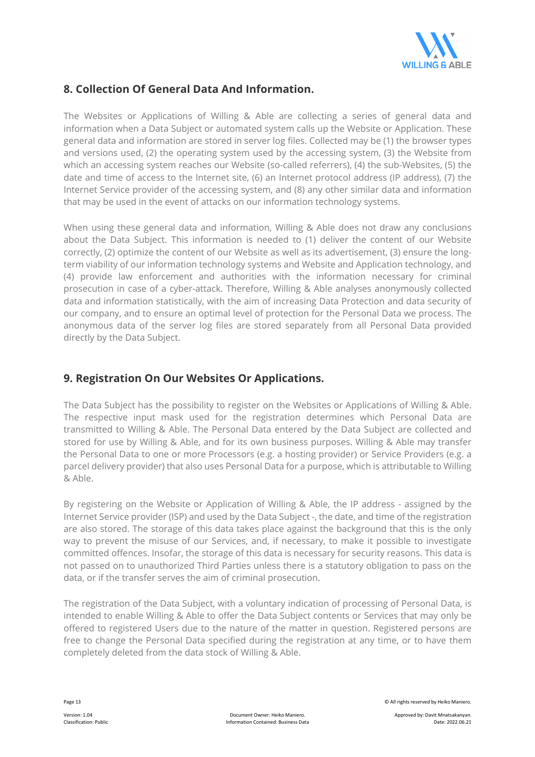

# **8. Collection Of General Data And Information.**

The Websites or Applications of Willing & Able are collecting a series of general data and information when a Data Subject or automated system calls up the Website or Application. These general data and information are stored in server log files. Collected may be (1) the browser types and versions used, (2) the operating system used by the accessing system, (3) the Website from which an accessing system reaches our Website (so-called referrers), (4) the sub-Websites, (5) the date and time of access to the Internet site, (6) an Internet protocol address (IP address), (7) the Internet Service provider of the accessing system, and (8) any other similar data and information that may be used in the event of attacks on our information technology systems.

When using these general data and information, Willing & Able does not draw any conclusions about the Data Subject. This information is needed to (1) deliver the content of our Website correctly, (2) optimize the content of our Website as well as its advertisement, (3) ensure the longterm viability of our information technology systems and Website and Application technology, and (4) provide law enforcement and authorities with the information necessary for criminal prosecution in case of a cyber-attack. Therefore, Willing & Able analyses anonymously collected data and information statistically, with the aim of increasing Data Protection and data security of our company, and to ensure an optimal level of protection for the Personal Data we process. The anonymous data of the server log files are stored separately from all Personal Data provided directly by the Data Subject.

# **9. Registration On Our Websites Or Applications.**

The Data Subject has the possibility to register on the Websites or Applications of Willing & Able. The respective input mask used for the registration determines which Personal Data are transmitted to Willing & Able. The Personal Data entered by the Data Subject are collected and stored for use by Willing & Able, and for its own business purposes. Willing & Able may transfer the Personal Data to one or more Processors (e.g. a hosting provider) or Service Providers (e.g. a parcel delivery provider) that also uses Personal Data for a purpose, which is attributable to Willing & Able.

By registering on the Website or Application of Willing & Able, the IP address - assigned by the Internet Service provider (ISP) and used by the Data Subject -, the date, and time of the registration are also stored. The storage of this data takes place against the background that this is the only way to prevent the misuse of our Services, and, if necessary, to make it possible to investigate committed offences. Insofar, the storage of this data is necessary for security reasons. This data is not passed on to unauthorized Third Parties unless there is a statutory obligation to pass on the data, or if the transfer serves the aim of criminal prosecution.

The registration of the Data Subject, with a voluntary indication of processing of Personal Data, is intended to enable Willing & Able to offer the Data Subject contents or Services that may only be offered to registered Users due to the nature of the matter in question. Registered persons are free to change the Personal Data specified during the registration at any time, or to have them completely deleted from the data stock of Willing & Able.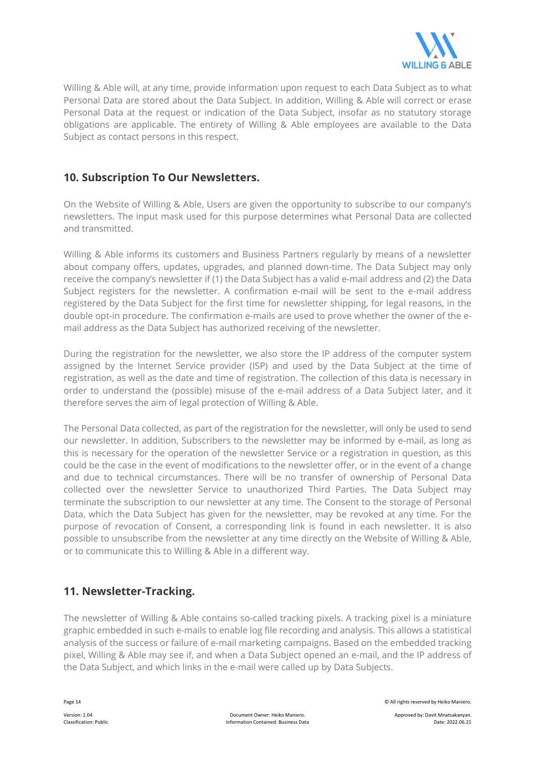

Willing & Able will, at any time, provide information upon request to each Data Subject as to what Personal Data are stored about the Data Subject. In addition, Willing & Able will correct or erase Personal Data at the request or indication of the Data Subject, insofar as no statutory storage obligations are applicable. The entirety of Willing & Able employees are available to the Data Subject as contact persons in this respect.

### **10. Subscription To Our Newsletters.**

On the Website of Willing & Able, Users are given the opportunity to subscribe to our company's newsletters. The input mask used for this purpose determines what Personal Data are collected and transmitted.

Willing & Able informs its customers and Business Partners regularly by means of a newsletter about company offers, updates, upgrades, and planned down-time. The Data Subject may only receive the company's newsletter if (1) the Data Subject has a valid e-mail address and (2) the Data Subject registers for the newsletter. A confirmation e-mail will be sent to the e-mail address registered by the Data Subject for the first time for newsletter shipping, for legal reasons, in the double opt-in procedure. The confirmation e-mails are used to prove whether the owner of the email address as the Data Subject has authorized receiving of the newsletter.

During the registration for the newsletter, we also store the IP address of the computer system assigned by the Internet Service provider (ISP) and used by the Data Subject at the time of registration, as well as the date and time of registration. The collection of this data is necessary in order to understand the (possible) misuse of the e-mail address of a Data Subject later, and it therefore serves the aim of legal protection of Willing & Able.

The Personal Data collected, as part of the registration for the newsletter, will only be used to send our newsletter. In addition, Subscribers to the newsletter may be informed by e-mail, as long as this is necessary for the operation of the newsletter Service or a registration in question, as this could be the case in the event of modifications to the newsletter offer, or in the event of a change and due to technical circumstances. There will be no transfer of ownership of Personal Data collected over the newsletter Service to unauthorized Third Parties. The Data Subject may terminate the subscription to our newsletter at any time. The Consent to the storage of Personal Data, which the Data Subject has given for the newsletter, may be revoked at any time. For the purpose of revocation of Consent, a corresponding link is found in each newsletter. It is also possible to unsubscribe from the newsletter at any time directly on the Website of Willing & Able, or to communicate this to Willing & Able in a different way.

## **11. Newsletter-Tracking.**

The newsletter of Willing & Able contains so-called tracking pixels. A tracking pixel is a miniature graphic embedded in such e-mails to enable log file recording and analysis. This allows a statistical analysis of the success or failure of e-mail marketing campaigns. Based on the embedded tracking pixel, Willing & Able may see if, and when a Data Subject opened an e-mail, and the IP address of the Data Subject, and which links in the e-mail were called up by Data Subjects.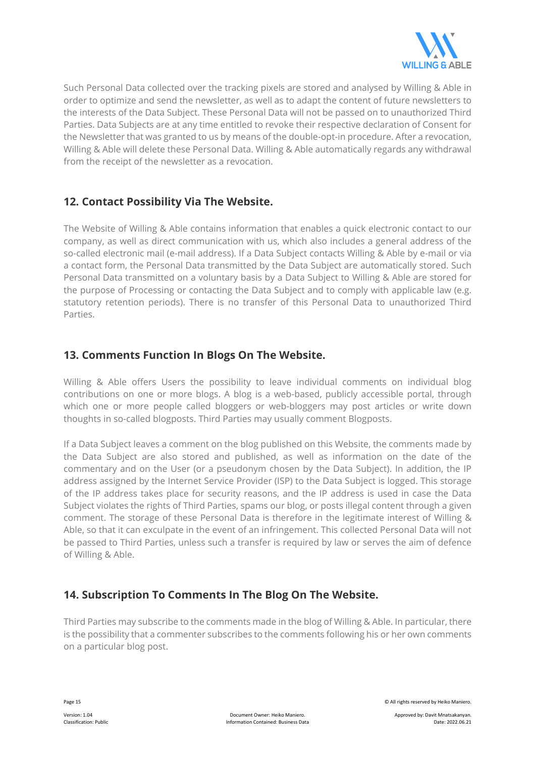

Such Personal Data collected over the tracking pixels are stored and analysed by Willing & Able in order to optimize and send the newsletter, as well as to adapt the content of future newsletters to the interests of the Data Subject. These Personal Data will not be passed on to unauthorized Third Parties. Data Subjects are at any time entitled to revoke their respective declaration of Consent for the Newsletter that was granted to us by means of the double-opt-in procedure. After a revocation, Willing & Able will delete these Personal Data. Willing & Able automatically regards any withdrawal from the receipt of the newsletter as a revocation.

# **12. Contact Possibility Via The Website.**

The Website of Willing & Able contains information that enables a quick electronic contact to our company, as well as direct communication with us, which also includes a general address of the so-called electronic mail (e-mail address). If a Data Subject contacts Willing & Able by e-mail or via a contact form, the Personal Data transmitted by the Data Subject are automatically stored. Such Personal Data transmitted on a voluntary basis by a Data Subject to Willing & Able are stored for the purpose of Processing or contacting the Data Subject and to comply with applicable law (e.g. statutory retention periods). There is no transfer of this Personal Data to unauthorized Third **Parties** 

# **13. Comments Function In Blogs On The Website.**

Willing & Able offers Users the possibility to leave individual comments on individual blog contributions on one or more blogs. A blog is a web-based, publicly accessible portal, through which one or more people called bloggers or web-bloggers may post articles or write down thoughts in so-called blogposts. Third Parties may usually comment Blogposts.

If a Data Subject leaves a comment on the blog published on this Website, the comments made by the Data Subject are also stored and published, as well as information on the date of the commentary and on the User (or a pseudonym chosen by the Data Subject). In addition, the IP address assigned by the Internet Service Provider (ISP) to the Data Subject is logged. This storage of the IP address takes place for security reasons, and the IP address is used in case the Data Subject violates the rights of Third Parties, spams our blog, or posts illegal content through a given comment. The storage of these Personal Data is therefore in the legitimate interest of Willing & Able, so that it can exculpate in the event of an infringement. This collected Personal Data will not be passed to Third Parties, unless such a transfer is required by law or serves the aim of defence of Willing & Able.

# **14. Subscription To Comments In The Blog On The Website.**

Third Parties may subscribe to the comments made in the blog of Willing & Able. In particular, there is the possibility that a commenter subscribes to the comments following his or her own comments on a particular blog post.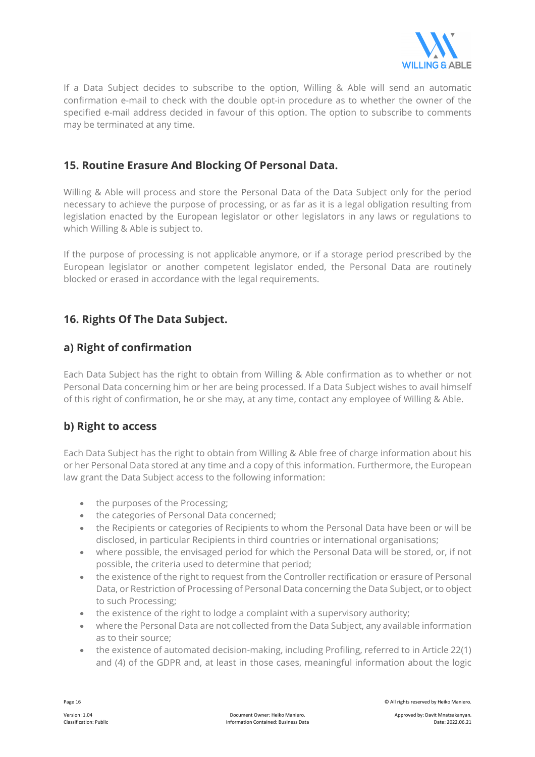

If a Data Subject decides to subscribe to the option, Willing & Able will send an automatic confirmation e-mail to check with the double opt-in procedure as to whether the owner of the specified e-mail address decided in favour of this option. The option to subscribe to comments may be terminated at any time.

# **15. Routine Erasure And Blocking Of Personal Data.**

Willing & Able will process and store the Personal Data of the Data Subject only for the period necessary to achieve the purpose of processing, or as far as it is a legal obligation resulting from legislation enacted by the European legislator or other legislators in any laws or regulations to which Willing & Able is subject to.

If the purpose of processing is not applicable anymore, or if a storage period prescribed by the European legislator or another competent legislator ended, the Personal Data are routinely blocked or erased in accordance with the legal requirements.

## **16. Rights Of The Data Subject.**

## **a) Right of confirmation**

Each Data Subject has the right to obtain from Willing & Able confirmation as to whether or not Personal Data concerning him or her are being processed. If a Data Subject wishes to avail himself of this right of confirmation, he or she may, at any time, contact any employee of Willing & Able.

## **b) Right to access**

Each Data Subject has the right to obtain from Willing & Able free of charge information about his or her Personal Data stored at any time and a copy of this information. Furthermore, the European law grant the Data Subject access to the following information:

- the purposes of the Processing;
- the categories of Personal Data concerned;
- the Recipients or categories of Recipients to whom the Personal Data have been or will be disclosed, in particular Recipients in third countries or international organisations;
- where possible, the envisaged period for which the Personal Data will be stored, or, if not possible, the criteria used to determine that period;
- the existence of the right to request from the Controller rectification or erasure of Personal Data, or Restriction of Processing of Personal Data concerning the Data Subject, or to object to such Processing;
- the existence of the right to lodge a complaint with a supervisory authority;
- where the Personal Data are not collected from the Data Subject, any available information as to their source;
- the existence of automated decision-making, including Profiling, referred to in Article 22(1) and (4) of the GDPR and, at least in those cases, meaningful information about the logic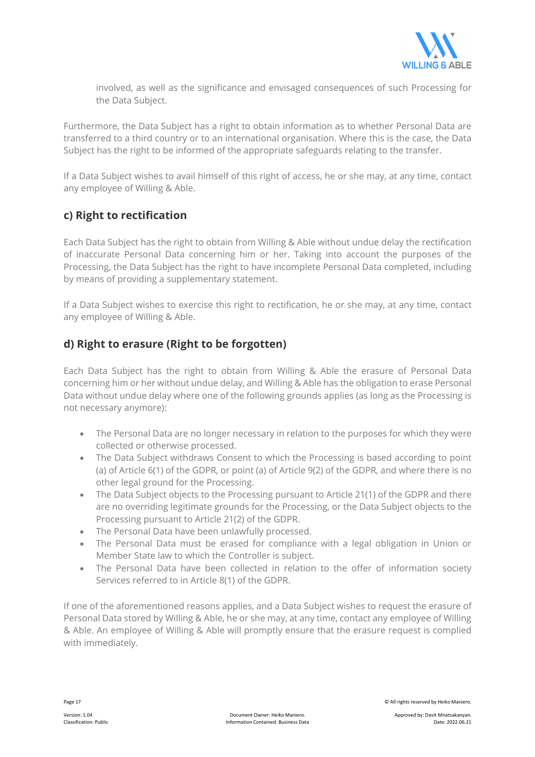

involved, as well as the significance and envisaged consequences of such Processing for the Data Subject.

Furthermore, the Data Subject has a right to obtain information as to whether Personal Data are transferred to a third country or to an international organisation. Where this is the case, the Data Subject has the right to be informed of the appropriate safeguards relating to the transfer.

If a Data Subject wishes to avail himself of this right of access, he or she may, at any time, contact any employee of Willing & Able.

# **c) Right to rectification**

Each Data Subject has the right to obtain from Willing & Able without undue delay the rectification of inaccurate Personal Data concerning him or her. Taking into account the purposes of the Processing, the Data Subject has the right to have incomplete Personal Data completed, including by means of providing a supplementary statement.

If a Data Subject wishes to exercise this right to rectification, he or she may, at any time, contact any employee of Willing & Able.

### **d) Right to erasure (Right to be forgotten)**

Each Data Subject has the right to obtain from Willing & Able the erasure of Personal Data concerning him or her without undue delay, and Willing & Able has the obligation to erase Personal Data without undue delay where one of the following grounds applies (as long as the Processing is not necessary anymore):

- The Personal Data are no longer necessary in relation to the purposes for which they were collected or otherwise processed.
- The Data Subject withdraws Consent to which the Processing is based according to point (a) of Article 6(1) of the GDPR, or point (a) of Article 9(2) of the GDPR, and where there is no other legal ground for the Processing.
- The Data Subject objects to the Processing pursuant to Article 21(1) of the GDPR and there are no overriding legitimate grounds for the Processing, or the Data Subject objects to the Processing pursuant to Article 21(2) of the GDPR.
- The Personal Data have been unlawfully processed.
- The Personal Data must be erased for compliance with a legal obligation in Union or Member State law to which the Controller is subject.
- The Personal Data have been collected in relation to the offer of information society Services referred to in Article 8(1) of the GDPR.

If one of the aforementioned reasons applies, and a Data Subject wishes to request the erasure of Personal Data stored by Willing & Able, he or she may, at any time, contact any employee of Willing & Able. An employee of Willing & Able will promptly ensure that the erasure request is complied with immediately.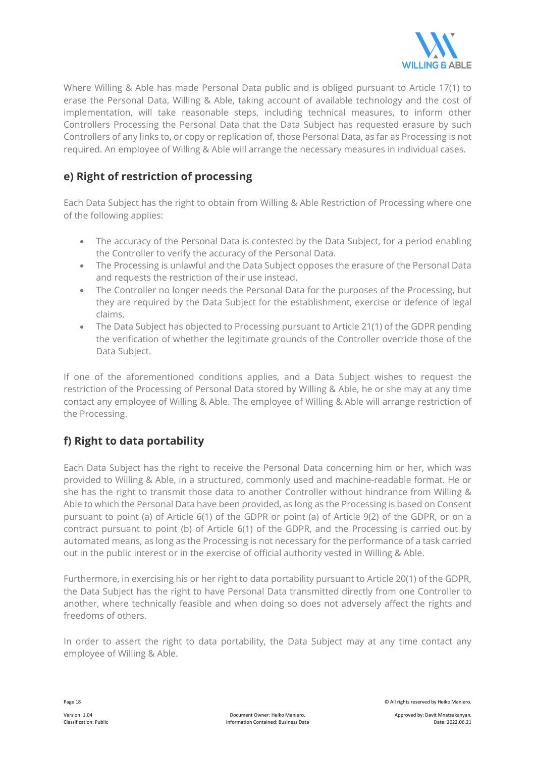

Where Willing & Able has made Personal Data public and is obliged pursuant to Article 17(1) to erase the Personal Data, Willing & Able, taking account of available technology and the cost of implementation, will take reasonable steps, including technical measures, to inform other Controllers Processing the Personal Data that the Data Subject has requested erasure by such Controllers of any links to, or copy or replication of, those Personal Data, as far as Processing is not required. An employee of Willing & Able will arrange the necessary measures in individual cases.

# **e) Right of restriction of processing**

Each Data Subject has the right to obtain from Willing & Able Restriction of Processing where one of the following applies:

- The accuracy of the Personal Data is contested by the Data Subject, for a period enabling the Controller to verify the accuracy of the Personal Data.
- The Processing is unlawful and the Data Subject opposes the erasure of the Personal Data and requests the restriction of their use instead.
- The Controller no longer needs the Personal Data for the purposes of the Processing, but they are required by the Data Subject for the establishment, exercise or defence of legal claims.
- The Data Subject has objected to Processing pursuant to Article 21(1) of the GDPR pending the verification of whether the legitimate grounds of the Controller override those of the Data Subject.

If one of the aforementioned conditions applies, and a Data Subject wishes to request the restriction of the Processing of Personal Data stored by Willing & Able, he or she may at any time contact any employee of Willing & Able. The employee of Willing & Able will arrange restriction of the Processing.

# **f) Right to data portability**

Each Data Subject has the right to receive the Personal Data concerning him or her, which was provided to Willing & Able, in a structured, commonly used and machine-readable format. He or she has the right to transmit those data to another Controller without hindrance from Willing & Able to which the Personal Data have been provided, as long as the Processing is based on Consent pursuant to point (a) of Article 6(1) of the GDPR or point (a) of Article 9(2) of the GDPR, or on a contract pursuant to point (b) of Article 6(1) of the GDPR, and the Processing is carried out by automated means, as long as the Processing is not necessary for the performance of a task carried out in the public interest or in the exercise of official authority vested in Willing & Able.

Furthermore, in exercising his or her right to data portability pursuant to Article 20(1) of the GDPR, the Data Subject has the right to have Personal Data transmitted directly from one Controller to another, where technically feasible and when doing so does not adversely affect the rights and freedoms of others.

In order to assert the right to data portability, the Data Subject may at any time contact any employee of Willing & Able.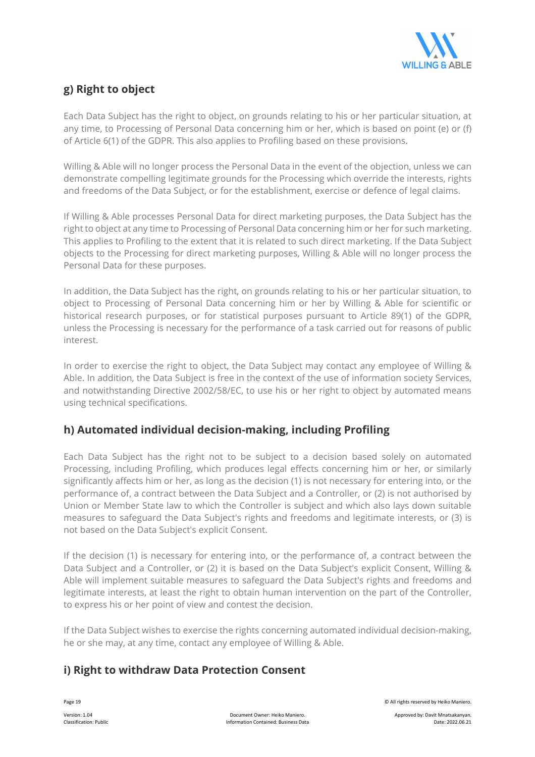

# **g) Right to object**

Each Data Subject has the right to object, on grounds relating to his or her particular situation, at any time, to Processing of Personal Data concerning him or her, which is based on point (e) or (f) of Article 6(1) of the GDPR. This also applies to Profiling based on these provisions.

Willing & Able will no longer process the Personal Data in the event of the objection, unless we can demonstrate compelling legitimate grounds for the Processing which override the interests, rights and freedoms of the Data Subject, or for the establishment, exercise or defence of legal claims.

If Willing & Able processes Personal Data for direct marketing purposes, the Data Subject has the right to object at any time to Processing of Personal Data concerning him or her for such marketing. This applies to Profiling to the extent that it is related to such direct marketing. If the Data Subject objects to the Processing for direct marketing purposes, Willing & Able will no longer process the Personal Data for these purposes.

In addition, the Data Subject has the right, on grounds relating to his or her particular situation, to object to Processing of Personal Data concerning him or her by Willing & Able for scientific or historical research purposes, or for statistical purposes pursuant to Article 89(1) of the GDPR, unless the Processing is necessary for the performance of a task carried out for reasons of public interest.

In order to exercise the right to object, the Data Subject may contact any employee of Willing & Able. In addition, the Data Subject is free in the context of the use of information society Services, and notwithstanding Directive 2002/58/EC, to use his or her right to object by automated means using technical specifications.

# **h) Automated individual decision-making, including Profiling**

Each Data Subject has the right not to be subject to a decision based solely on automated Processing, including Profiling, which produces legal effects concerning him or her, or similarly significantly affects him or her, as long as the decision (1) is not necessary for entering into, or the performance of, a contract between the Data Subject and a Controller, or (2) is not authorised by Union or Member State law to which the Controller is subject and which also lays down suitable measures to safeguard the Data Subject's rights and freedoms and legitimate interests, or (3) is not based on the Data Subject's explicit Consent.

If the decision (1) is necessary for entering into, or the performance of, a contract between the Data Subject and a Controller, or (2) it is based on the Data Subject's explicit Consent, Willing & Able will implement suitable measures to safeguard the Data Subject's rights and freedoms and legitimate interests, at least the right to obtain human intervention on the part of the Controller, to express his or her point of view and contest the decision.

If the Data Subject wishes to exercise the rights concerning automated individual decision-making, he or she may, at any time, contact any employee of Willing & Able.

# **i) Right to withdraw Data Protection Consent**

Page 19 © All rights reserved by Heiko Maniero.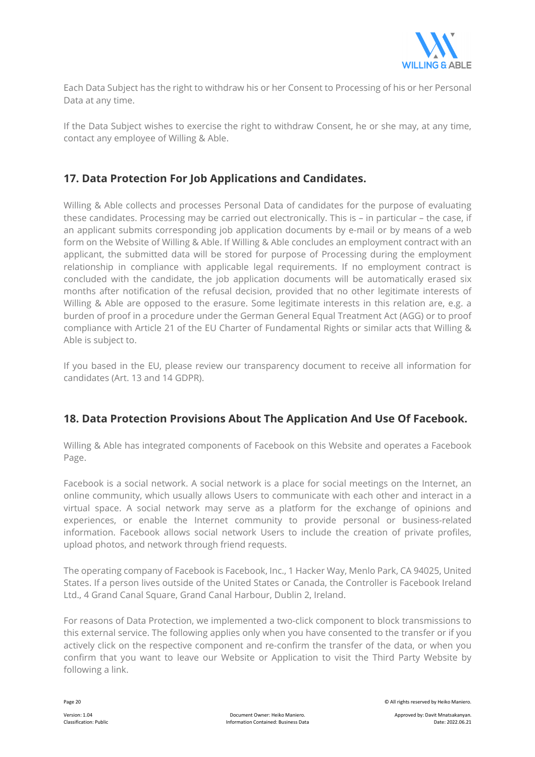

Each Data Subject has the right to withdraw his or her Consent to Processing of his or her Personal Data at any time.

If the Data Subject wishes to exercise the right to withdraw Consent, he or she may, at any time, contact any employee of Willing & Able.

# **17. Data Protection For Job Applications and Candidates.**

Willing & Able collects and processes Personal Data of candidates for the purpose of evaluating these candidates. Processing may be carried out electronically. This is – in particular – the case, if an applicant submits corresponding job application documents by e-mail or by means of a web form on the Website of Willing & Able. If Willing & Able concludes an employment contract with an applicant, the submitted data will be stored for purpose of Processing during the employment relationship in compliance with applicable legal requirements. If no employment contract is concluded with the candidate, the job application documents will be automatically erased six months after notification of the refusal decision, provided that no other legitimate interests of Willing & Able are opposed to the erasure. Some legitimate interests in this relation are, e.g. a burden of proof in a procedure under the German General Equal Treatment Act (AGG) or to proof compliance with Article 21 of the EU Charter of Fundamental Rights or similar acts that Willing & Able is subject to.

If you based in the EU, please review our transparency document to receive all information for candidates (Art. 13 and 14 GDPR).

## **18. Data Protection Provisions About The Application And Use Of Facebook.**

Willing & Able has integrated components of Facebook on this Website and operates a Facebook Page.

Facebook is a social network. A social network is a place for social meetings on the Internet, an online community, which usually allows Users to communicate with each other and interact in a virtual space. A social network may serve as a platform for the exchange of opinions and experiences, or enable the Internet community to provide personal or business-related information. Facebook allows social network Users to include the creation of private profiles, upload photos, and network through friend requests.

The operating company of Facebook is Facebook, Inc., 1 Hacker Way, Menlo Park, CA 94025, United States. If a person lives outside of the United States or Canada, the Controller is Facebook Ireland Ltd., 4 Grand Canal Square, Grand Canal Harbour, Dublin 2, Ireland.

For reasons of Data Protection, we implemented a two-click component to block transmissions to this external service. The following applies only when you have consented to the transfer or if you actively click on the respective component and re-confirm the transfer of the data, or when you confirm that you want to leave our Website or Application to visit the Third Party Website by following a link.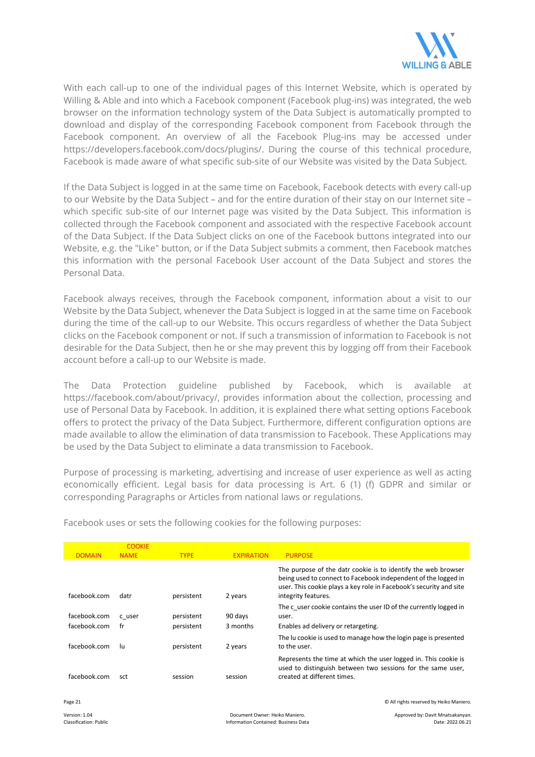

With each call-up to one of the individual pages of this Internet Website, which is operated by Willing & Able and into which a Facebook component (Facebook plug-ins) was integrated, the web browser on the information technology system of the Data Subject is automatically prompted to download and display of the corresponding Facebook component from Facebook through the Facebook component. An overview of all the Facebook Plug-ins may be accessed under https://developers.facebook.com/docs/plugins/. During the course of this technical procedure, Facebook is made aware of what specific sub-site of our Website was visited by the Data Subject.

If the Data Subject is logged in at the same time on Facebook, Facebook detects with every call-up to our Website by the Data Subject – and for the entire duration of their stay on our Internet site – which specific sub-site of our Internet page was visited by the Data Subject. This information is collected through the Facebook component and associated with the respective Facebook account of the Data Subject. If the Data Subject clicks on one of the Facebook buttons integrated into our Website, e.g. the "Like" button, or if the Data Subject submits a comment, then Facebook matches this information with the personal Facebook User account of the Data Subject and stores the Personal Data.

Facebook always receives, through the Facebook component, information about a visit to our Website by the Data Subject, whenever the Data Subject is logged in at the same time on Facebook during the time of the call-up to our Website. This occurs regardless of whether the Data Subject clicks on the Facebook component or not. If such a transmission of information to Facebook is not desirable for the Data Subject, then he or she may prevent this by logging off from their Facebook account before a call-up to our Website is made.

The Data Protection guideline published by Facebook, which is available at https://facebook.com/about/privacy/, provides information about the collection, processing and use of Personal Data by Facebook. In addition, it is explained there what setting options Facebook offers to protect the privacy of the Data Subject. Furthermore, different configuration options are made available to allow the elimination of data transmission to Facebook. These Applications may be used by the Data Subject to eliminate a data transmission to Facebook.

Purpose of processing is marketing, advertising and increase of user experience as well as acting economically efficient. Legal basis for data processing is Art. 6 (1) (f) GDPR and similar or corresponding Paragraphs or Articles from national laws or regulations.

|               | <b>COOKIE</b> |             |                   |                                                                                                                                                                                                                              |
|---------------|---------------|-------------|-------------------|------------------------------------------------------------------------------------------------------------------------------------------------------------------------------------------------------------------------------|
| <b>DOMAIN</b> | <b>NAME</b>   | <b>TYPE</b> | <b>EXPIRATION</b> | <b>PURPOSE</b>                                                                                                                                                                                                               |
| facebook.com  | datr          | persistent  | 2 years           | The purpose of the datr cookie is to identify the web browser<br>being used to connect to Facebook independent of the logged in<br>user. This cookie plays a key role in Facebook's security and site<br>integrity features. |
| facebook.com  | c user        | persistent  | 90 days           | The c user cookie contains the user ID of the currently logged in<br>user.                                                                                                                                                   |
| facebook.com  | fr            | persistent  | 3 months          | Enables ad delivery or retargeting.                                                                                                                                                                                          |
| facebook.com  | lu            | persistent  | 2 years           | The lu cookie is used to manage how the login page is presented<br>to the user.                                                                                                                                              |
| facebook.com  | sct           | session     | session           | Represents the time at which the user logged in. This cookie is<br>used to distinguish between two sessions for the same user,<br>created at different times.                                                                |
| Page 21       |               |             |                   | © All rights reserved by Heiko Maniero.                                                                                                                                                                                      |

Facebook uses or sets the following cookies for the following purposes: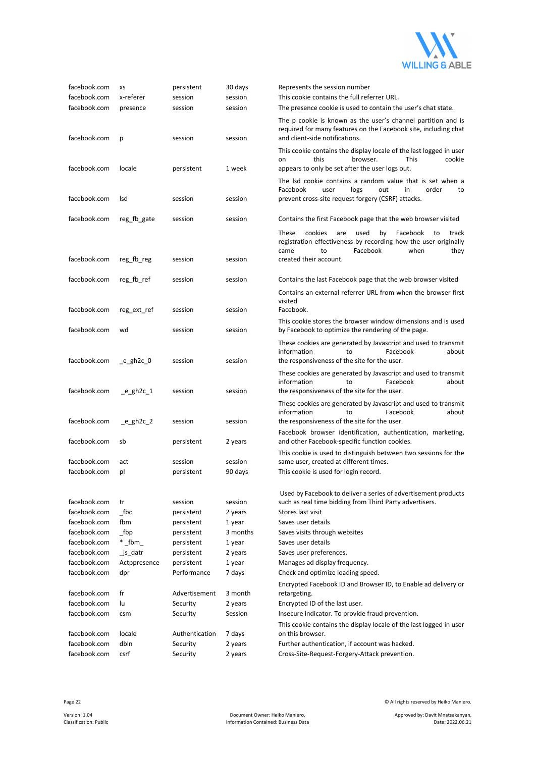

| facebook.com<br>facebook.com<br>facebook.com | XS<br>x-referer<br>presence | persistent<br>session<br>session | 30 days<br>session<br>session | Represents the session number<br>This cookie contains the full referrer URL.<br>The presence cookie is used to contain the user's chat state.                                                           |
|----------------------------------------------|-----------------------------|----------------------------------|-------------------------------|---------------------------------------------------------------------------------------------------------------------------------------------------------------------------------------------------------|
| facebook.com                                 | р                           | session                          | session                       | The p cookie is known as the user's channel partition and is<br>required for many features on the Facebook site, including chat<br>and client-side notifications.                                       |
| facebook.com                                 | locale                      | persistent                       | 1 week                        | This cookie contains the display locale of the last logged in user<br>this<br>browser.<br>This<br>cookie<br>on<br>appears to only be set after the user logs out.                                       |
|                                              |                             |                                  |                               | The Isd cookie contains a random value that is set when a<br>Facebook<br>user<br>logs<br>out<br>in<br>order<br>to                                                                                       |
| facebook.com                                 | Isd                         | session                          | session                       | prevent cross-site request forgery (CSRF) attacks.                                                                                                                                                      |
| facebook.com                                 | reg_fb_gate                 | session                          | session                       | Contains the first Facebook page that the web browser visited                                                                                                                                           |
| facebook.com                                 | reg fb reg                  | session                          | session                       | These<br>cookies<br>used<br>by<br>Facebook<br>are<br>to<br>track<br>registration effectiveness by recording how the user originally<br>Facebook<br>when<br>came<br>to<br>they<br>created their account. |
|                                              |                             |                                  |                               |                                                                                                                                                                                                         |
| facebook.com                                 | reg_fb_ref                  | session                          | session                       | Contains the last Facebook page that the web browser visited                                                                                                                                            |
| facebook.com                                 | reg_ext_ref                 | session                          | session                       | Contains an external referrer URL from when the browser first<br>visited<br>Facebook.                                                                                                                   |
| facebook.com                                 | wd                          | session                          | session                       | This cookie stores the browser window dimensions and is used<br>by Facebook to optimize the rendering of the page.                                                                                      |
| facebook.com                                 | $e$ gh2c $0$                | session                          | session                       | These cookies are generated by Javascript and used to transmit<br>information<br>Facebook<br>about<br>to<br>the responsiveness of the site for the user.                                                |
| facebook.com                                 | e gh2c_1                    | session                          | session                       | These cookies are generated by Javascript and used to transmit<br>Facebook<br>information<br>about<br>to<br>the responsiveness of the site for the user.                                                |
| facebook.com                                 | e gh2c $2$                  | session                          | session                       | These cookies are generated by Javascript and used to transmit<br>information<br>Facebook<br>about<br>to<br>the responsiveness of the site for the user.                                                |
| facebook.com                                 | sb                          | persistent                       | 2 years                       | Facebook browser identification, authentication, marketing,<br>and other Facebook-specific function cookies.                                                                                            |
|                                              |                             |                                  |                               | This cookie is used to distinguish between two sessions for the                                                                                                                                         |
| facebook.com<br>facebook.com                 | act<br>pl                   | session<br>persistent            | session<br>90 days            | same user, created at different times.<br>This cookie is used for login record.                                                                                                                         |
|                                              |                             |                                  |                               |                                                                                                                                                                                                         |
| facebook.com                                 | tr                          | session                          | session                       | Used by Facebook to deliver a series of advertisement products<br>such as real time bidding from Third Party advertisers.                                                                               |
| facebook.com                                 | $_{\rm -}$ fbc              | persistent                       | 2 years                       | Stores last visit                                                                                                                                                                                       |
| facebook.com                                 | fbm                         | persistent                       | 1 year                        | Saves user details                                                                                                                                                                                      |
| facebook.com                                 | fbp                         | persistent                       | 3 months                      | Saves visits through websites                                                                                                                                                                           |
| facebook.com                                 | * fbm                       | persistent                       | 1 year                        | Saves user details                                                                                                                                                                                      |
| facebook.com                                 | _js_datr                    | persistent                       | 2 years                       | Saves user preferences.                                                                                                                                                                                 |
| facebook.com                                 | Actppresence                | persistent                       | 1 year                        | Manages ad display frequency.                                                                                                                                                                           |
| facebook.com                                 | dpr                         | Performance                      | 7 days                        | Check and optimize loading speed.                                                                                                                                                                       |
| facebook.com                                 | fr                          | Advertisement                    | 3 month                       | Encrypted Facebook ID and Browser ID, to Enable ad delivery or<br>retargeting.                                                                                                                          |
| facebook.com                                 | lu                          | Security                         | 2 years                       | Encrypted ID of the last user.                                                                                                                                                                          |
| facebook.com                                 | csm                         | Security                         | Session                       | Insecure indicator. To provide fraud prevention.                                                                                                                                                        |
| facebook.com                                 | locale                      | Authentication                   | 7 days                        | This cookie contains the display locale of the last logged in user<br>on this browser.                                                                                                                  |
| facebook.com                                 | dbln                        | Security                         | 2 years                       | Further authentication, if account was hacked.                                                                                                                                                          |
| facebook.com                                 | csrf                        | Security                         | 2 years                       | Cross-Site-Request-Forgery-Attack prevention.                                                                                                                                                           |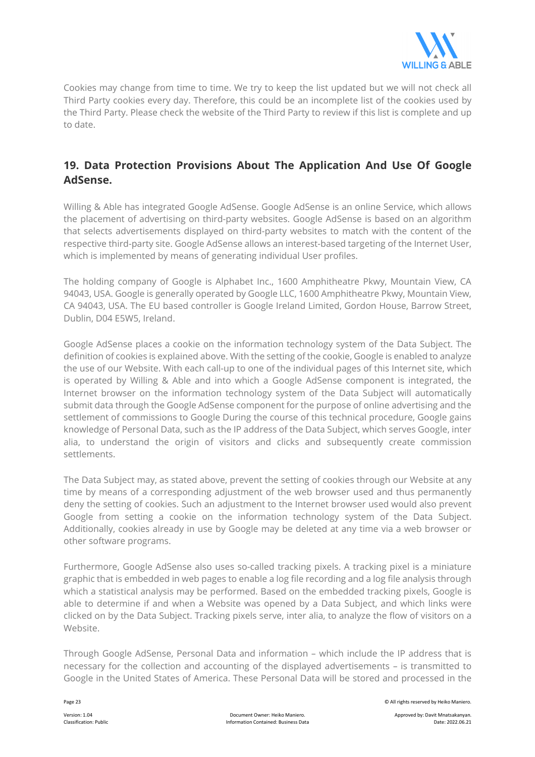

Cookies may change from time to time. We try to keep the list updated but we will not check all Third Party cookies every day. Therefore, this could be an incomplete list of the cookies used by the Third Party. Please check the website of the Third Party to review if this list is complete and up to date.

# **19. Data Protection Provisions About The Application And Use Of Google AdSense.**

Willing & Able has integrated Google AdSense. Google AdSense is an online Service, which allows the placement of advertising on third-party websites. Google AdSense is based on an algorithm that selects advertisements displayed on third-party websites to match with the content of the respective third-party site. Google AdSense allows an interest-based targeting of the Internet User, which is implemented by means of generating individual User profiles.

The holding company of Google is Alphabet Inc., 1600 Amphitheatre Pkwy, Mountain View, CA 94043, USA. Google is generally operated by Google LLC, 1600 Amphitheatre Pkwy, Mountain View, CA 94043, USA. The EU based controller is Google Ireland Limited, Gordon House, Barrow Street, Dublin, D04 E5W5, Ireland.

Google AdSense places a cookie on the information technology system of the Data Subject. The definition of cookies is explained above. With the setting of the cookie, Google is enabled to analyze the use of our Website. With each call-up to one of the individual pages of this Internet site, which is operated by Willing & Able and into which a Google AdSense component is integrated, the Internet browser on the information technology system of the Data Subject will automatically submit data through the Google AdSense component for the purpose of online advertising and the settlement of commissions to Google During the course of this technical procedure, Google gains knowledge of Personal Data, such as the IP address of the Data Subject, which serves Google, inter alia, to understand the origin of visitors and clicks and subsequently create commission settlements.

The Data Subject may, as stated above, prevent the setting of cookies through our Website at any time by means of a corresponding adjustment of the web browser used and thus permanently deny the setting of cookies. Such an adjustment to the Internet browser used would also prevent Google from setting a cookie on the information technology system of the Data Subject. Additionally, cookies already in use by Google may be deleted at any time via a web browser or other software programs.

Furthermore, Google AdSense also uses so-called tracking pixels. A tracking pixel is a miniature graphic that is embedded in web pages to enable a log file recording and a log file analysis through which a statistical analysis may be performed. Based on the embedded tracking pixels, Google is able to determine if and when a Website was opened by a Data Subject, and which links were clicked on by the Data Subject. Tracking pixels serve, inter alia, to analyze the flow of visitors on a Website.

Through Google AdSense, Personal Data and information – which include the IP address that is necessary for the collection and accounting of the displayed advertisements – is transmitted to Google in the United States of America. These Personal Data will be stored and processed in the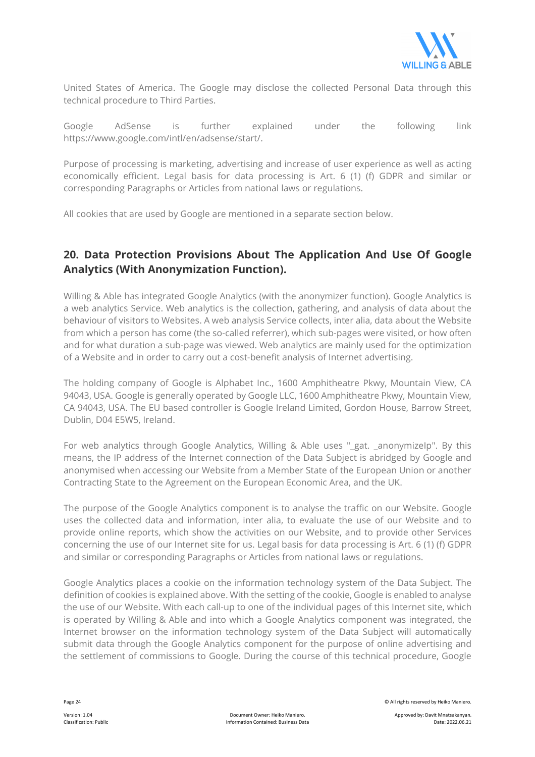

United States of America. The Google may disclose the collected Personal Data through this technical procedure to Third Parties.

Google AdSense is further explained under the following link https://www.google.com/intl/en/adsense/start/.

Purpose of processing is marketing, advertising and increase of user experience as well as acting economically efficient. Legal basis for data processing is Art. 6 (1) (f) GDPR and similar or corresponding Paragraphs or Articles from national laws or regulations.

All cookies that are used by Google are mentioned in a separate section below.

## **20. Data Protection Provisions About The Application And Use Of Google Analytics (With Anonymization Function).**

Willing & Able has integrated Google Analytics (with the anonymizer function). Google Analytics is a web analytics Service. Web analytics is the collection, gathering, and analysis of data about the behaviour of visitors to Websites. A web analysis Service collects, inter alia, data about the Website from which a person has come (the so-called referrer), which sub-pages were visited, or how often and for what duration a sub-page was viewed. Web analytics are mainly used for the optimization of a Website and in order to carry out a cost-benefit analysis of Internet advertising.

The holding company of Google is Alphabet Inc., 1600 Amphitheatre Pkwy, Mountain View, CA 94043, USA. Google is generally operated by Google LLC, 1600 Amphitheatre Pkwy, Mountain View, CA 94043, USA. The EU based controller is Google Ireland Limited, Gordon House, Barrow Street, Dublin, D04 E5W5, Ireland.

For web analytics through Google Analytics, Willing & Able uses "\_gat. \_anonymizeIp". By this means, the IP address of the Internet connection of the Data Subject is abridged by Google and anonymised when accessing our Website from a Member State of the European Union or another Contracting State to the Agreement on the European Economic Area, and the UK.

The purpose of the Google Analytics component is to analyse the traffic on our Website. Google uses the collected data and information, inter alia, to evaluate the use of our Website and to provide online reports, which show the activities on our Website, and to provide other Services concerning the use of our Internet site for us. Legal basis for data processing is Art. 6 (1) (f) GDPR and similar or corresponding Paragraphs or Articles from national laws or regulations.

Google Analytics places a cookie on the information technology system of the Data Subject. The definition of cookies is explained above. With the setting of the cookie, Google is enabled to analyse the use of our Website. With each call-up to one of the individual pages of this Internet site, which is operated by Willing & Able and into which a Google Analytics component was integrated, the Internet browser on the information technology system of the Data Subject will automatically submit data through the Google Analytics component for the purpose of online advertising and the settlement of commissions to Google. During the course of this technical procedure, Google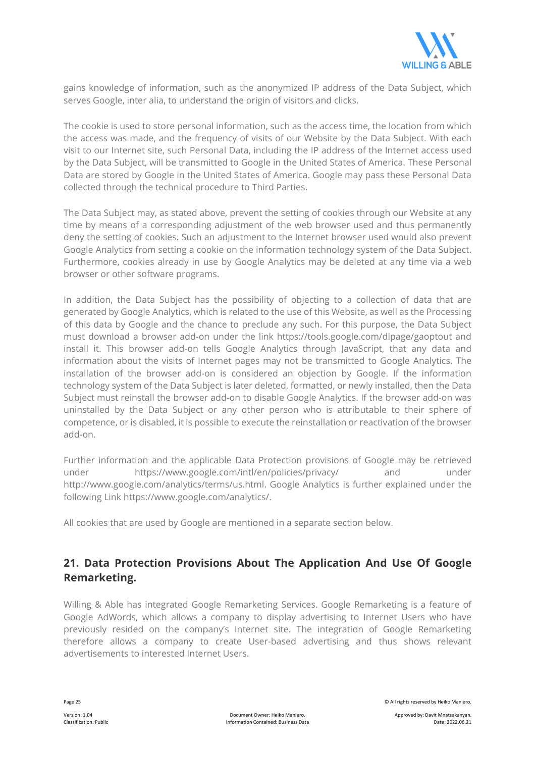

gains knowledge of information, such as the anonymized IP address of the Data Subject, which serves Google, inter alia, to understand the origin of visitors and clicks.

The cookie is used to store personal information, such as the access time, the location from which the access was made, and the frequency of visits of our Website by the Data Subject. With each visit to our Internet site, such Personal Data, including the IP address of the Internet access used by the Data Subject, will be transmitted to Google in the United States of America. These Personal Data are stored by Google in the United States of America. Google may pass these Personal Data collected through the technical procedure to Third Parties.

The Data Subject may, as stated above, prevent the setting of cookies through our Website at any time by means of a corresponding adjustment of the web browser used and thus permanently deny the setting of cookies. Such an adjustment to the Internet browser used would also prevent Google Analytics from setting a cookie on the information technology system of the Data Subject. Furthermore, cookies already in use by Google Analytics may be deleted at any time via a web browser or other software programs.

In addition, the Data Subject has the possibility of objecting to a collection of data that are generated by Google Analytics, which is related to the use of this Website, as well as the Processing of this data by Google and the chance to preclude any such. For this purpose, the Data Subject must download a browser add-on under the link https://tools.google.com/dlpage/gaoptout and install it. This browser add-on tells Google Analytics through JavaScript, that any data and information about the visits of Internet pages may not be transmitted to Google Analytics. The installation of the browser add-on is considered an objection by Google. If the information technology system of the Data Subject is later deleted, formatted, or newly installed, then the Data Subject must reinstall the browser add-on to disable Google Analytics. If the browser add-on was uninstalled by the Data Subject or any other person who is attributable to their sphere of competence, or is disabled, it is possible to execute the reinstallation or reactivation of the browser add-on.

Further information and the applicable Data Protection provisions of Google may be retrieved under https://www.google.com/intl/en/policies/privacy/ and under http://www.google.com/analytics/terms/us.html. Google Analytics is further explained under the following Link https://www.google.com/analytics/.

All cookies that are used by Google are mentioned in a separate section below.

# **21. Data Protection Provisions About The Application And Use Of Google Remarketing.**

Willing & Able has integrated Google Remarketing Services. Google Remarketing is a feature of Google AdWords, which allows a company to display advertising to Internet Users who have previously resided on the company's Internet site. The integration of Google Remarketing therefore allows a company to create User-based advertising and thus shows relevant advertisements to interested Internet Users.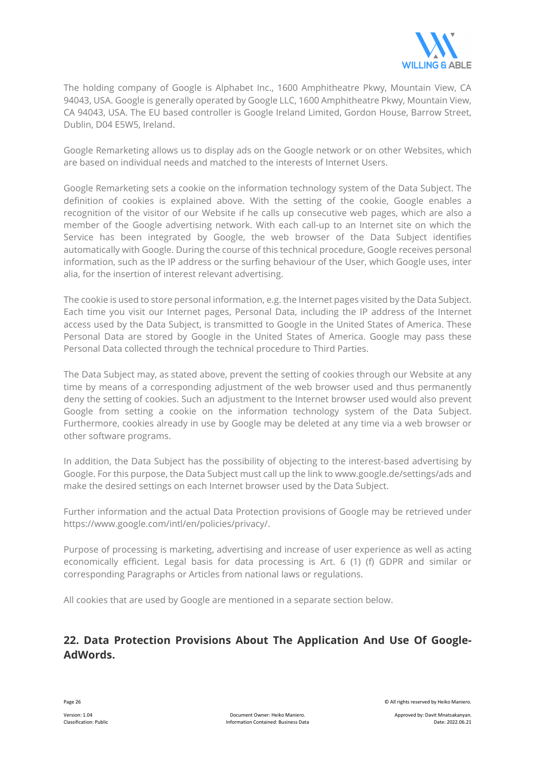

The holding company of Google is Alphabet Inc., 1600 Amphitheatre Pkwy, Mountain View, CA 94043, USA. Google is generally operated by Google LLC, 1600 Amphitheatre Pkwy, Mountain View, CA 94043, USA. The EU based controller is Google Ireland Limited, Gordon House, Barrow Street, Dublin, D04 E5W5, Ireland.

Google Remarketing allows us to display ads on the Google network or on other Websites, which are based on individual needs and matched to the interests of Internet Users.

Google Remarketing sets a cookie on the information technology system of the Data Subject. The definition of cookies is explained above. With the setting of the cookie, Google enables a recognition of the visitor of our Website if he calls up consecutive web pages, which are also a member of the Google advertising network. With each call-up to an Internet site on which the Service has been integrated by Google, the web browser of the Data Subject identifies automatically with Google. During the course of this technical procedure, Google receives personal information, such as the IP address or the surfing behaviour of the User, which Google uses, inter alia, for the insertion of interest relevant advertising.

The cookie is used to store personal information, e.g. the Internet pages visited by the Data Subject. Each time you visit our Internet pages, Personal Data, including the IP address of the Internet access used by the Data Subject, is transmitted to Google in the United States of America. These Personal Data are stored by Google in the United States of America. Google may pass these Personal Data collected through the technical procedure to Third Parties.

The Data Subject may, as stated above, prevent the setting of cookies through our Website at any time by means of a corresponding adjustment of the web browser used and thus permanently deny the setting of cookies. Such an adjustment to the Internet browser used would also prevent Google from setting a cookie on the information technology system of the Data Subject. Furthermore, cookies already in use by Google may be deleted at any time via a web browser or other software programs.

In addition, the Data Subject has the possibility of objecting to the interest-based advertising by Google. For this purpose, the Data Subject must call up the link to www.google.de/settings/ads and make the desired settings on each Internet browser used by the Data Subject.

Further information and the actual Data Protection provisions of Google may be retrieved under https://www.google.com/intl/en/policies/privacy/.

Purpose of processing is marketing, advertising and increase of user experience as well as acting economically efficient. Legal basis for data processing is Art. 6 (1) (f) GDPR and similar or corresponding Paragraphs or Articles from national laws or regulations.

All cookies that are used by Google are mentioned in a separate section below.

# **22. Data Protection Provisions About The Application And Use Of Google-AdWords.**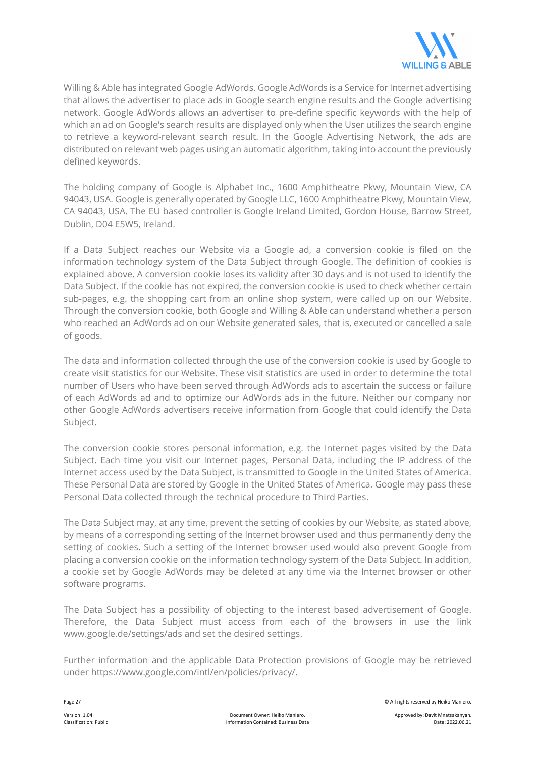

Willing & Able has integrated Google AdWords. Google AdWords is a Service for Internet advertising that allows the advertiser to place ads in Google search engine results and the Google advertising network. Google AdWords allows an advertiser to pre-define specific keywords with the help of which an ad on Google's search results are displayed only when the User utilizes the search engine to retrieve a keyword-relevant search result. In the Google Advertising Network, the ads are distributed on relevant web pages using an automatic algorithm, taking into account the previously defined keywords.

The holding company of Google is Alphabet Inc., 1600 Amphitheatre Pkwy, Mountain View, CA 94043, USA. Google is generally operated by Google LLC, 1600 Amphitheatre Pkwy, Mountain View, CA 94043, USA. The EU based controller is Google Ireland Limited, Gordon House, Barrow Street, Dublin, D04 E5W5, Ireland.

If a Data Subject reaches our Website via a Google ad, a conversion cookie is filed on the information technology system of the Data Subject through Google. The definition of cookies is explained above. A conversion cookie loses its validity after 30 days and is not used to identify the Data Subject. If the cookie has not expired, the conversion cookie is used to check whether certain sub-pages, e.g. the shopping cart from an online shop system, were called up on our Website. Through the conversion cookie, both Google and Willing & Able can understand whether a person who reached an AdWords ad on our Website generated sales, that is, executed or cancelled a sale of goods.

The data and information collected through the use of the conversion cookie is used by Google to create visit statistics for our Website. These visit statistics are used in order to determine the total number of Users who have been served through AdWords ads to ascertain the success or failure of each AdWords ad and to optimize our AdWords ads in the future. Neither our company nor other Google AdWords advertisers receive information from Google that could identify the Data Subject.

The conversion cookie stores personal information, e.g. the Internet pages visited by the Data Subject. Each time you visit our Internet pages, Personal Data, including the IP address of the Internet access used by the Data Subject, is transmitted to Google in the United States of America. These Personal Data are stored by Google in the United States of America. Google may pass these Personal Data collected through the technical procedure to Third Parties.

The Data Subject may, at any time, prevent the setting of cookies by our Website, as stated above, by means of a corresponding setting of the Internet browser used and thus permanently deny the setting of cookies. Such a setting of the Internet browser used would also prevent Google from placing a conversion cookie on the information technology system of the Data Subject. In addition, a cookie set by Google AdWords may be deleted at any time via the Internet browser or other software programs.

The Data Subject has a possibility of objecting to the interest based advertisement of Google. Therefore, the Data Subject must access from each of the browsers in use the link www.google.de/settings/ads and set the desired settings.

Further information and the applicable Data Protection provisions of Google may be retrieved under https://www.google.com/intl/en/policies/privacy/.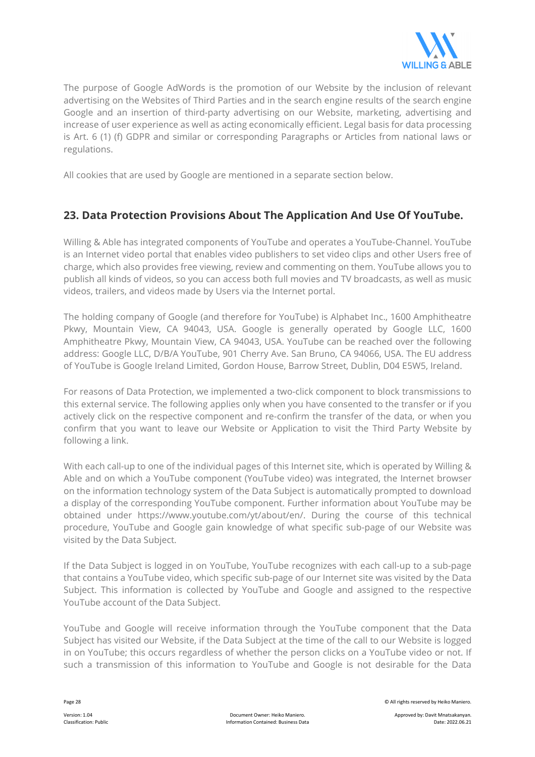

The purpose of Google AdWords is the promotion of our Website by the inclusion of relevant advertising on the Websites of Third Parties and in the search engine results of the search engine Google and an insertion of third-party advertising on our Website, marketing, advertising and increase of user experience as well as acting economically efficient. Legal basis for data processing is Art. 6 (1) (f) GDPR and similar or corresponding Paragraphs or Articles from national laws or regulations.

All cookies that are used by Google are mentioned in a separate section below.

# **23. Data Protection Provisions About The Application And Use Of YouTube.**

Willing & Able has integrated components of YouTube and operates a YouTube-Channel. YouTube is an Internet video portal that enables video publishers to set video clips and other Users free of charge, which also provides free viewing, review and commenting on them. YouTube allows you to publish all kinds of videos, so you can access both full movies and TV broadcasts, as well as music videos, trailers, and videos made by Users via the Internet portal.

The holding company of Google (and therefore for YouTube) is Alphabet Inc., 1600 Amphitheatre Pkwy, Mountain View, CA 94043, USA. Google is generally operated by Google LLC, 1600 Amphitheatre Pkwy, Mountain View, CA 94043, USA. YouTube can be reached over the following address: Google LLC, D/B/A YouTube, 901 Cherry Ave. San Bruno, CA 94066, USA. The EU address of YouTube is Google Ireland Limited, Gordon House, Barrow Street, Dublin, D04 E5W5, Ireland.

For reasons of Data Protection, we implemented a two-click component to block transmissions to this external service. The following applies only when you have consented to the transfer or if you actively click on the respective component and re-confirm the transfer of the data, or when you confirm that you want to leave our Website or Application to visit the Third Party Website by following a link.

With each call-up to one of the individual pages of this Internet site, which is operated by Willing & Able and on which a YouTube component (YouTube video) was integrated, the Internet browser on the information technology system of the Data Subject is automatically prompted to download a display of the corresponding YouTube component. Further information about YouTube may be obtained under https://www.youtube.com/yt/about/en/. During the course of this technical procedure, YouTube and Google gain knowledge of what specific sub-page of our Website was visited by the Data Subject.

If the Data Subject is logged in on YouTube, YouTube recognizes with each call-up to a sub-page that contains a YouTube video, which specific sub-page of our Internet site was visited by the Data Subject. This information is collected by YouTube and Google and assigned to the respective YouTube account of the Data Subject.

YouTube and Google will receive information through the YouTube component that the Data Subject has visited our Website, if the Data Subject at the time of the call to our Website is logged in on YouTube; this occurs regardless of whether the person clicks on a YouTube video or not. If such a transmission of this information to YouTube and Google is not desirable for the Data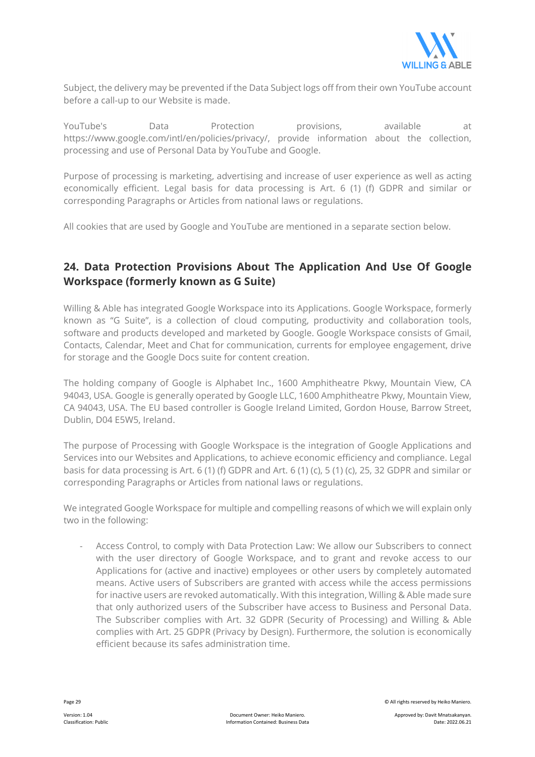

Subject, the delivery may be prevented if the Data Subject logs off from their own YouTube account before a call-up to our Website is made.

YouTube's Data Protection provisions, available at https://www.google.com/intl/en/policies/privacy/, provide information about the collection, processing and use of Personal Data by YouTube and Google.

Purpose of processing is marketing, advertising and increase of user experience as well as acting economically efficient. Legal basis for data processing is Art. 6 (1) (f) GDPR and similar or corresponding Paragraphs or Articles from national laws or regulations.

All cookies that are used by Google and YouTube are mentioned in a separate section below.

# **24. Data Protection Provisions About The Application And Use Of Google Workspace (formerly known as G Suite)**

Willing & Able has integrated Google Workspace into its Applications. Google Workspace, formerly known as "G Suite", is a collection of cloud computing, productivity and collaboration tools, software and products developed and marketed by Google. Google Workspace consists of Gmail, Contacts, Calendar, Meet and Chat for communication, currents for employee engagement, drive for storage and the Google Docs suite for content creation.

The holding company of Google is Alphabet Inc., 1600 Amphitheatre Pkwy, Mountain View, CA 94043, USA. Google is generally operated by Google LLC, 1600 Amphitheatre Pkwy, Mountain View, CA 94043, USA. The EU based controller is Google Ireland Limited, Gordon House, Barrow Street, Dublin, D04 E5W5, Ireland.

The purpose of Processing with Google Workspace is the integration of Google Applications and Services into our Websites and Applications, to achieve economic efficiency and compliance. Legal basis for data processing is Art. 6 (1) (f) GDPR and Art. 6 (1) (c), 5 (1) (c), 25, 32 GDPR and similar or corresponding Paragraphs or Articles from national laws or regulations.

We integrated Google Workspace for multiple and compelling reasons of which we will explain only two in the following:

- Access Control, to comply with Data Protection Law: We allow our Subscribers to connect with the user directory of Google Workspace, and to grant and revoke access to our Applications for (active and inactive) employees or other users by completely automated means. Active users of Subscribers are granted with access while the access permissions for inactive users are revoked automatically. With this integration, Willing & Able made sure that only authorized users of the Subscriber have access to Business and Personal Data. The Subscriber complies with Art. 32 GDPR (Security of Processing) and Willing & Able complies with Art. 25 GDPR (Privacy by Design). Furthermore, the solution is economically efficient because its safes administration time.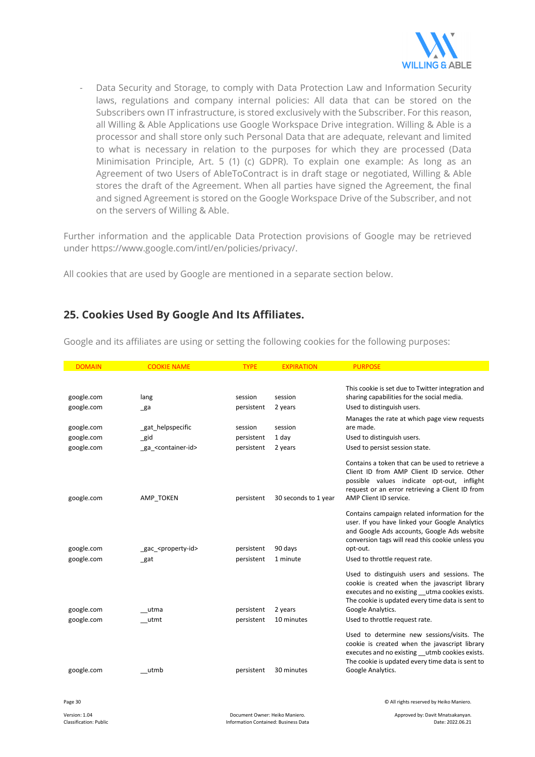

Data Security and Storage, to comply with Data Protection Law and Information Security laws, regulations and company internal policies: All data that can be stored on the Subscribers own IT infrastructure, is stored exclusively with the Subscriber. For this reason, all Willing & Able Applications use Google Workspace Drive integration. Willing & Able is a processor and shall store only such Personal Data that are adequate, relevant and limited to what is necessary in relation to the purposes for which they are processed (Data Minimisation Principle, Art. 5 (1) (c) GDPR). To explain one example: As long as an Agreement of two Users of AbleToContract is in draft stage or negotiated, Willing & Able stores the draft of the Agreement. When all parties have signed the Agreement, the final and signed Agreement is stored on the Google Workspace Drive of the Subscriber, and not on the servers of Willing & Able.

Further information and the applicable Data Protection provisions of Google may be retrieved under https://www.google.com/intl/en/policies/privacy/.

All cookies that are used by Google are mentioned in a separate section below.

## **25. Cookies Used By Google And Its Affiliates.**

| <b>DOMAIN</b> | <b>COOKIE NAME</b>                | <b>TYPE</b> | <b>EXPIRATION</b>    | <b>PURPOSE</b>                                                                                                                                                                                                            |
|---------------|-----------------------------------|-------------|----------------------|---------------------------------------------------------------------------------------------------------------------------------------------------------------------------------------------------------------------------|
|               |                                   |             |                      |                                                                                                                                                                                                                           |
|               |                                   |             |                      | This cookie is set due to Twitter integration and                                                                                                                                                                         |
| google.com    | lang                              | session     | session              | sharing capabilities for the social media.                                                                                                                                                                                |
| google.com    | _ga                               | persistent  | 2 years              | Used to distinguish users.                                                                                                                                                                                                |
| google.com    | gat_helpspecific                  | session     | session              | Manages the rate at which page view requests<br>are made.                                                                                                                                                                 |
| google.com    | $\_gid$                           | persistent  | 1 day                | Used to distinguish users.                                                                                                                                                                                                |
| google.com    | ga <container-id></container-id>  | persistent  | 2 years              | Used to persist session state.                                                                                                                                                                                            |
|               |                                   |             |                      |                                                                                                                                                                                                                           |
| google.com    | AMP TOKEN                         | persistent  | 30 seconds to 1 year | Contains a token that can be used to retrieve a<br>Client ID from AMP Client ID service. Other<br>possible values indicate opt-out, inflight<br>request or an error retrieving a Client ID from<br>AMP Client ID service. |
| google.com    | _gac_ <property-id></property-id> | persistent  | 90 days              | Contains campaign related information for the<br>user. If you have linked your Google Analytics<br>and Google Ads accounts, Google Ads website<br>conversion tags will read this cookie unless you<br>opt-out.            |
| google.com    | gat                               | persistent  | 1 minute             | Used to throttle request rate.                                                                                                                                                                                            |
|               |                                   |             |                      | Used to distinguish users and sessions. The<br>cookie is created when the javascript library<br>executes and no existing __ utma cookies exists.<br>The cookie is updated every time data is sent to                      |
| google.com    | utma                              | persistent  | 2 years              | Google Analytics.                                                                                                                                                                                                         |
| google.com    | utmt                              | persistent  | 10 minutes           | Used to throttle request rate.                                                                                                                                                                                            |
| google.com    | utmb                              | persistent  | 30 minutes           | Used to determine new sessions/visits. The<br>cookie is created when the javascript library<br>executes and no existing utmb cookies exists.<br>The cookie is updated every time data is sent to<br>Google Analytics.     |
|               |                                   |             |                      |                                                                                                                                                                                                                           |
|               |                                   |             |                      |                                                                                                                                                                                                                           |
| Page 30       |                                   |             |                      | © All rights reserved by Heiko Maniero.                                                                                                                                                                                   |

Google and its affiliates are using or setting the following cookies for the following purposes: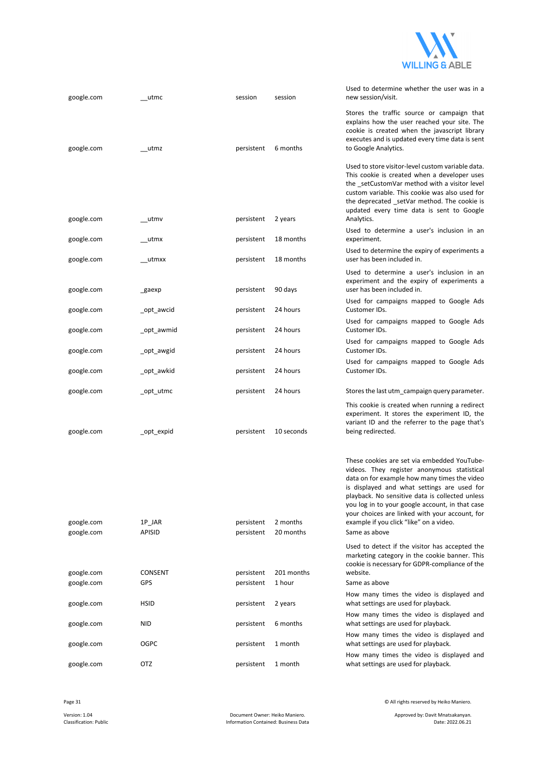

| google.com               | utmc                    | session                  | session               | Used to determine whether the user was in a<br>new session/visit.                                                                                                                                                                                                                                                                                                                                             |
|--------------------------|-------------------------|--------------------------|-----------------------|---------------------------------------------------------------------------------------------------------------------------------------------------------------------------------------------------------------------------------------------------------------------------------------------------------------------------------------------------------------------------------------------------------------|
|                          |                         |                          |                       | Stores the traffic source or campaign that<br>explains how the user reached your site. The<br>cookie is created when the javascript library<br>executes and is updated every time data is sent                                                                                                                                                                                                                |
| google.com               | utmz                    | persistent               | 6 months              | to Google Analytics.                                                                                                                                                                                                                                                                                                                                                                                          |
| google.com               | utmv                    | persistent               | 2 years               | Used to store visitor-level custom variable data.<br>This cookie is created when a developer uses<br>the _setCustomVar method with a visitor level<br>custom variable. This cookie was also used for<br>the deprecated _setVar method. The cookie is<br>updated every time data is sent to Google<br>Analytics.                                                                                               |
|                          |                         |                          |                       | Used to determine a user's inclusion in an                                                                                                                                                                                                                                                                                                                                                                    |
| google.com               | utmx                    | persistent               | 18 months             | experiment.                                                                                                                                                                                                                                                                                                                                                                                                   |
| google.com               | __utmxx                 | persistent               | 18 months             | Used to determine the expiry of experiments a<br>user has been included in.                                                                                                                                                                                                                                                                                                                                   |
| google.com               | _gaexp                  | persistent               | 90 days               | Used to determine a user's inclusion in an<br>experiment and the expiry of experiments a<br>user has been included in.                                                                                                                                                                                                                                                                                        |
| google.com               | _opt_awcid              | persistent               | 24 hours              | Used for campaigns mapped to Google Ads<br>Customer IDs.                                                                                                                                                                                                                                                                                                                                                      |
| google.com               | _opt_awmid              | persistent               | 24 hours              | Used for campaigns mapped to Google Ads<br>Customer IDs.                                                                                                                                                                                                                                                                                                                                                      |
| google.com               | _opt_awgid              | persistent               | 24 hours              | Used for campaigns mapped to Google Ads<br>Customer IDs.                                                                                                                                                                                                                                                                                                                                                      |
| google.com               | _opt_awkid              | persistent               | 24 hours              | Used for campaigns mapped to Google Ads<br>Customer IDs.                                                                                                                                                                                                                                                                                                                                                      |
| google.com               | _opt_utmc               | persistent               | 24 hours              | Stores the last utm_campaign query parameter.                                                                                                                                                                                                                                                                                                                                                                 |
|                          |                         |                          |                       | This cookie is created when running a redirect<br>experiment. It stores the experiment ID, the                                                                                                                                                                                                                                                                                                                |
| google.com               | _opt_expid              | persistent               | 10 seconds            | variant ID and the referrer to the page that's<br>being redirected.                                                                                                                                                                                                                                                                                                                                           |
| google.com<br>google.com | 1P_JAR<br><b>APISID</b> | persistent<br>persistent | 2 months<br>20 months | These cookies are set via embedded YouTube-<br>videos. They register anonymous statistical<br>data on for example how many times the video<br>is displayed and what settings are used for<br>playback. No sensitive data is collected unless<br>you log in to your google account, in that case<br>your choices are linked with your account, for<br>example if you click "like" on a video.<br>Same as above |
|                          |                         |                          |                       | Used to detect if the visitor has accepted the                                                                                                                                                                                                                                                                                                                                                                |
|                          |                         |                          |                       | marketing category in the cookie banner. This<br>cookie is necessary for GDPR-compliance of the                                                                                                                                                                                                                                                                                                               |
| google.com               | <b>CONSENT</b>          | persistent               | 201 months            | website.                                                                                                                                                                                                                                                                                                                                                                                                      |
| google.com               | GPS                     | persistent               | 1 hour                | Same as above<br>How many times the video is displayed and                                                                                                                                                                                                                                                                                                                                                    |
| google.com               | <b>HSID</b>             | persistent               | 2 years               | what settings are used for playback.<br>How many times the video is displayed and                                                                                                                                                                                                                                                                                                                             |
| google.com               | NID                     | persistent               | 6 months              | what settings are used for playback.                                                                                                                                                                                                                                                                                                                                                                          |
| google.com               | <b>OGPC</b>             | persistent               | 1 month               | How many times the video is displayed and<br>what settings are used for playback.                                                                                                                                                                                                                                                                                                                             |
| google.com               | <b>OTZ</b>              | persistent               | 1 month               | How many times the video is displayed and<br>what settings are used for playback.                                                                                                                                                                                                                                                                                                                             |

Page 31 © All rights reserved by Heiko Maniero.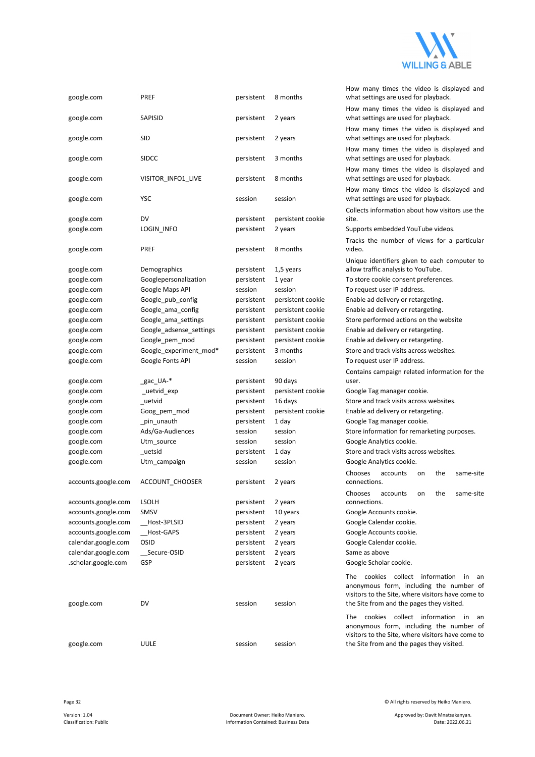

| google.com          | PREF                    | persistent | 8 months          | How many times the video is displayed and<br>what settings are used for playback.                                                                                                        |  |
|---------------------|-------------------------|------------|-------------------|------------------------------------------------------------------------------------------------------------------------------------------------------------------------------------------|--|
| google.com          | SAPISID                 | persistent | 2 years           | How many times the video is displayed and<br>what settings are used for playback.                                                                                                        |  |
| google.com          | <b>SID</b>              | persistent | 2 years           | How many times the video is displayed and<br>what settings are used for playback.                                                                                                        |  |
| google.com          | <b>SIDCC</b>            | persistent | 3 months          | How many times the video is displayed and<br>what settings are used for playback.                                                                                                        |  |
| google.com          | VISITOR_INFO1_LIVE      | persistent | 8 months          | How many times the video is displayed and<br>what settings are used for playback.                                                                                                        |  |
| google.com          | YSC                     | session    | session           | How many times the video is displayed and<br>what settings are used for playback.                                                                                                        |  |
|                     |                         |            |                   | Collects information about how visitors use the                                                                                                                                          |  |
| google.com          | DV                      | persistent | persistent cookie | site.                                                                                                                                                                                    |  |
| google.com          | LOGIN_INFO              | persistent | 2 years           | Supports embedded YouTube videos.                                                                                                                                                        |  |
| google.com          | PREF                    | persistent | 8 months          | Tracks the number of views for a particular<br>video.                                                                                                                                    |  |
| google.com          | Demographics            | persistent | 1,5 years         | Unique identifiers given to each computer to<br>allow traffic analysis to YouTube.                                                                                                       |  |
| google.com          | Googlepersonalization   | persistent | 1 year            | To store cookie consent preferences.                                                                                                                                                     |  |
| google.com          | Google Maps API         | session    | session           | To request user IP address.                                                                                                                                                              |  |
| google.com          | Google_pub_config       | persistent | persistent cookie | Enable ad delivery or retargeting.                                                                                                                                                       |  |
| google.com          | Google_ama_config       | persistent | persistent cookie | Enable ad delivery or retargeting.                                                                                                                                                       |  |
| google.com          | Google ama settings     | persistent | persistent cookie | Store performed actions on the website                                                                                                                                                   |  |
| google.com          | Google_adsense_settings | persistent | persistent cookie | Enable ad delivery or retargeting.                                                                                                                                                       |  |
| google.com          | Google_pem_mod          | persistent | persistent cookie | Enable ad delivery or retargeting.                                                                                                                                                       |  |
| google.com          | Google_experiment_mod*  | persistent | 3 months          | Store and track visits across websites.                                                                                                                                                  |  |
| google.com          | Google Fonts API        | session    | session           | To request user IP address.                                                                                                                                                              |  |
| google.com          | gac_UA-*                | persistent | 90 days           | Contains campaign related information for the<br>user.                                                                                                                                   |  |
| google.com          | _uetvid_exp             | persistent | persistent cookie | Google Tag manager cookie.                                                                                                                                                               |  |
| google.com          | _uetvid                 | persistent | 16 days           | Store and track visits across websites.                                                                                                                                                  |  |
| google.com          | Goog_pem_mod            | persistent | persistent cookie | Enable ad delivery or retargeting.                                                                                                                                                       |  |
| google.com          | _pin_unauth             | persistent | 1 day             | Google Tag manager cookie.                                                                                                                                                               |  |
| google.com          | Ads/Ga-Audiences        | session    | session           | Store information for remarketing purposes.                                                                                                                                              |  |
| google.com          | Utm_source              | session    | session           | Google Analytics cookie.                                                                                                                                                                 |  |
| google.com          | _uetsid                 | persistent | 1 day             | Store and track visits across websites.                                                                                                                                                  |  |
| google.com          | Utm_campaign            | session    | session           | Google Analytics cookie.                                                                                                                                                                 |  |
| accounts.google.com | ACCOUNT_CHOOSER         | persistent | 2 years           | Chooses<br>the<br>accounts<br>same-site<br>on<br>connections.                                                                                                                            |  |
|                     |                         |            |                   | Chooses<br>same-site<br>accounts<br>on<br>the                                                                                                                                            |  |
| accounts.google.com | <b>LSOLH</b>            | persistent | 2 years           | connections.                                                                                                                                                                             |  |
| accounts.google.com | SMSV                    | persistent | 10 years          | Google Accounts cookie.                                                                                                                                                                  |  |
| accounts.google.com | __Host-3PLSID           | persistent | 2 years           | Google Calendar cookie.                                                                                                                                                                  |  |
| accounts.google.com | Host-GAPS               | persistent | 2 years           | Google Accounts cookie.                                                                                                                                                                  |  |
| calendar.google.com | OSID                    | persistent | 2 years           | Google Calendar cookie.                                                                                                                                                                  |  |
| calendar.google.com | __Secure-OSID           | persistent | 2 years           | Same as above                                                                                                                                                                            |  |
| .scholar.google.com | GSP                     | persistent | 2 years           | Google Scholar cookie.                                                                                                                                                                   |  |
| google.com          | DV                      | session    | session           | The cookies collect information<br>in<br>an<br>anonymous form, including the number of<br>visitors to the Site, where visitors have come to<br>the Site from and the pages they visited. |  |
| google.com          | UULE                    | session    | session           | The cookies collect information in<br>an<br>anonymous form, including the number of<br>visitors to the Site, where visitors have come to<br>the Site from and the pages they visited.    |  |
|                     |                         |            |                   |                                                                                                                                                                                          |  |

Page 32 © All rights reserved by Heiko Maniero.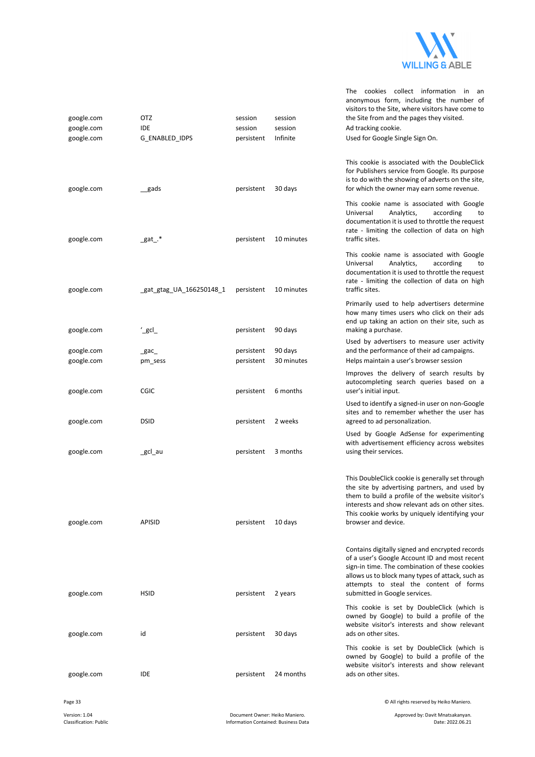

| google.com | <b>OTZ</b>               | session    | session    | The cookies collect information<br>in<br>an<br>anonymous form, including the number of<br>visitors to the Site, where visitors have come to<br>the Site from and the pages they visited.                                                                                          |
|------------|--------------------------|------------|------------|-----------------------------------------------------------------------------------------------------------------------------------------------------------------------------------------------------------------------------------------------------------------------------------|
| google.com | <b>IDE</b>               | session    | session    | Ad tracking cookie.                                                                                                                                                                                                                                                               |
| google.com | G_ENABLED_IDPS           | persistent | Infinite   | Used for Google Single Sign On.                                                                                                                                                                                                                                                   |
| google.com | gads                     | persistent | 30 days    | This cookie is associated with the DoubleClick<br>for Publishers service from Google. Its purpose<br>is to do with the showing of adverts on the site,<br>for which the owner may earn some revenue.                                                                              |
| google.com | $_gat$ .*                | persistent | 10 minutes | This cookie name is associated with Google<br>Universal<br>Analytics,<br>according<br>to<br>documentation it is used to throttle the request<br>rate - limiting the collection of data on high<br>traffic sites.                                                                  |
| google.com | _gat_gtag_UA_166250148_1 | persistent | 10 minutes | This cookie name is associated with Google<br>Universal<br>Analytics,<br>according<br>to<br>documentation it is used to throttle the request<br>rate - limiting the collection of data on high<br>traffic sites.                                                                  |
| google.com | $'$ _gcl_                | persistent | 90 days    | Primarily used to help advertisers determine<br>how many times users who click on their ads<br>end up taking an action on their site, such as<br>making a purchase.                                                                                                               |
| google.com | $\_$ gac $\_$            | persistent | 90 days    | Used by advertisers to measure user activity<br>and the performance of their ad campaigns.                                                                                                                                                                                        |
| google.com | pm_sess                  | persistent | 30 minutes | Helps maintain a user's browser session                                                                                                                                                                                                                                           |
| google.com | <b>CGIC</b>              | persistent | 6 months   | Improves the delivery of search results by<br>autocompleting search queries based on a<br>user's initial input.                                                                                                                                                                   |
| google.com | <b>DSID</b>              | persistent | 2 weeks    | Used to identify a signed-in user on non-Google<br>sites and to remember whether the user has<br>agreed to ad personalization.                                                                                                                                                    |
| google.com | _gcl_au                  | persistent | 3 months   | Used by Google AdSense for experimenting<br>with advertisement efficiency across websites<br>using their services.                                                                                                                                                                |
| google.com | APISID                   | persistent | 10 days    | This DoubleClick cookie is generally set through<br>the site by advertising partners, and used by<br>them to build a profile of the website visitor's<br>interests and show relevant ads on other sites.<br>This cookie works by uniquely identifying your<br>browser and device. |
| google.com | <b>HSID</b>              | persistent | 2 years    | Contains digitally signed and encrypted records<br>of a user's Google Account ID and most recent<br>sign-in time. The combination of these cookies<br>allows us to block many types of attack, such as<br>attempts to steal the content of forms<br>submitted in Google services. |
| google.com | id                       | persistent | 30 days    | This cookie is set by DoubleClick (which is<br>owned by Google) to build a profile of the<br>website visitor's interests and show relevant<br>ads on other sites.                                                                                                                 |
|            |                          |            |            | This cookie is set by DoubleClick (which is<br>owned by Google) to build a profile of the<br>website visitor's interests and show relevant                                                                                                                                        |
| google.com | IDE                      | persistent | 24 months  | ads on other sites.                                                                                                                                                                                                                                                               |

Page 33 © All rights reserved by Heiko Maniero.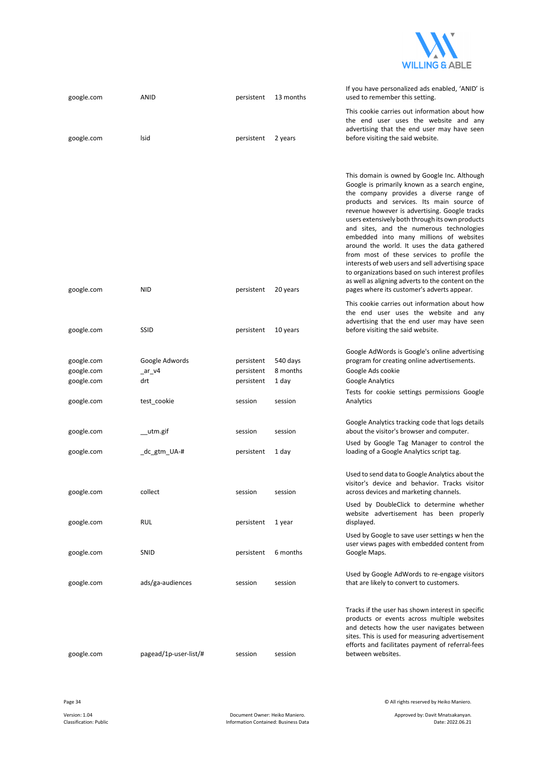

| google.com | ANID                  | persistent | 13 months | If you have personalized ads enabled, 'ANID' is<br>used to remember this setting.                                                                                                                                                                     |
|------------|-----------------------|------------|-----------|-------------------------------------------------------------------------------------------------------------------------------------------------------------------------------------------------------------------------------------------------------|
|            |                       |            |           | This cookie carries out information about how<br>the end user uses the website and any<br>advertising that the end user may have seen                                                                                                                 |
| google.com | Isid                  | persistent | 2 years   | before visiting the said website.                                                                                                                                                                                                                     |
|            |                       |            |           | This domain is owned by Google Inc. Although<br>Google is primarily known as a search engine,                                                                                                                                                         |
|            |                       |            |           | the company provides a diverse range of<br>products and services. Its main source of<br>revenue however is advertising. Google tracks<br>users extensively both through its own products<br>and sites, and the numerous technologies                  |
|            |                       |            |           | embedded into many millions of websites<br>around the world. It uses the data gathered<br>from most of these services to profile the<br>interests of web users and sell advertising space                                                             |
| google.com | <b>NID</b>            | persistent | 20 years  | to organizations based on such interest profiles<br>as well as aligning adverts to the content on the<br>pages where its customer's adverts appear.                                                                                                   |
|            |                       |            |           | This cookie carries out information about how<br>the end user uses the website and any<br>advertising that the end user may have seen                                                                                                                 |
| google.com | SSID                  | persistent | 10 years  | before visiting the said website.                                                                                                                                                                                                                     |
| google.com | Google Adwords        | persistent | 540 days  | Google AdWords is Google's online advertising<br>program for creating online advertisements.                                                                                                                                                          |
| google.com | $ar_v4$               | persistent | 8 months  | Google Ads cookie                                                                                                                                                                                                                                     |
| google.com | drt                   | persistent | 1 day     | Google Analytics                                                                                                                                                                                                                                      |
| google.com | test_cookie           | session    | session   | Tests for cookie settings permissions Google<br>Analytics                                                                                                                                                                                             |
|            |                       |            |           |                                                                                                                                                                                                                                                       |
| google.com | _utm.gif              | session    | session   | Google Analytics tracking code that logs details<br>about the visitor's browser and computer.                                                                                                                                                         |
| google.com | _dc_gtm_UA-#          | persistent | 1 day     | Used by Google Tag Manager to control the<br>loading of a Google Analytics script tag.                                                                                                                                                                |
| google.com | collect               | session    | session   | Used to send data to Google Analytics about the<br>visitor's device and behavior. Tracks visitor<br>across devices and marketing channels.                                                                                                            |
|            |                       |            |           | Used by DoubleClick to determine whether<br>website advertisement has been properly                                                                                                                                                                   |
| google.com | RUL                   | persistent | 1 year    | displayed.<br>Used by Google to save user settings w hen the                                                                                                                                                                                          |
| google.com | SNID                  | persistent | 6 months  | user views pages with embedded content from<br>Google Maps.                                                                                                                                                                                           |
| google.com | ads/ga-audiences      | session    | session   | Used by Google AdWords to re-engage visitors<br>that are likely to convert to customers.                                                                                                                                                              |
|            |                       |            |           | Tracks if the user has shown interest in specific<br>products or events across multiple websites<br>and detects how the user navigates between<br>sites. This is used for measuring advertisement<br>efforts and facilitates payment of referral-fees |
| google.com | pagead/1p-user-list/# | session    | session   | between websites.                                                                                                                                                                                                                                     |

Page 34 © All rights reserved by Heiko Maniero.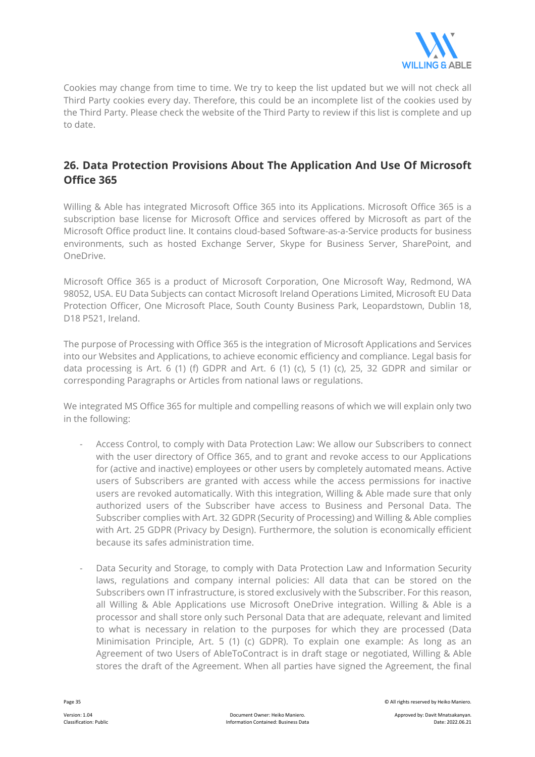

Cookies may change from time to time. We try to keep the list updated but we will not check all Third Party cookies every day. Therefore, this could be an incomplete list of the cookies used by the Third Party. Please check the website of the Third Party to review if this list is complete and up to date.

# **26. Data Protection Provisions About The Application And Use Of Microsoft Office 365**

Willing & Able has integrated Microsoft Office 365 into its Applications. Microsoft Office 365 is a subscription base license for Microsoft Office and services offered by Microsoft as part of the Microsoft Office product line. It contains cloud-based Software-as-a-Service products for business environments, such as hosted Exchange Server, Skype for Business Server, SharePoint, and OneDrive.

Microsoft Office 365 is a product of Microsoft Corporation, One Microsoft Way, Redmond, WA 98052, USA. EU Data Subjects can contact Microsoft Ireland Operations Limited, Microsoft EU Data Protection Officer, One Microsoft Place, South County Business Park, Leopardstown, Dublin 18, D18 P521, Ireland.

The purpose of Processing with Office 365 is the integration of Microsoft Applications and Services into our Websites and Applications, to achieve economic efficiency and compliance. Legal basis for data processing is Art. 6 (1) (f) GDPR and Art. 6 (1) (c), 5 (1) (c), 25, 32 GDPR and similar or corresponding Paragraphs or Articles from national laws or regulations.

We integrated MS Office 365 for multiple and compelling reasons of which we will explain only two in the following:

- Access Control, to comply with Data Protection Law: We allow our Subscribers to connect with the user directory of Office 365, and to grant and revoke access to our Applications for (active and inactive) employees or other users by completely automated means. Active users of Subscribers are granted with access while the access permissions for inactive users are revoked automatically. With this integration, Willing & Able made sure that only authorized users of the Subscriber have access to Business and Personal Data. The Subscriber complies with Art. 32 GDPR (Security of Processing) and Willing & Able complies with Art. 25 GDPR (Privacy by Design). Furthermore, the solution is economically efficient because its safes administration time.
- Data Security and Storage, to comply with Data Protection Law and Information Security laws, regulations and company internal policies: All data that can be stored on the Subscribers own IT infrastructure, is stored exclusively with the Subscriber. For this reason, all Willing & Able Applications use Microsoft OneDrive integration. Willing & Able is a processor and shall store only such Personal Data that are adequate, relevant and limited to what is necessary in relation to the purposes for which they are processed (Data Minimisation Principle, Art. 5 (1) (c) GDPR). To explain one example: As long as an Agreement of two Users of AbleToContract is in draft stage or negotiated, Willing & Able stores the draft of the Agreement. When all parties have signed the Agreement, the final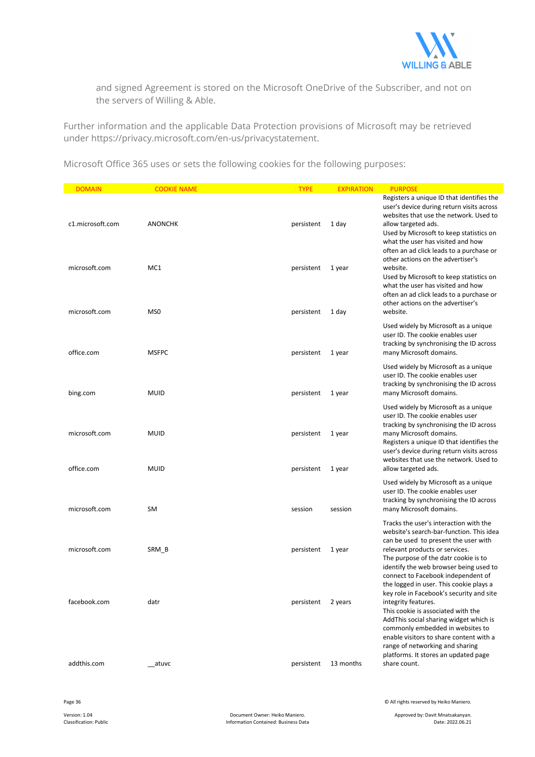

and signed Agreement is stored on the Microsoft OneDrive of the Subscriber, and not on the servers of Willing & Able.

Further information and the applicable Data Protection provisions of Microsoft may be retrieved under https://privacy.microsoft.com/en-us/privacystatement.

Microsoft Office 365 uses or sets the following cookies for the following purposes:

| <b>DOMAIN</b>                  | <b>COOKIE NAME</b>       | <b>TYPE</b>              | <b>EXPIRATION</b> | <b>PURPOSE</b>                                                                                                                                                                                                                                                                                                           |
|--------------------------------|--------------------------|--------------------------|-------------------|--------------------------------------------------------------------------------------------------------------------------------------------------------------------------------------------------------------------------------------------------------------------------------------------------------------------------|
| c1.microsoft.com               | <b>ANONCHK</b>           | persistent               | 1 day             | Registers a unique ID that identifies the<br>user's device during return visits across<br>websites that use the network. Used to<br>allow targeted ads.<br>Used by Microsoft to keep statistics on<br>what the user has visited and how<br>often an ad click leads to a purchase or<br>other actions on the advertiser's |
| microsoft.com<br>microsoft.com | MC1<br>M <sub>S</sub> O  | persistent<br>persistent | 1 year<br>1 day   | website.<br>Used by Microsoft to keep statistics on<br>what the user has visited and how<br>often an ad click leads to a purchase or<br>other actions on the advertiser's<br>website.                                                                                                                                    |
| office.com                     | <b>MSFPC</b>             | persistent               | 1 year            | Used widely by Microsoft as a unique<br>user ID. The cookie enables user<br>tracking by synchronising the ID across<br>many Microsoft domains.                                                                                                                                                                           |
| bing.com                       | <b>MUID</b>              | persistent               | 1 year            | Used widely by Microsoft as a unique<br>user ID. The cookie enables user<br>tracking by synchronising the ID across<br>many Microsoft domains.                                                                                                                                                                           |
| microsoft.com                  | <b>MUID</b>              | persistent               | 1 year            | Used widely by Microsoft as a unique<br>user ID. The cookie enables user<br>tracking by synchronising the ID across<br>many Microsoft domains.<br>Registers a unique ID that identifies the<br>user's device during return visits across<br>websites that use the network. Used to                                       |
| office.com<br>microsoft.com    | <b>MUID</b><br><b>SM</b> | persistent<br>session    | 1 year<br>session | allow targeted ads.<br>Used widely by Microsoft as a unique<br>user ID. The cookie enables user<br>tracking by synchronising the ID across                                                                                                                                                                               |
|                                |                          |                          |                   | many Microsoft domains.<br>Tracks the user's interaction with the<br>website's search-bar-function. This idea<br>can be used to present the user with                                                                                                                                                                    |
| microsoft.com                  | SRM_B                    | persistent               | 1 year            | relevant products or services.<br>The purpose of the datr cookie is to<br>identify the web browser being used to<br>connect to Facebook independent of<br>the logged in user. This cookie plays a                                                                                                                        |
| facebook.com                   | datr                     | persistent               | 2 years           | key role in Facebook's security and site<br>integrity features.<br>This cookie is associated with the<br>AddThis social sharing widget which is<br>commonly embedded in websites to<br>enable visitors to share content with a<br>range of networking and sharing                                                        |
| addthis.com                    | _atuvc                   | persistent               | 13 months         | platforms. It stores an updated page<br>share count.                                                                                                                                                                                                                                                                     |

Page 36 © All rights reserved by Heiko Maniero.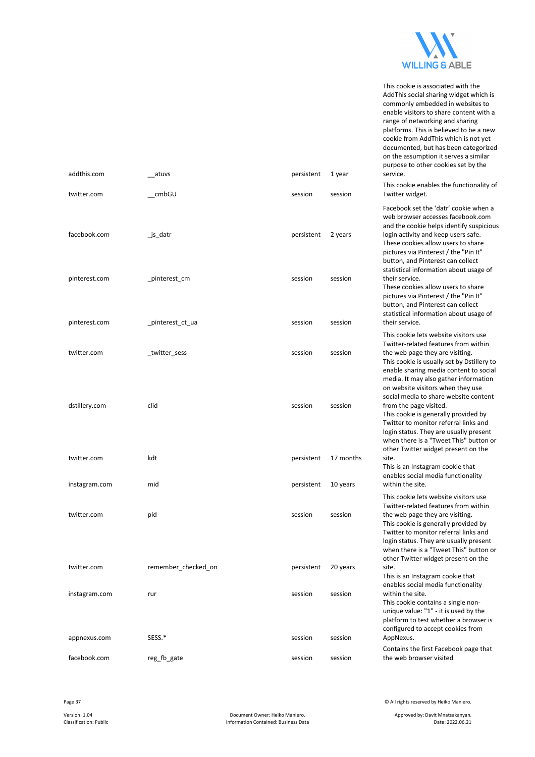

This cookie is associated with the

| addthis.com   | _atuvs              | persistent | 1 year    | AddThis social sharing widget which is<br>commonly embedded in websites to<br>enable visitors to share content with a<br>range of networking and sharing<br>platforms. This is believed to be a new<br>cookie from AddThis which is not yet<br>documented, but has been categorized<br>on the assumption it serves a similar<br>purpose to other cookies set by the<br>service. |
|---------------|---------------------|------------|-----------|---------------------------------------------------------------------------------------------------------------------------------------------------------------------------------------------------------------------------------------------------------------------------------------------------------------------------------------------------------------------------------|
| twitter.com   | cmbGU               | session    | session   | This cookie enables the functionality of<br>Twitter widget.                                                                                                                                                                                                                                                                                                                     |
| facebook.com  | _js_datr            | persistent | 2 years   | Facebook set the 'datr' cookie when a<br>web browser accesses facebook.com<br>and the cookie helps identify suspicious<br>login activity and keep users safe.<br>These cookies allow users to share<br>pictures via Pinterest / the "Pin It"<br>button, and Pinterest can collect                                                                                               |
| pinterest.com | _pinterest_cm       | session    | session   | statistical information about usage of<br>their service.<br>These cookies allow users to share<br>pictures via Pinterest / the "Pin It"<br>button, and Pinterest can collect<br>statistical information about usage of                                                                                                                                                          |
| pinterest.com | _pinterest_ct_ua    | session    | session   | their service.                                                                                                                                                                                                                                                                                                                                                                  |
| twitter.com   | _twitter_sess       | session    | session   | This cookie lets website visitors use<br>Twitter-related features from within<br>the web page they are visiting.<br>This cookie is usually set by Dstillery to<br>enable sharing media content to social                                                                                                                                                                        |
| dstillery.com | clid                | session    | session   | media. It may also gather information<br>on website visitors when they use<br>social media to share website content<br>from the page visited.<br>This cookie is generally provided by<br>Twitter to monitor referral links and<br>login status. They are usually present<br>when there is a "Tweet This" button or                                                              |
| twitter.com   | kdt                 | persistent | 17 months | other Twitter widget present on the<br>site.<br>This is an Instagram cookie that<br>enables social media functionality                                                                                                                                                                                                                                                          |
| instagram.com | mid                 | persistent | 10 years  | within the site.                                                                                                                                                                                                                                                                                                                                                                |
| twitter.com   | pid                 | session    | session   | This cookie lets website visitors use<br>Twitter-related features from within<br>the web page they are visiting.<br>This cookie is generally provided by<br>Twitter to monitor referral links and<br>login status. They are usually present<br>when there is a "Tweet This" button or                                                                                           |
| twitter.com   | remember_checked_on | persistent | 20 years  | other Twitter widget present on the<br>site.                                                                                                                                                                                                                                                                                                                                    |
| instagram.com | rur                 | session    | session   | This is an Instagram cookie that<br>enables social media functionality<br>within the site.<br>This cookie contains a single non-<br>unique value: "1" - it is used by the<br>platform to test whether a browser is<br>configured to accept cookies from                                                                                                                         |
| appnexus.com  | SESS.*              | session    | session   | AppNexus.<br>Contains the first Facebook page that                                                                                                                                                                                                                                                                                                                              |
| facebook.com  | reg_fb_gate         | session    | session   | the web browser visited                                                                                                                                                                                                                                                                                                                                                         |

Page 37 © All rights reserved by Heiko Maniero.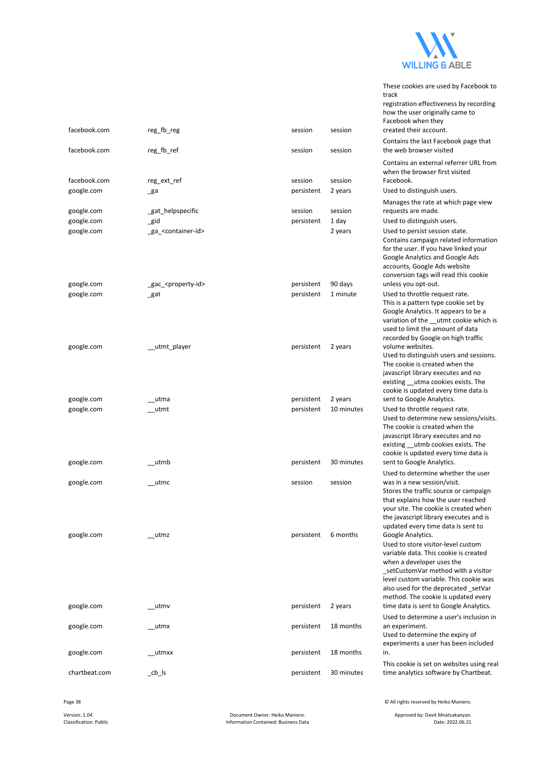

These cookies are used by Facebook to

track

| facebook.com             | reg_fb_reg                         | session                  | session            | registration effectiveness by recording<br>how the user originally came to<br>Facebook when they<br>created their account.                                                                                                                                                                    |
|--------------------------|------------------------------------|--------------------------|--------------------|-----------------------------------------------------------------------------------------------------------------------------------------------------------------------------------------------------------------------------------------------------------------------------------------------|
| facebook.com             | reg_fb_ref                         | session                  | session            | Contains the last Facebook page that<br>the web browser visited                                                                                                                                                                                                                               |
| facebook.com             | reg_ext_ref                        | session                  | session            | Contains an external referrer URL from<br>when the browser first visited<br>Facebook.                                                                                                                                                                                                         |
| google.com               | _ga                                | persistent               | 2 years            | Used to distinguish users.                                                                                                                                                                                                                                                                    |
| google.com               | _gat_helpspecific                  | session                  | session            | Manages the rate at which page view<br>requests are made.                                                                                                                                                                                                                                     |
| google.com               | $\_$ gid                           | persistent               | 1 day              | Used to distinguish users.                                                                                                                                                                                                                                                                    |
| google.com               | _ga_ <container-id></container-id> |                          | 2 years            | Used to persist session state.<br>Contains campaign related information<br>for the user. If you have linked your<br>Google Analytics and Google Ads<br>accounts, Google Ads website<br>conversion tags will read this cookie                                                                  |
| google.com               | gac <property-id></property-id>    | persistent               | 90 days            | unless you opt-out.                                                                                                                                                                                                                                                                           |
| google.com               | _gat                               | persistent               | 1 minute           | Used to throttle request rate.<br>This is a pattern type cookie set by<br>Google Analytics. It appears to be a<br>variation of the utmt cookie which is<br>used to limit the amount of data<br>recorded by Google on high traffic                                                             |
| google.com<br>google.com | utmt_player<br>utma                | persistent<br>persistent | 2 years<br>2 years | volume websites.<br>Used to distinguish users and sessions.<br>The cookie is created when the<br>javascript library executes and no<br>existing ___ utma cookies exists. The<br>cookie is updated every time data is<br>sent to Google Analytics.                                             |
| google.com               | _utmt                              | persistent               | 10 minutes         | Used to throttle request rate.<br>Used to determine new sessions/visits.<br>The cookie is created when the<br>javascript library executes and no<br>existing __utmb cookies exists. The<br>cookie is updated every time data is                                                               |
| google.com               | utmb                               | persistent               | 30 minutes         | sent to Google Analytics.<br>Used to determine whether the user                                                                                                                                                                                                                               |
| google.com               | _utmc                              | session                  | session            | was in a new session/visit.<br>Stores the traffic source or campaign<br>that explains how the user reached<br>your site. The cookie is created when<br>the javascript library executes and is<br>updated every time data is sent to                                                           |
| google.com               | utmz                               | persistent               | 6 months           | Google Analytics.<br>Used to store visitor-level custom<br>variable data. This cookie is created<br>when a developer uses the<br>_setCustomVar method with a visitor<br>level custom variable. This cookie was<br>also used for the deprecated _setVar<br>method. The cookie is updated every |
| google.com               | _utmv                              | persistent               | 2 years            | time data is sent to Google Analytics.<br>Used to determine a user's inclusion in                                                                                                                                                                                                             |
| google.com               | __utmx                             | persistent               | 18 months          | an experiment.<br>Used to determine the expiry of<br>experiments a user has been included                                                                                                                                                                                                     |
| google.com               | _utmxx                             | persistent               | 18 months          | in.                                                                                                                                                                                                                                                                                           |
| chartbeat.com            | _cb_ls                             | persistent               | 30 minutes         | This cookie is set on websites using real<br>time analytics software by Chartbeat.                                                                                                                                                                                                            |

Page 38 © All rights reserved by Heiko Maniero.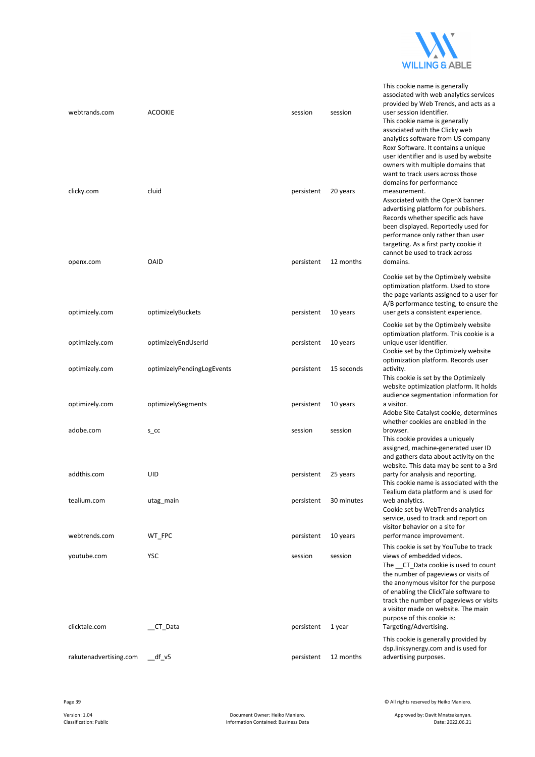

| webtrands.com                | <b>ACOOKIE</b>             | session               | session           | This cookie name is generally<br>associated with web analytics services<br>provided by Web Trends, and acts as a<br>user session identifier.<br>This cookie name is generally<br>associated with the Clicky web<br>analytics software from US company<br>Roxr Software. It contains a unique                                                                                                                                       |
|------------------------------|----------------------------|-----------------------|-------------------|------------------------------------------------------------------------------------------------------------------------------------------------------------------------------------------------------------------------------------------------------------------------------------------------------------------------------------------------------------------------------------------------------------------------------------|
| clicky.com                   | cluid                      | persistent            | 20 years          | user identifier and is used by website<br>owners with multiple domains that<br>want to track users across those<br>domains for performance<br>measurement.<br>Associated with the OpenX banner<br>advertising platform for publishers.<br>Records whether specific ads have<br>been displayed. Reportedly used for<br>performance only rather than user<br>targeting. As a first party cookie it<br>cannot be used to track across |
| openx.com                    | OAID                       | persistent            | 12 months         | domains.                                                                                                                                                                                                                                                                                                                                                                                                                           |
| optimizely.com               | optimizelyBuckets          | persistent            | 10 years          | Cookie set by the Optimizely website<br>optimization platform. Used to store<br>the page variants assigned to a user for<br>A/B performance testing, to ensure the<br>user gets a consistent experience.                                                                                                                                                                                                                           |
|                              |                            |                       |                   | Cookie set by the Optimizely website                                                                                                                                                                                                                                                                                                                                                                                               |
| optimizely.com               | optimizelyEndUserId        | persistent            | 10 years          | optimization platform. This cookie is a<br>unique user identifier.<br>Cookie set by the Optimizely website<br>optimization platform. Records user                                                                                                                                                                                                                                                                                  |
| optimizely.com               | optimizelyPendingLogEvents | persistent            | 15 seconds        | activity.<br>This cookie is set by the Optimizely<br>website optimization platform. It holds                                                                                                                                                                                                                                                                                                                                       |
| optimizely.com               | optimizelySegments         | persistent            | 10 years          | audience segmentation information for<br>a visitor.<br>Adobe Site Catalyst cookie, determines<br>whether cookies are enabled in the                                                                                                                                                                                                                                                                                                |
| adobe.com                    | $S_{\text{C}}$             | session               | session           | browser.<br>This cookie provides a uniquely<br>assigned, machine-generated user ID<br>and gathers data about activity on the<br>website. This data may be sent to a 3rd                                                                                                                                                                                                                                                            |
| addthis.com                  | UID                        | persistent            | 25 years          | party for analysis and reporting.<br>This cookie name is associated with the<br>Tealium data platform and is used for                                                                                                                                                                                                                                                                                                              |
| tealium.com                  | utag_main                  | persistent            | 30 minutes        | web analytics.<br>Cookie set by WebTrends analytics<br>service, used to track and report on<br>visitor behavior on a site for                                                                                                                                                                                                                                                                                                      |
| webtrends.com                | WT_FPC                     | persistent            | 10 years          | performance improvement.                                                                                                                                                                                                                                                                                                                                                                                                           |
| youtube.com<br>clicktale.com | <b>YSC</b><br>CT_Data      | session<br>persistent | session<br>1 year | This cookie is set by YouTube to track<br>views of embedded videos.<br>The CT_Data cookie is used to count<br>the number of pageviews or visits of<br>the anonymous visitor for the purpose<br>of enabling the ClickTale software to<br>track the number of pageviews or visits<br>a visitor made on website. The main<br>purpose of this cookie is:<br>Targeting/Advertising.                                                     |
| rakutenadvertising.com       | df_v5                      | persistent            | 12 months         | This cookie is generally provided by<br>dsp.linksynergy.com and is used for<br>advertising purposes.                                                                                                                                                                                                                                                                                                                               |

Page 39 © All rights reserved by Heiko Maniero.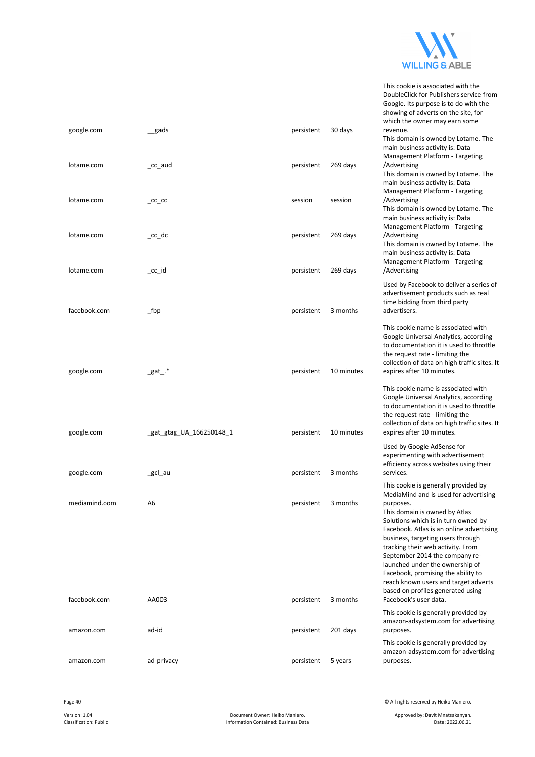

This cookie is associated with the

|                               |                          |                          |                      | DoubleClick for Publishers service from<br>Google. Its purpose is to do with the<br>showing of adverts on the site, for<br>which the owner may earn some                                                                                                                                                                                                                                                                                                                                                  |
|-------------------------------|--------------------------|--------------------------|----------------------|-----------------------------------------------------------------------------------------------------------------------------------------------------------------------------------------------------------------------------------------------------------------------------------------------------------------------------------------------------------------------------------------------------------------------------------------------------------------------------------------------------------|
| google.com                    | gads                     | persistent               | 30 days              | revenue.<br>This domain is owned by Lotame. The<br>main business activity is: Data                                                                                                                                                                                                                                                                                                                                                                                                                        |
| lotame.com                    | _cc_aud                  | persistent               | 269 days             | Management Platform - Targeting<br>/Advertising<br>This domain is owned by Lotame. The<br>main business activity is: Data                                                                                                                                                                                                                                                                                                                                                                                 |
| lotame.com                    | $cc$ $cc$                | session                  | session              | Management Platform - Targeting<br>/Advertising<br>This domain is owned by Lotame. The<br>main business activity is: Data                                                                                                                                                                                                                                                                                                                                                                                 |
| lotame.com<br>lotame.com      | _cc_dc<br>_cc_id         | persistent<br>persistent | 269 days<br>269 days | Management Platform - Targeting<br>/Advertising<br>This domain is owned by Lotame. The<br>main business activity is: Data<br>Management Platform - Targeting<br>/Advertising                                                                                                                                                                                                                                                                                                                              |
| facebook.com                  |                          |                          | 3 months             | Used by Facebook to deliver a series of<br>advertisement products such as real<br>time bidding from third party<br>advertisers.                                                                                                                                                                                                                                                                                                                                                                           |
| google.com                    | _fbp<br>$\_$ gat $\_$ *  | persistent<br>persistent | 10 minutes           | This cookie name is associated with<br>Google Universal Analytics, according<br>to documentation it is used to throttle<br>the request rate - limiting the<br>collection of data on high traffic sites. It<br>expires after 10 minutes.                                                                                                                                                                                                                                                                   |
| google.com                    | _gat_gtag_UA_166250148_1 | persistent               | 10 minutes           | This cookie name is associated with<br>Google Universal Analytics, according<br>to documentation it is used to throttle<br>the request rate - limiting the<br>collection of data on high traffic sites. It<br>expires after 10 minutes.                                                                                                                                                                                                                                                                   |
| google.com                    | _gcl_au                  | persistent               | 3 months             | Used by Google AdSense for<br>experimenting with advertisement<br>efficiency across websites using their<br>services.                                                                                                                                                                                                                                                                                                                                                                                     |
| mediamind.com<br>facebook.com | A6<br>AA003              | persistent<br>persistent | 3 months<br>3 months | This cookie is generally provided by<br>MediaMind and is used for advertising<br>purposes.<br>This domain is owned by Atlas<br>Solutions which is in turn owned by<br>Facebook. Atlas is an online advertising<br>business, targeting users through<br>tracking their web activity. From<br>September 2014 the company re-<br>launched under the ownership of<br>Facebook, promising the ability to<br>reach known users and target adverts<br>based on profiles generated using<br>Facebook's user data. |
| amazon.com                    | ad-id                    | persistent               | 201 days             | This cookie is generally provided by<br>amazon-adsystem.com for advertising<br>purposes.                                                                                                                                                                                                                                                                                                                                                                                                                  |
| amazon.com                    | ad-privacy               | persistent               | 5 years              | This cookie is generally provided by<br>amazon-adsystem.com for advertising<br>purposes.                                                                                                                                                                                                                                                                                                                                                                                                                  |

Page 40 © All rights reserved by Heiko Maniero.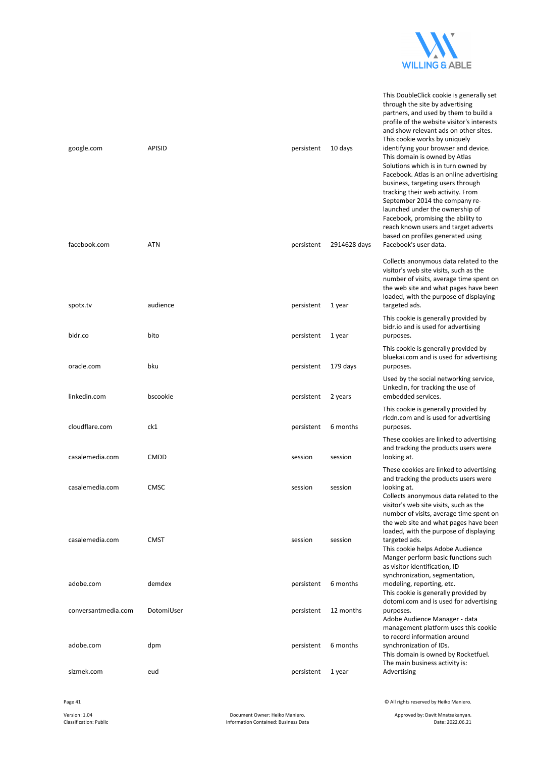

This DoubleClick cookie is generally set

| google.com<br>facebook.com | APISID<br><b>ATN</b> | persistent<br>persistent | 10 days<br>2914628 days | through the site by advertising<br>partners, and used by them to build a<br>profile of the website visitor's interests<br>and show relevant ads on other sites.<br>This cookie works by uniquely<br>identifying your browser and device.<br>This domain is owned by Atlas<br>Solutions which is in turn owned by<br>Facebook. Atlas is an online advertising<br>business, targeting users through<br>tracking their web activity. From<br>September 2014 the company re-<br>launched under the ownership of<br>Facebook, promising the ability to<br>reach known users and target adverts<br>based on profiles generated using<br>Facebook's user data. |
|----------------------------|----------------------|--------------------------|-------------------------|---------------------------------------------------------------------------------------------------------------------------------------------------------------------------------------------------------------------------------------------------------------------------------------------------------------------------------------------------------------------------------------------------------------------------------------------------------------------------------------------------------------------------------------------------------------------------------------------------------------------------------------------------------|
| spotx.tv                   | audience             | persistent               | 1 year                  | Collects anonymous data related to the<br>visitor's web site visits, such as the<br>number of visits, average time spent on<br>the web site and what pages have been<br>loaded, with the purpose of displaying<br>targeted ads.                                                                                                                                                                                                                                                                                                                                                                                                                         |
| bidr.co                    | bito                 | persistent               | 1 year                  | This cookie is generally provided by<br>bidr.io and is used for advertising<br>purposes.                                                                                                                                                                                                                                                                                                                                                                                                                                                                                                                                                                |
| oracle.com                 | bku                  | persistent               | 179 days                | This cookie is generally provided by<br>bluekai.com and is used for advertising<br>purposes.                                                                                                                                                                                                                                                                                                                                                                                                                                                                                                                                                            |
| linkedin.com               | bscookie             | persistent               | 2 years                 | Used by the social networking service,<br>LinkedIn, for tracking the use of<br>embedded services.                                                                                                                                                                                                                                                                                                                                                                                                                                                                                                                                                       |
| cloudflare.com             | ck1                  | persistent               | 6 months                | This cookie is generally provided by<br>rlcdn.com and is used for advertising<br>purposes.                                                                                                                                                                                                                                                                                                                                                                                                                                                                                                                                                              |
| casalemedia.com            | <b>CMDD</b>          | session                  | session                 | These cookies are linked to advertising<br>and tracking the products users were<br>looking at.                                                                                                                                                                                                                                                                                                                                                                                                                                                                                                                                                          |
|                            |                      |                          |                         | These cookies are linked to advertising<br>and tracking the products users were                                                                                                                                                                                                                                                                                                                                                                                                                                                                                                                                                                         |
| casalemedia.com            | <b>CMSC</b>          | session                  | session                 | looking at.<br>Collects anonymous data related to the<br>visitor's web site visits, such as the<br>number of visits, average time spent on                                                                                                                                                                                                                                                                                                                                                                                                                                                                                                              |
| casalemedia.com            | CMST                 | session                  | session                 | the web site and what pages have been<br>loaded, with the purpose of displaying<br>targeted ads.<br>This cookie helps Adobe Audience<br>Manger perform basic functions such<br>as visitor identification, ID                                                                                                                                                                                                                                                                                                                                                                                                                                            |
| adobe.com                  | demdex               | persistent               | 6 months                | synchronization, segmentation,<br>modeling, reporting, etc.<br>This cookie is generally provided by                                                                                                                                                                                                                                                                                                                                                                                                                                                                                                                                                     |
| conversantmedia.com        | DotomiUser           | persistent               | 12 months               | dotomi.com and is used for advertising<br>purposes.<br>Adobe Audience Manager - data                                                                                                                                                                                                                                                                                                                                                                                                                                                                                                                                                                    |
| adobe.com                  | dpm                  | persistent               | 6 months                | management platform uses this cookie<br>to record information around<br>synchronization of IDs.<br>This domain is owned by Rocketfuel.<br>The main business activity is:                                                                                                                                                                                                                                                                                                                                                                                                                                                                                |
| sizmek.com                 | eud                  | persistent               | 1 year                  | Advertising                                                                                                                                                                                                                                                                                                                                                                                                                                                                                                                                                                                                                                             |

Page 41 © All rights reserved by Heiko Maniero.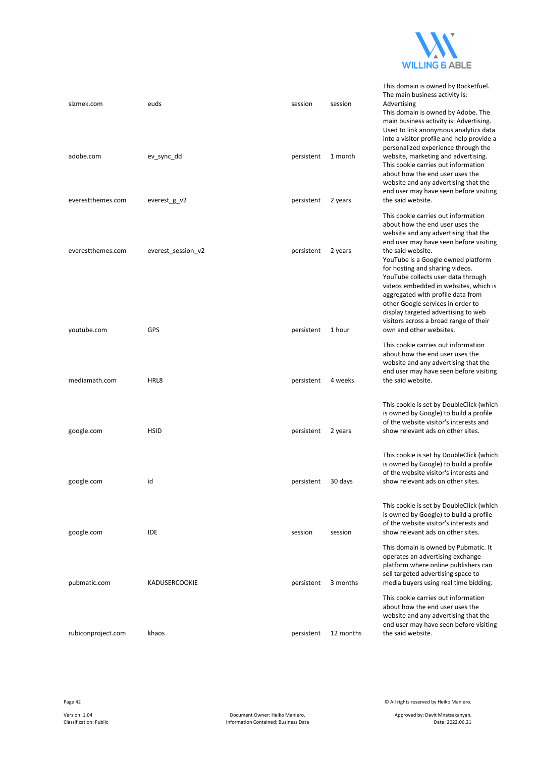

| sizmek.com<br>adobe.com<br>everestthemes.com | euds<br>ev_sync_dd<br>everest g v2 | session<br>persistent<br>persistent | session<br>1 month<br>2 years | This domain is owned by Rocketfuel.<br>The main business activity is:<br>Advertising<br>This domain is owned by Adobe. The<br>main business activity is: Advertising.<br>Used to link anonymous analytics data<br>into a visitor profile and help provide a<br>personalized experience through the<br>website, marketing and advertising.<br>This cookie carries out information<br>about how the end user uses the<br>website and any advertising that the<br>end user may have seen before visiting<br>the said website. |
|----------------------------------------------|------------------------------------|-------------------------------------|-------------------------------|----------------------------------------------------------------------------------------------------------------------------------------------------------------------------------------------------------------------------------------------------------------------------------------------------------------------------------------------------------------------------------------------------------------------------------------------------------------------------------------------------------------------------|
| everestthemes.com                            | everest_session_v2                 | persistent                          | 2 years                       | This cookie carries out information<br>about how the end user uses the<br>website and any advertising that the<br>end user may have seen before visiting<br>the said website.<br>YouTube is a Google owned platform<br>for hosting and sharing videos.<br>YouTube collects user data through                                                                                                                                                                                                                               |
| youtube.com                                  | GPS                                | persistent                          | 1 hour                        | videos embedded in websites, which is<br>aggregated with profile data from<br>other Google services in order to<br>display targeted advertising to web<br>visitors across a broad range of their<br>own and other websites.                                                                                                                                                                                                                                                                                                |
| mediamath.com                                | HRL8                               | persistent                          | 4 weeks                       | This cookie carries out information<br>about how the end user uses the<br>website and any advertising that the<br>end user may have seen before visiting<br>the said website.                                                                                                                                                                                                                                                                                                                                              |
| google.com                                   | <b>HSID</b>                        | persistent                          | 2 years                       | This cookie is set by DoubleClick (which<br>is owned by Google) to build a profile<br>of the website visitor's interests and<br>show relevant ads on other sites.                                                                                                                                                                                                                                                                                                                                                          |
| google.com                                   | id                                 | persistent                          | 30 days                       | This cookie is set by DoubleClick (which<br>is owned by Google) to build a profile<br>of the website visitor's interests and<br>show relevant ads on other sites.                                                                                                                                                                                                                                                                                                                                                          |
| google.com                                   | <b>IDE</b>                         | session                             | session                       | This cookie is set by DoubleClick (which<br>is owned by Google) to build a profile<br>of the website visitor's interests and<br>show relevant ads on other sites.                                                                                                                                                                                                                                                                                                                                                          |
| pubmatic.com                                 | <b>KADUSERCOOKIE</b>               | persistent                          | 3 months                      | This domain is owned by Pubmatic. It<br>operates an advertising exchange<br>platform where online publishers can<br>sell targeted advertising space to<br>media buyers using real time bidding.                                                                                                                                                                                                                                                                                                                            |
| rubiconproject.com                           | khaos                              | persistent                          | 12 months                     | This cookie carries out information<br>about how the end user uses the<br>website and any advertising that the<br>end user may have seen before visiting<br>the said website.                                                                                                                                                                                                                                                                                                                                              |

Page 42 © All rights reserved by Heiko Maniero.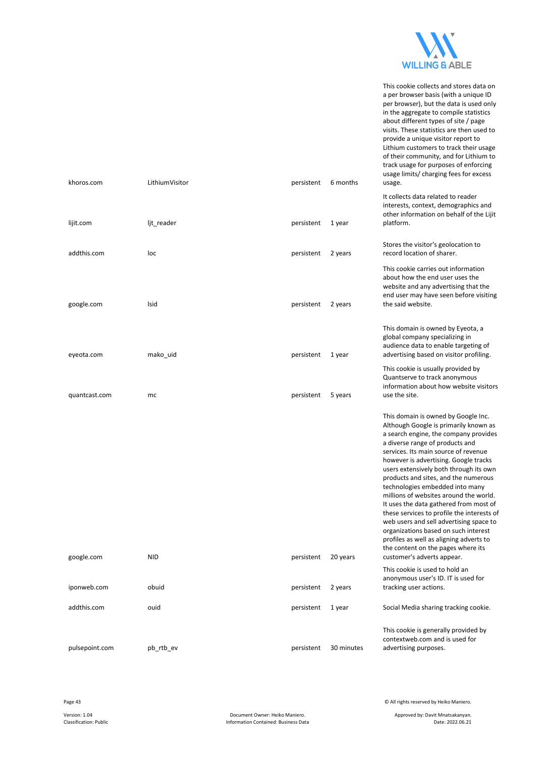

| khoros.com     | LithiumVisitor | persistent | 6 months   | This cookie collects and stores data on<br>a per browser basis (with a unique ID<br>per browser), but the data is used only<br>in the aggregate to compile statistics<br>about different types of site / page<br>visits. These statistics are then used to<br>provide a unique visitor report to<br>Lithium customers to track their usage<br>of their community, and for Lithium to<br>track usage for purposes of enforcing<br>usage limits/ charging fees for excess<br>usage.                                                                                                                                                                                    |
|----------------|----------------|------------|------------|----------------------------------------------------------------------------------------------------------------------------------------------------------------------------------------------------------------------------------------------------------------------------------------------------------------------------------------------------------------------------------------------------------------------------------------------------------------------------------------------------------------------------------------------------------------------------------------------------------------------------------------------------------------------|
| lijit.com      | ljt_reader     | persistent | 1 year     | It collects data related to reader<br>interests, context, demographics and<br>other information on behalf of the Lijit<br>platform.                                                                                                                                                                                                                                                                                                                                                                                                                                                                                                                                  |
| addthis.com    | loc            | persistent | 2 years    | Stores the visitor's geolocation to<br>record location of sharer.                                                                                                                                                                                                                                                                                                                                                                                                                                                                                                                                                                                                    |
| google.com     | Isid           | persistent | 2 years    | This cookie carries out information<br>about how the end user uses the<br>website and any advertising that the<br>end user may have seen before visiting<br>the said website.                                                                                                                                                                                                                                                                                                                                                                                                                                                                                        |
| eyeota.com     | mako_uid       | persistent | 1 year     | This domain is owned by Eyeota, a<br>global company specializing in<br>audience data to enable targeting of<br>advertising based on visitor profiling.                                                                                                                                                                                                                                                                                                                                                                                                                                                                                                               |
| quantcast.com  | mc             | persistent | 5 years    | This cookie is usually provided by<br>Quantserve to track anonymous<br>information about how website visitors<br>use the site.                                                                                                                                                                                                                                                                                                                                                                                                                                                                                                                                       |
|                |                |            |            | This domain is owned by Google Inc.<br>Although Google is primarily known as<br>a search engine, the company provides<br>a diverse range of products and<br>services. Its main source of revenue<br>however is advertising. Google tracks<br>users extensively both through its own<br>products and sites, and the numerous<br>technologies embedded into many<br>millions of websites around the world.<br>It uses the data gathered from most of<br>these services to profile the interests of<br>web users and sell advertising space to<br>organizations based on such interest<br>profiles as well as aligning adverts to<br>the content on the pages where its |
| google.com     | <b>NID</b>     | persistent | 20 years   | customer's adverts appear.<br>This cookie is used to hold an                                                                                                                                                                                                                                                                                                                                                                                                                                                                                                                                                                                                         |
| iponweb.com    | obuid          | persistent | 2 years    | anonymous user's ID. IT is used for<br>tracking user actions.                                                                                                                                                                                                                                                                                                                                                                                                                                                                                                                                                                                                        |
| addthis.com    | ouid           | persistent | 1 year     | Social Media sharing tracking cookie.                                                                                                                                                                                                                                                                                                                                                                                                                                                                                                                                                                                                                                |
| pulsepoint.com | pb_rtb_ev      | persistent | 30 minutes | This cookie is generally provided by<br>contextweb.com and is used for<br>advertising purposes.                                                                                                                                                                                                                                                                                                                                                                                                                                                                                                                                                                      |

Page 43 © All rights reserved by Heiko Maniero.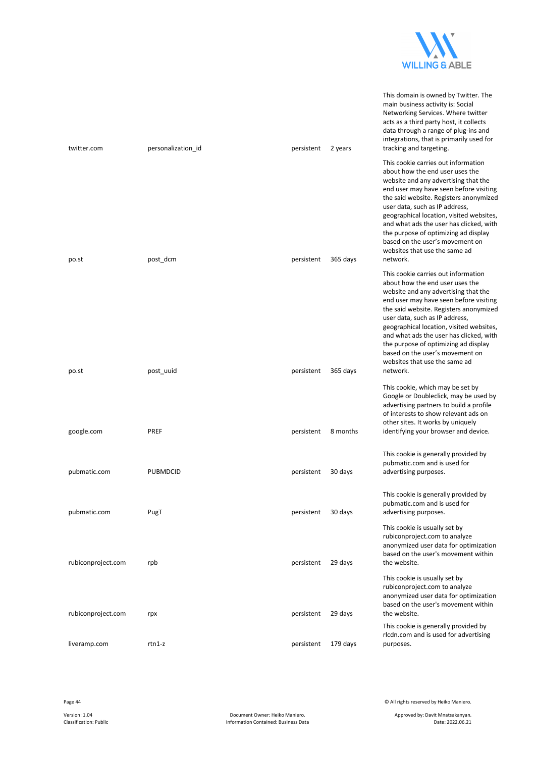

This domain is owned by Twitter. The

| twitter.com        | personalization_id | persistent | 2 years  | main business activity is: Social<br>Networking Services. Where twitter<br>acts as a third party host, it collects<br>data through a range of plug-ins and<br>integrations, that is primarily used for<br>tracking and targeting.                                                                                                                                                                                                                   |
|--------------------|--------------------|------------|----------|-----------------------------------------------------------------------------------------------------------------------------------------------------------------------------------------------------------------------------------------------------------------------------------------------------------------------------------------------------------------------------------------------------------------------------------------------------|
| po.st              | post_dcm           | persistent | 365 days | This cookie carries out information<br>about how the end user uses the<br>website and any advertising that the<br>end user may have seen before visiting<br>the said website. Registers anonymized<br>user data, such as IP address,<br>geographical location, visited websites,<br>and what ads the user has clicked, with<br>the purpose of optimizing ad display<br>based on the user's movement on<br>websites that use the same ad<br>network. |
| po.st              | post_uuid          | persistent | 365 days | This cookie carries out information<br>about how the end user uses the<br>website and any advertising that the<br>end user may have seen before visiting<br>the said website. Registers anonymized<br>user data, such as IP address,<br>geographical location, visited websites,<br>and what ads the user has clicked, with<br>the purpose of optimizing ad display<br>based on the user's movement on<br>websites that use the same ad<br>network. |
| google.com         | <b>PREF</b>        | persistent | 8 months | This cookie, which may be set by<br>Google or Doubleclick, may be used by<br>advertising partners to build a profile<br>of interests to show relevant ads on<br>other sites. It works by uniquely<br>identifying your browser and device.                                                                                                                                                                                                           |
|                    |                    |            |          |                                                                                                                                                                                                                                                                                                                                                                                                                                                     |
| pubmatic.com       | PUBMDCID           | persistent | 30 days  | This cookie is generally provided by<br>pubmatic.com and is used for<br>advertising purposes.                                                                                                                                                                                                                                                                                                                                                       |
| pubmatic.com       | PugT               | persistent | 30 days  | This cookie is generally provided by<br>pubmatic.com and is used for<br>advertising purposes.                                                                                                                                                                                                                                                                                                                                                       |
| rubiconproject.com | rpb                | persistent | 29 days  | This cookie is usually set by<br>rubiconproject.com to analyze<br>anonymized user data for optimization<br>based on the user's movement within<br>the website.                                                                                                                                                                                                                                                                                      |
| rubiconproject.com | rpx                | persistent | 29 days  | This cookie is usually set by<br>rubiconproject.com to analyze<br>anonymized user data for optimization<br>based on the user's movement within<br>the website.                                                                                                                                                                                                                                                                                      |
|                    |                    |            |          | This cookie is generally provided by<br>rlcdn.com and is used for advertising                                                                                                                                                                                                                                                                                                                                                                       |
| liveramp.com       | rtn1-z             | persistent | 179 days | purposes.                                                                                                                                                                                                                                                                                                                                                                                                                                           |

Page 44 © All rights reserved by Heiko Maniero.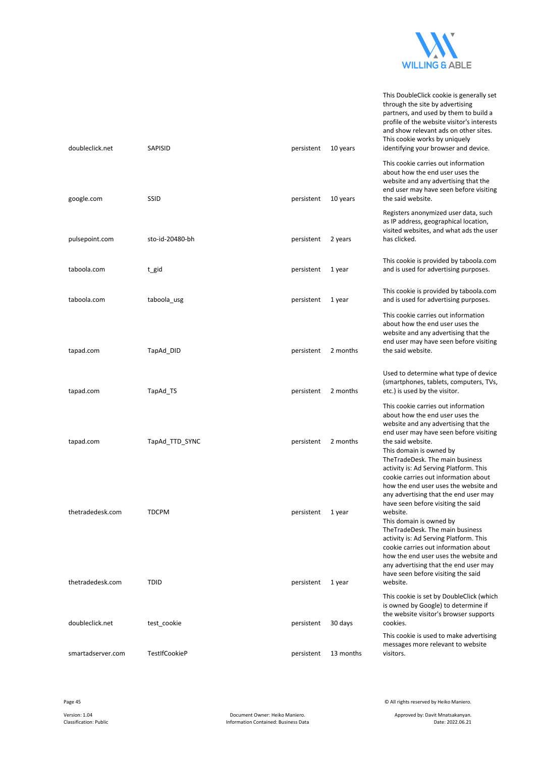

| doubleclick.net   | <b>SAPISID</b>       | persistent | 10 years  | This DoubleClick cookie is generally set<br>through the site by advertising<br>partners, and used by them to build a<br>profile of the website visitor's interests<br>and show relevant ads on other sites.<br>This cookie works by uniquely<br>identifying your browser and device.                                                                              |
|-------------------|----------------------|------------|-----------|-------------------------------------------------------------------------------------------------------------------------------------------------------------------------------------------------------------------------------------------------------------------------------------------------------------------------------------------------------------------|
| google.com        | SSID                 | persistent | 10 years  | This cookie carries out information<br>about how the end user uses the<br>website and any advertising that the<br>end user may have seen before visiting<br>the said website.                                                                                                                                                                                     |
| pulsepoint.com    | sto-id-20480-bh      | persistent | 2 years   | Registers anonymized user data, such<br>as IP address, geographical location,<br>visited websites, and what ads the user<br>has clicked.                                                                                                                                                                                                                          |
| taboola.com       | t_gid                | persistent | 1 year    | This cookie is provided by taboola.com<br>and is used for advertising purposes.                                                                                                                                                                                                                                                                                   |
| taboola.com       | taboola_usg          | persistent | 1 year    | This cookie is provided by taboola.com<br>and is used for advertising purposes.                                                                                                                                                                                                                                                                                   |
| tapad.com         | TapAd_DID            | persistent | 2 months  | This cookie carries out information<br>about how the end user uses the<br>website and any advertising that the<br>end user may have seen before visiting<br>the said website.                                                                                                                                                                                     |
| tapad.com         | TapAd_TS             | persistent | 2 months  | Used to determine what type of device<br>(smartphones, tablets, computers, TVs,<br>etc.) is used by the visitor.                                                                                                                                                                                                                                                  |
| tapad.com         | TapAd_TTD_SYNC       | persistent | 2 months  | This cookie carries out information<br>about how the end user uses the<br>website and any advertising that the<br>end user may have seen before visiting<br>the said website.<br>This domain is owned by<br>TheTradeDesk. The main business<br>activity is: Ad Serving Platform. This                                                                             |
| thetradedesk.com  | <b>TDCPM</b>         | persistent | 1 year    | cookie carries out information about<br>how the end user uses the website and<br>any advertising that the end user may<br>have seen before visiting the said<br>website.<br>This domain is owned by<br>TheTradeDesk. The main business<br>activity is: Ad Serving Platform. This<br>cookie carries out information about<br>how the end user uses the website and |
| thetradedesk.com  | <b>TDID</b>          | persistent | 1 year    | any advertising that the end user may<br>have seen before visiting the said<br>website.                                                                                                                                                                                                                                                                           |
| doubleclick.net   | test_cookie          | persistent | 30 days   | This cookie is set by DoubleClick (which<br>is owned by Google) to determine if<br>the website visitor's browser supports<br>cookies.                                                                                                                                                                                                                             |
| smartadserver.com | <b>TestIfCookieP</b> | persistent | 13 months | This cookie is used to make advertising<br>messages more relevant to website<br>visitors.                                                                                                                                                                                                                                                                         |

Page 45 © All rights reserved by Heiko Maniero.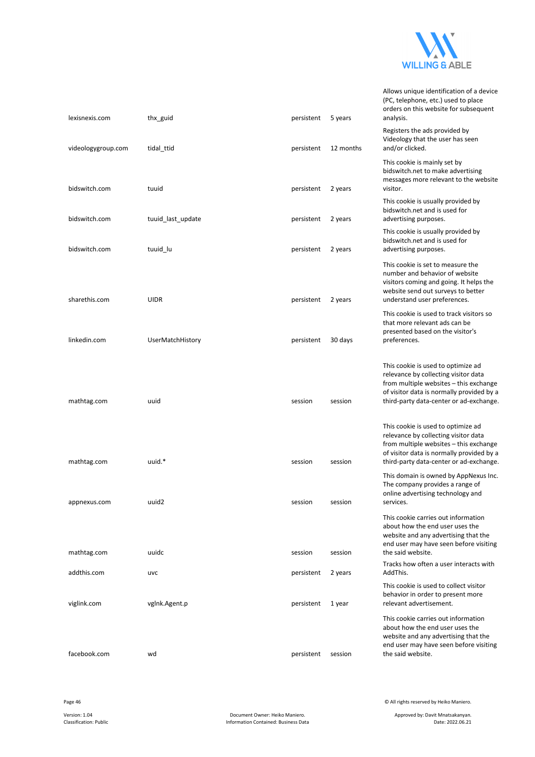

| lexisnexis.com     | thx_guid          | persistent | 5 years   | Allows unique identification of a device<br>(PC, telephone, etc.) used to place<br>orders on this website for subsequent<br>analysis.                                                                        |
|--------------------|-------------------|------------|-----------|--------------------------------------------------------------------------------------------------------------------------------------------------------------------------------------------------------------|
| videologygroup.com | tidal ttid        | persistent | 12 months | Registers the ads provided by<br>Videology that the user has seen<br>and/or clicked.                                                                                                                         |
| bidswitch.com      | tuuid             | persistent | 2 years   | This cookie is mainly set by<br>bidswitch.net to make advertising<br>messages more relevant to the website<br>visitor.                                                                                       |
| bidswitch.com      | tuuid_last_update | persistent | 2 years   | This cookie is usually provided by<br>bidswitch.net and is used for<br>advertising purposes.                                                                                                                 |
| bidswitch.com      | tuuid_lu          | persistent | 2 years   | This cookie is usually provided by<br>bidswitch.net and is used for<br>advertising purposes.                                                                                                                 |
| sharethis.com      | <b>UIDR</b>       | persistent | 2 years   | This cookie is set to measure the<br>number and behavior of website<br>visitors coming and going. It helps the<br>website send out surveys to better<br>understand user preferences.                         |
| linkedin.com       | UserMatchHistory  | persistent | 30 days   | This cookie is used to track visitors so<br>that more relevant ads can be<br>presented based on the visitor's<br>preferences.                                                                                |
| mathtag.com        | uuid              | session    | session   | This cookie is used to optimize ad<br>relevance by collecting visitor data<br>from multiple websites - this exchange<br>of visitor data is normally provided by a<br>third-party data-center or ad-exchange. |
| mathtag.com        | uuid.*            | session    | session   | This cookie is used to optimize ad<br>relevance by collecting visitor data<br>from multiple websites - this exchange<br>of visitor data is normally provided by a<br>third-party data-center or ad-exchange. |
| appnexus.com       | uuid2             | session    | session   | This domain is owned by AppNexus Inc.<br>The company provides a range of<br>online advertising technology and<br>services.                                                                                   |
|                    |                   |            |           | This cookie carries out information<br>about how the end user uses the<br>website and any advertising that the<br>end user may have seen before visiting                                                     |
| mathtag.com        | uuidc             | session    | session   | the said website.<br>Tracks how often a user interacts with                                                                                                                                                  |
| addthis.com        | uvc               | persistent | 2 years   | AddThis.                                                                                                                                                                                                     |
| viglink.com        | vglnk.Agent.p     | persistent | 1 year    | This cookie is used to collect visitor<br>behavior in order to present more<br>relevant advertisement.                                                                                                       |
|                    |                   |            |           | This cookie carries out information<br>about how the end user uses the<br>website and any advertising that the<br>end user may have seen before visiting                                                     |
| facebook.com       | wd                | persistent | session   | the said website.                                                                                                                                                                                            |

Page 46 © All rights reserved by Heiko Maniero.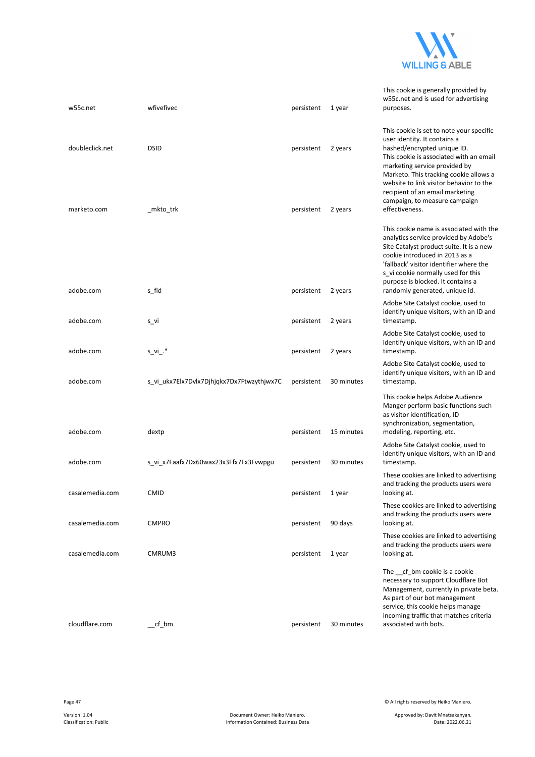

| w55c.net                       | wfivefivec                                | persistent               | 1 year             | This cookie is generally provided by<br>w55c.net and is used for advertising<br>purposes.                                                                                                                                                                                                                                                                      |
|--------------------------------|-------------------------------------------|--------------------------|--------------------|----------------------------------------------------------------------------------------------------------------------------------------------------------------------------------------------------------------------------------------------------------------------------------------------------------------------------------------------------------------|
| doubleclick.net<br>marketo.com | <b>DSID</b><br>_mkto_trk                  | persistent<br>persistent | 2 years<br>2 years | This cookie is set to note your specific<br>user identity. It contains a<br>hashed/encrypted unique ID.<br>This cookie is associated with an email<br>marketing service provided by<br>Marketo. This tracking cookie allows a<br>website to link visitor behavior to the<br>recipient of an email marketing<br>campaign, to measure campaign<br>effectiveness. |
| adobe.com                      | s_fid                                     | persistent               | 2 years            | This cookie name is associated with the<br>analytics service provided by Adobe's<br>Site Catalyst product suite. It is a new<br>cookie introduced in 2013 as a<br>'fallback' visitor identifier where the<br>s_vi cookie normally used for this<br>purpose is blocked. It contains a<br>randomly generated, unique id.                                         |
| adobe.com                      | s_vi                                      | persistent               | 2 years            | Adobe Site Catalyst cookie, used to<br>identify unique visitors, with an ID and<br>timestamp.                                                                                                                                                                                                                                                                  |
| adobe.com                      | $s$ _vi_.*                                | persistent               | 2 years            | Adobe Site Catalyst cookie, used to<br>identify unique visitors, with an ID and<br>timestamp.                                                                                                                                                                                                                                                                  |
| adobe.com                      | s_vi_ukx7Elx7Dvlx7Djhjqkx7Dx7Ftwzythjwx7C | persistent               | 30 minutes         | Adobe Site Catalyst cookie, used to<br>identify unique visitors, with an ID and<br>timestamp.                                                                                                                                                                                                                                                                  |
| adobe.com                      | dextp                                     | persistent               | 15 minutes         | This cookie helps Adobe Audience<br>Manger perform basic functions such<br>as visitor identification, ID<br>synchronization, segmentation,<br>modeling, reporting, etc.                                                                                                                                                                                        |
| adobe.com                      | s_vi_x7Faafx7Dx60wax23x3Ffx7Fx3Fvwpgu     | persistent               | 30 minutes         | Adobe Site Catalyst cookie, used to<br>identify unique visitors, with an ID and<br>timestamp.                                                                                                                                                                                                                                                                  |
| casalemedia.com                | <b>CMID</b>                               | persistent               | 1 year             | These cookies are linked to advertising<br>and tracking the products users were<br>looking at.                                                                                                                                                                                                                                                                 |
| casalemedia.com                | <b>CMPRO</b>                              | persistent               | 90 days            | These cookies are linked to advertising<br>and tracking the products users were<br>looking at.                                                                                                                                                                                                                                                                 |
| casalemedia.com                | CMRUM3                                    | persistent               | 1 year             | These cookies are linked to advertising<br>and tracking the products users were<br>looking at.                                                                                                                                                                                                                                                                 |
| cloudflare.com                 | cf_bm                                     | persistent               | 30 minutes         | The cf bm cookie is a cookie<br>necessary to support Cloudflare Bot<br>Management, currently in private beta.<br>As part of our bot management<br>service, this cookie helps manage<br>incoming traffic that matches criteria<br>associated with bots.                                                                                                         |

Page 47 © All rights reserved by Heiko Maniero.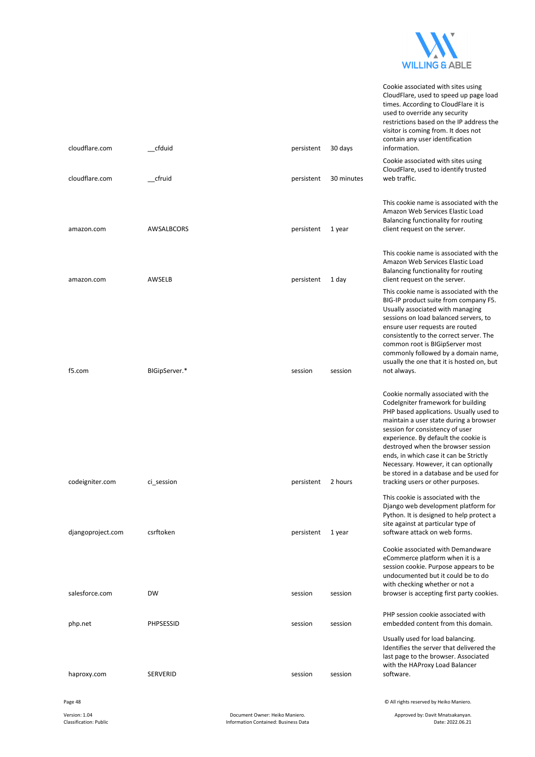

Cookie associated with sites using

| cloudflare.com    | cfduid        | persistent | 30 days    | CloudFlare, used to speed up page load<br>times. According to CloudFlare it is<br>used to override any security<br>restrictions based on the IP address the<br>visitor is coming from. It does not<br>contain any user identification<br>information.                                                                                                                                                                                              |
|-------------------|---------------|------------|------------|----------------------------------------------------------------------------------------------------------------------------------------------------------------------------------------------------------------------------------------------------------------------------------------------------------------------------------------------------------------------------------------------------------------------------------------------------|
|                   |               |            |            | Cookie associated with sites using<br>CloudFlare, used to identify trusted                                                                                                                                                                                                                                                                                                                                                                         |
| cloudflare.com    | cfruid        | persistent | 30 minutes | web traffic.                                                                                                                                                                                                                                                                                                                                                                                                                                       |
| amazon.com        | AWSALBCORS    | persistent | 1 year     | This cookie name is associated with the<br>Amazon Web Services Elastic Load<br>Balancing functionality for routing<br>client request on the server.                                                                                                                                                                                                                                                                                                |
| amazon.com        | AWSELB        | persistent | 1 day      | This cookie name is associated with the<br>Amazon Web Services Elastic Load<br>Balancing functionality for routing<br>client request on the server.                                                                                                                                                                                                                                                                                                |
| f5.com            | BIGipServer.* | session    | session    | This cookie name is associated with the<br>BIG-IP product suite from company F5.<br>Usually associated with managing<br>sessions on load balanced servers, to<br>ensure user requests are routed<br>consistently to the correct server. The<br>common root is BIGipServer most<br>commonly followed by a domain name,<br>usually the one that it is hosted on, but<br>not always.                                                                  |
| codeigniter.com   | ci session    | persistent | 2 hours    | Cookie normally associated with the<br>Codelgniter framework for building<br>PHP based applications. Usually used to<br>maintain a user state during a browser<br>session for consistency of user<br>experience. By default the cookie is<br>destroyed when the browser session<br>ends, in which case it can be Strictly<br>Necessary. However, it can optionally<br>be stored in a database and be used for<br>tracking users or other purposes. |
| djangoproject.com | csrftoken     | persistent | 1 year     | This cookie is associated with the<br>Django web development platform for<br>Python. It is designed to help protect a<br>site against at particular type of<br>software attack on web forms.                                                                                                                                                                                                                                                       |
| salesforce.com    | <b>DW</b>     | session    | session    | Cookie associated with Demandware<br>eCommerce platform when it is a<br>session cookie. Purpose appears to be<br>undocumented but it could be to do<br>with checking whether or not a<br>browser is accepting first party cookies.                                                                                                                                                                                                                 |
| php.net           | PHPSESSID     | session    | session    | PHP session cookie associated with<br>embedded content from this domain.                                                                                                                                                                                                                                                                                                                                                                           |
| haproxy.com       | SERVERID      | session    | session    | Usually used for load balancing.<br>Identifies the server that delivered the<br>last page to the browser. Associated<br>with the HAProxy Load Balancer<br>software.                                                                                                                                                                                                                                                                                |
|                   |               |            |            |                                                                                                                                                                                                                                                                                                                                                                                                                                                    |
| Page 48           |               |            |            | © All rights reserved by Heiko Maniero.                                                                                                                                                                                                                                                                                                                                                                                                            |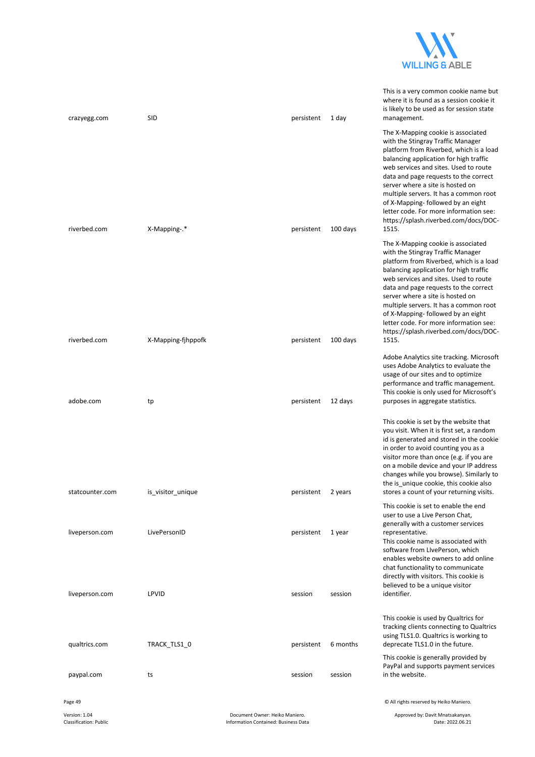

| crazyegg.com    | <b>SID</b>         | persistent | 1 day    | This is a very common cookie name but<br>where it is found as a session cookie it<br>is likely to be used as for session state<br>management.                                                                                                                                                                                                                                                                                                                 |
|-----------------|--------------------|------------|----------|---------------------------------------------------------------------------------------------------------------------------------------------------------------------------------------------------------------------------------------------------------------------------------------------------------------------------------------------------------------------------------------------------------------------------------------------------------------|
| riverbed.com    | X-Mapping-.*       | persistent | 100 days | The X-Mapping cookie is associated<br>with the Stingray Traffic Manager<br>platform from Riverbed, which is a load<br>balancing application for high traffic<br>web services and sites. Used to route<br>data and page requests to the correct<br>server where a site is hosted on<br>multiple servers. It has a common root<br>of X-Mapping-followed by an eight<br>letter code. For more information see:<br>https://splash.riverbed.com/docs/DOC-<br>1515. |
|                 |                    |            |          | The X-Mapping cookie is associated<br>with the Stingray Traffic Manager<br>platform from Riverbed, which is a load<br>balancing application for high traffic<br>web services and sites. Used to route<br>data and page requests to the correct<br>server where a site is hosted on<br>multiple servers. It has a common root<br>of X-Mapping-followed by an eight<br>letter code. For more information see:<br>https://splash.riverbed.com/docs/DOC-          |
| riverbed.com    | X-Mapping-fjhppofk | persistent | 100 days | 1515.                                                                                                                                                                                                                                                                                                                                                                                                                                                         |
|                 |                    |            |          | Adobe Analytics site tracking. Microsoft<br>uses Adobe Analytics to evaluate the<br>usage of our sites and to optimize<br>performance and traffic management.<br>This cookie is only used for Microsoft's                                                                                                                                                                                                                                                     |
| adobe.com       | tp                 | persistent | 12 days  | purposes in aggregate statistics.                                                                                                                                                                                                                                                                                                                                                                                                                             |
| statcounter.com | is_visitor_unique  | persistent | 2 years  | This cookie is set by the website that<br>you visit. When it is first set, a random<br>id is generated and stored in the cookie<br>in order to avoid counting you as a<br>visitor more than once (e.g. if you are<br>on a mobile device and your IP address<br>changes while you browse). Similarly to<br>the is_unique cookie, this cookie also<br>stores a count of your returning visits.                                                                  |
|                 |                    |            |          | This cookie is set to enable the end<br>user to use a Live Person Chat,                                                                                                                                                                                                                                                                                                                                                                                       |
| liveperson.com  | LivePersonID       | persistent | 1 year   | generally with a customer services<br>representative.<br>This cookie name is associated with<br>software from LIvePerson, which<br>enables website owners to add online                                                                                                                                                                                                                                                                                       |
|                 |                    |            |          | chat functionality to communicate<br>directly with visitors. This cookie is                                                                                                                                                                                                                                                                                                                                                                                   |
| liveperson.com  | LPVID              | session    | session  | believed to be a unique visitor<br>identifier.                                                                                                                                                                                                                                                                                                                                                                                                                |
| qualtrics.com   | TRACK_TLS1_0       | persistent | 6 months | This cookie is used by Qualtrics for<br>tracking clients connecting to Qualtrics<br>using TLS1.0. Qualtrics is working to<br>deprecate TLS1.0 in the future.                                                                                                                                                                                                                                                                                                  |
|                 |                    |            |          | This cookie is generally provided by<br>PayPal and supports payment services                                                                                                                                                                                                                                                                                                                                                                                  |
| paypal.com      | ts                 | session    | session  | in the website.                                                                                                                                                                                                                                                                                                                                                                                                                                               |

Version: 1.04 **Document Owner: Heiko Maniero.** المستخدم المستخدم المستخدم المستخدم المستخدم المستخدم المستخدم ال<br>2022.06.21 Date: 2022.06.21 Date: 2022.06.21 Information Contained: Business Data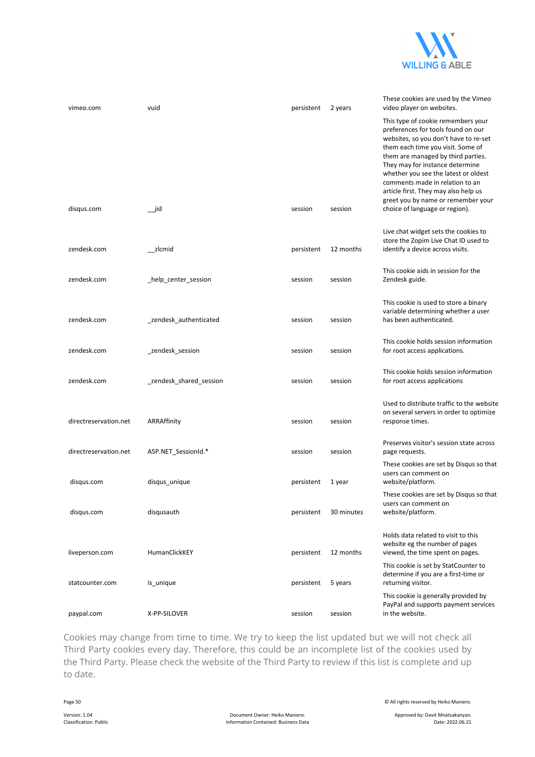

| vimeo.com             | vuid                    | persistent | 2 years    | These cookies are used by the Vimeo<br>video player on websites.                                                                                                                                                                                                                                                                                                                                                           |
|-----------------------|-------------------------|------------|------------|----------------------------------------------------------------------------------------------------------------------------------------------------------------------------------------------------------------------------------------------------------------------------------------------------------------------------------------------------------------------------------------------------------------------------|
| disqus.com            | iid                     | session    | session    | This type of cookie remembers your<br>preferences for tools found on our<br>websites, so you don't have to re-set<br>them each time you visit. Some of<br>them are managed by third parties.<br>They may for instance determine<br>whether you see the latest or oldest<br>comments made in relation to an<br>article first. They may also help us<br>greet you by name or remember your<br>choice of language or region). |
|                       |                         |            |            | Live chat widget sets the cookies to                                                                                                                                                                                                                                                                                                                                                                                       |
| zendesk.com           | zlcmid                  | persistent | 12 months  | store the Zopim Live Chat ID used to<br>identify a device across visits.                                                                                                                                                                                                                                                                                                                                                   |
| zendesk.com           | _help_center_session    | session    | session    | This cookie aids in session for the<br>Zendesk guide.                                                                                                                                                                                                                                                                                                                                                                      |
| zendesk.com           | _zendesk_authenticated  | session    | session    | This cookie is used to store a binary<br>variable determining whether a user<br>has been authenticated.                                                                                                                                                                                                                                                                                                                    |
| zendesk.com           | zendesk_session         | session    | session    | This cookie holds session information<br>for root access applications.                                                                                                                                                                                                                                                                                                                                                     |
| zendesk.com           | _zendesk_shared_session | session    | session    | This cookie holds session information<br>for root access applications                                                                                                                                                                                                                                                                                                                                                      |
| directreservation.net | ARRAffinity             | session    | session    | Used to distribute traffic to the website<br>on several servers in order to optimize<br>response times.                                                                                                                                                                                                                                                                                                                    |
| directreservation.net | ASP.NET_SessionId.*     | session    | session    | Preserves visitor's session state across<br>page requests.                                                                                                                                                                                                                                                                                                                                                                 |
| disqus.com            | disqus_unique           | persistent | 1 year     | These cookies are set by Disqus so that<br>users can comment on<br>website/platform.                                                                                                                                                                                                                                                                                                                                       |
| disqus.com            | disqusauth              | persistent | 30 minutes | These cookies are set by Disqus so that<br>users can comment on<br>website/platform.                                                                                                                                                                                                                                                                                                                                       |
| liveperson.com        | HumanClickKEY           | persistent | 12 months  | Holds data related to visit to this<br>website eg the number of pages<br>viewed, the time spent on pages.                                                                                                                                                                                                                                                                                                                  |
| statcounter.com       | is unique               | persistent | 5 years    | This cookie is set by StatCounter to<br>determine if you are a first-time or<br>returning visitor.                                                                                                                                                                                                                                                                                                                         |
| paypal.com            | X-PP-SILOVER            | session    | session    | This cookie is generally provided by<br>PayPal and supports payment services<br>in the website.                                                                                                                                                                                                                                                                                                                            |

Cookies may change from time to time. We try to keep the list updated but we will not check all Third Party cookies every day. Therefore, this could be an incomplete list of the cookies used by the Third Party. Please check the website of the Third Party to review if this list is complete and up to date.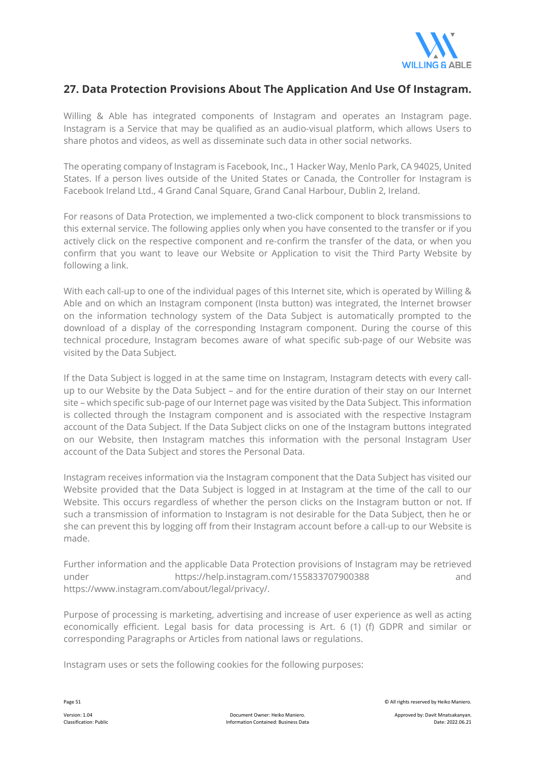

## **27. Data Protection Provisions About The Application And Use Of Instagram.**

Willing & Able has integrated components of Instagram and operates an Instagram page. Instagram is a Service that may be qualified as an audio-visual platform, which allows Users to share photos and videos, as well as disseminate such data in other social networks.

The operating company of Instagram is Facebook, Inc., 1 Hacker Way, Menlo Park, CA 94025, United States. If a person lives outside of the United States or Canada, the Controller for Instagram is Facebook Ireland Ltd., 4 Grand Canal Square, Grand Canal Harbour, Dublin 2, Ireland.

For reasons of Data Protection, we implemented a two-click component to block transmissions to this external service. The following applies only when you have consented to the transfer or if you actively click on the respective component and re-confirm the transfer of the data, or when you confirm that you want to leave our Website or Application to visit the Third Party Website by following a link.

With each call-up to one of the individual pages of this Internet site, which is operated by Willing & Able and on which an Instagram component (Insta button) was integrated, the Internet browser on the information technology system of the Data Subject is automatically prompted to the download of a display of the corresponding Instagram component. During the course of this technical procedure, Instagram becomes aware of what specific sub-page of our Website was visited by the Data Subject.

If the Data Subject is logged in at the same time on Instagram, Instagram detects with every callup to our Website by the Data Subject – and for the entire duration of their stay on our Internet site – which specific sub-page of our Internet page was visited by the Data Subject. This information is collected through the Instagram component and is associated with the respective Instagram account of the Data Subject. If the Data Subject clicks on one of the Instagram buttons integrated on our Website, then Instagram matches this information with the personal Instagram User account of the Data Subject and stores the Personal Data.

Instagram receives information via the Instagram component that the Data Subject has visited our Website provided that the Data Subject is logged in at Instagram at the time of the call to our Website. This occurs regardless of whether the person clicks on the Instagram button or not. If such a transmission of information to Instagram is not desirable for the Data Subject, then he or she can prevent this by logging off from their Instagram account before a call-up to our Website is made.

Further information and the applicable Data Protection provisions of Instagram may be retrieved under https://help.instagram.com/155833707900388 and https://www.instagram.com/about/legal/privacy/.

Purpose of processing is marketing, advertising and increase of user experience as well as acting economically efficient. Legal basis for data processing is Art. 6 (1) (f) GDPR and similar or corresponding Paragraphs or Articles from national laws or regulations.

Instagram uses or sets the following cookies for the following purposes: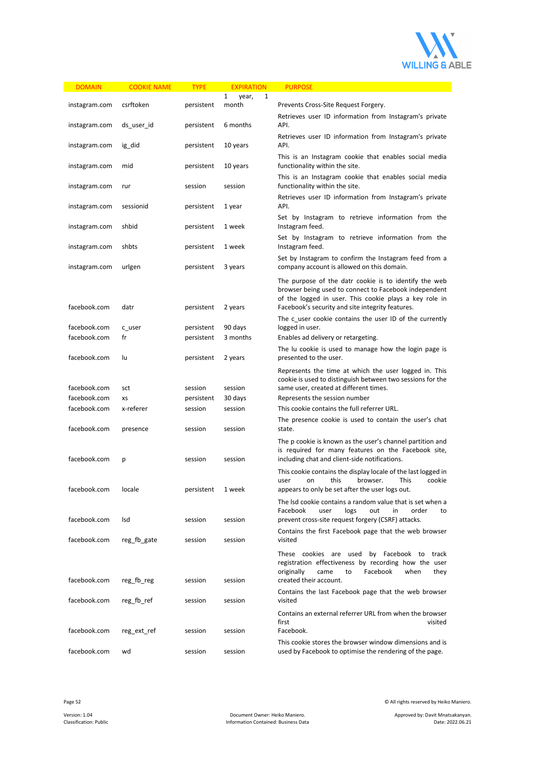

| <b>DOMAIN</b> | <b>COOKIE NAME</b> | <b>TYPE</b> | <b>EXPIRATION</b>        | <b>PURPOSE</b>                                                                                                                                                                        |
|---------------|--------------------|-------------|--------------------------|---------------------------------------------------------------------------------------------------------------------------------------------------------------------------------------|
| instagram.com | csrftoken          | persistent  | 1<br>year,<br>1<br>month | Prevents Cross-Site Request Forgery.                                                                                                                                                  |
| instagram.com | ds_user_id         | persistent  | 6 months                 | Retrieves user ID information from Instagram's private<br>API.                                                                                                                        |
| instagram.com | ig_did             | persistent  | 10 years                 | Retrieves user ID information from Instagram's private<br>API.                                                                                                                        |
| instagram.com | mid                | persistent  | 10 years                 | This is an Instagram cookie that enables social media<br>functionality within the site.                                                                                               |
| instagram.com | rur                | session     | session                  | This is an Instagram cookie that enables social media<br>functionality within the site.                                                                                               |
| instagram.com | sessionid          | persistent  | 1 year                   | Retrieves user ID information from Instagram's private<br>API.                                                                                                                        |
|               |                    |             |                          | Set by Instagram to retrieve information from the                                                                                                                                     |
| instagram.com | shbid              | persistent  | 1 week                   | Instagram feed.<br>Set by Instagram to retrieve information from the                                                                                                                  |
| instagram.com | shbts              | persistent  | 1 week                   | Instagram feed.<br>Set by Instagram to confirm the Instagram feed from a                                                                                                              |
| instagram.com | urlgen             | persistent  | 3 years                  | company account is allowed on this domain.                                                                                                                                            |
| facebook.com  | datr               |             |                          | The purpose of the datr cookie is to identify the web<br>browser being used to connect to Facebook independent<br>of the logged in user. This cookie plays a key role in              |
|               |                    | persistent  | 2 years                  | Facebook's security and site integrity features.<br>The c_user cookie contains the user ID of the currently                                                                           |
| facebook.com  | c_user             | persistent  | 90 days                  | logged in user.                                                                                                                                                                       |
| facebook.com  | fr                 | persistent  | 3 months                 | Enables ad delivery or retargeting.                                                                                                                                                   |
| facebook.com  | lu                 | persistent  | 2 years                  | The lu cookie is used to manage how the login page is<br>presented to the user.                                                                                                       |
| facebook.com  | sct                | session     | session                  | Represents the time at which the user logged in. This<br>cookie is used to distinguish between two sessions for the<br>same user, created at different times.                         |
| facebook.com  | XS                 | persistent  | 30 days                  | Represents the session number                                                                                                                                                         |
| facebook.com  | x-referer          | session     | session                  | This cookie contains the full referrer URL.                                                                                                                                           |
| facebook.com  | presence           | session     | session                  | The presence cookie is used to contain the user's chat<br>state.                                                                                                                      |
| facebook.com  | р                  | session     | session                  | The p cookie is known as the user's channel partition and<br>is required for many features on the Facebook site,<br>including chat and client-side notifications.                     |
|               |                    |             |                          | This cookie contains the display locale of the last logged in<br>this<br>This<br>cookie<br>user<br>browser.<br>on                                                                     |
| facebook.com  | locale             | persistent  | 1 week                   | appears to only be set after the user logs out.<br>The Isd cookie contains a random value that is set when a                                                                          |
| facebook.com  | Isd                | session     | session                  | in<br>Facebook<br>user<br>logs<br>out<br>order<br>to<br>prevent cross-site request forgery (CSRF) attacks.                                                                            |
| facebook.com  | reg_fb_gate        | session     | session                  | Contains the first Facebook page that the web browser<br>visited                                                                                                                      |
| facebook.com  | reg_fb_reg         | session     | session                  | These cookies are used by Facebook to track<br>registration effectiveness by recording how the user<br>originally<br>to<br>Facebook<br>when<br>came<br>they<br>created their account. |
|               |                    |             |                          | Contains the last Facebook page that the web browser                                                                                                                                  |
| facebook.com  | reg_fb_ref         | session     | session                  | visited<br>Contains an external referrer URL from when the browser                                                                                                                    |
| facebook.com  | reg_ext_ref        | session     | session                  | first<br>visited<br>Facebook.                                                                                                                                                         |
| facebook.com  | wd                 | session     | session                  | This cookie stores the browser window dimensions and is<br>used by Facebook to optimise the rendering of the page.                                                                    |

Page 52 © All rights reserved by Heiko Maniero.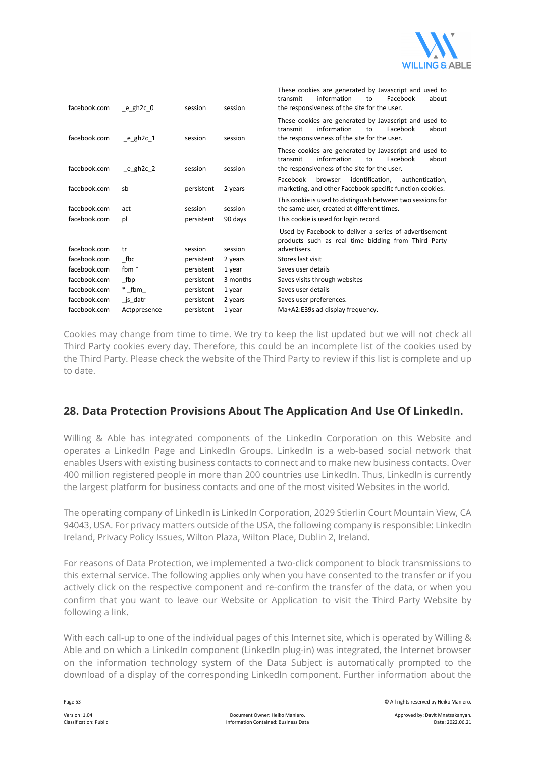

These cookies are generated by Javascript and used to

| facebook.com | e gh2c O     | session    | session  | THESE COUNTES ALE RELIEVATED BY JAVASCHIPL AND USED TO<br>information<br>Facebook<br>transmit<br>to<br>about<br>the responsiveness of the site for the user. |
|--------------|--------------|------------|----------|--------------------------------------------------------------------------------------------------------------------------------------------------------------|
| facebook.com | e gh2c 1     | session    | session  | These cookies are generated by Javascript and used to<br>information<br>transmit<br>Facebook<br>to<br>about<br>the responsiveness of the site for the user.  |
| facebook.com | e gh2c 2     | session    | session  | These cookies are generated by Javascript and used to<br>information<br>transmit<br>Facebook<br>to<br>about<br>the responsiveness of the site for the user.  |
| facebook.com | sb           | persistent | 2 years  | Facebook<br>identification,<br>browser<br>authentication.<br>marketing, and other Facebook-specific function cookies.                                        |
| facebook.com | act          | session    | session  | This cookie is used to distinguish between two sessions for<br>the same user, created at different times.                                                    |
| facebook.com | pl           | persistent | 90 days  | This cookie is used for login record.                                                                                                                        |
| facebook.com |              |            |          | Used by Facebook to deliver a series of advertisement<br>products such as real time bidding from Third Party<br>advertisers.                                 |
|              | tr           | session    | session  |                                                                                                                                                              |
| facebook.com | fbc          | persistent | 2 years  | Stores last visit                                                                                                                                            |
| facebook.com | fbm $*$      | persistent | 1 year   | Saves user details                                                                                                                                           |
| facebook.com | fbp          | persistent | 3 months | Saves visits through websites                                                                                                                                |
| facebook.com | $*$ fbm      | persistent | 1 year   | Saves user details                                                                                                                                           |
| facebook.com | _js_datr     | persistent | 2 years  | Saves user preferences.                                                                                                                                      |
| facebook.com | Actppresence | persistent | 1 year   | Ma+A2:E39s ad display frequency.                                                                                                                             |
|              |              |            |          |                                                                                                                                                              |

Cookies may change from time to time. We try to keep the list updated but we will not check all Third Party cookies every day. Therefore, this could be an incomplete list of the cookies used by the Third Party. Please check the website of the Third Party to review if this list is complete and up to date.

#### **28. Data Protection Provisions About The Application And Use Of LinkedIn.**

Willing & Able has integrated components of the LinkedIn Corporation on this Website and operates a LinkedIn Page and LinkedIn Groups. LinkedIn is a web-based social network that enables Users with existing business contacts to connect and to make new business contacts. Over 400 million registered people in more than 200 countries use LinkedIn. Thus, LinkedIn is currently the largest platform for business contacts and one of the most visited Websites in the world.

The operating company of LinkedIn is LinkedIn Corporation, 2029 Stierlin Court Mountain View, CA 94043, USA. For privacy matters outside of the USA, the following company is responsible: LinkedIn Ireland, Privacy Policy Issues, Wilton Plaza, Wilton Place, Dublin 2, Ireland.

For reasons of Data Protection, we implemented a two-click component to block transmissions to this external service. The following applies only when you have consented to the transfer or if you actively click on the respective component and re-confirm the transfer of the data, or when you confirm that you want to leave our Website or Application to visit the Third Party Website by following a link.

With each call-up to one of the individual pages of this Internet site, which is operated by Willing & Able and on which a LinkedIn component (LinkedIn plug-in) was integrated, the Internet browser on the information technology system of the Data Subject is automatically prompted to the download of a display of the corresponding LinkedIn component. Further information about the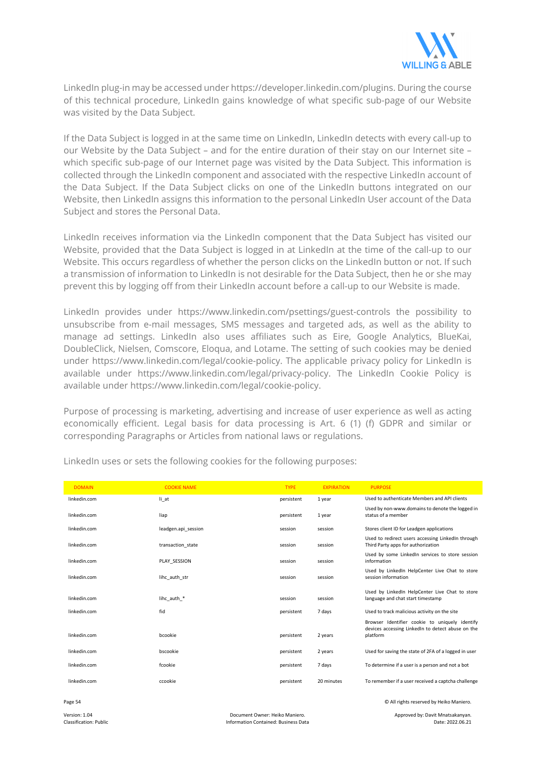

LinkedIn plug-in may be accessed under https://developer.linkedin.com/plugins. During the course of this technical procedure, LinkedIn gains knowledge of what specific sub-page of our Website was visited by the Data Subject.

If the Data Subject is logged in at the same time on LinkedIn, LinkedIn detects with every call-up to our Website by the Data Subject – and for the entire duration of their stay on our Internet site – which specific sub-page of our Internet page was visited by the Data Subject. This information is collected through the LinkedIn component and associated with the respective LinkedIn account of the Data Subject. If the Data Subject clicks on one of the LinkedIn buttons integrated on our Website, then LinkedIn assigns this information to the personal LinkedIn User account of the Data Subject and stores the Personal Data.

LinkedIn receives information via the LinkedIn component that the Data Subject has visited our Website, provided that the Data Subject is logged in at LinkedIn at the time of the call-up to our Website. This occurs regardless of whether the person clicks on the LinkedIn button or not. If such a transmission of information to LinkedIn is not desirable for the Data Subject, then he or she may prevent this by logging off from their LinkedIn account before a call-up to our Website is made.

LinkedIn provides under https://www.linkedin.com/psettings/guest-controls the possibility to unsubscribe from e-mail messages, SMS messages and targeted ads, as well as the ability to manage ad settings. LinkedIn also uses affiliates such as Eire, Google Analytics, BlueKai, DoubleClick, Nielsen, Comscore, Eloqua, and Lotame. The setting of such cookies may be denied under https://www.linkedin.com/legal/cookie-policy. The applicable privacy policy for LinkedIn is available under https://www.linkedin.com/legal/privacy-policy. The LinkedIn Cookie Policy is available under https://www.linkedin.com/legal/cookie-policy.

Purpose of processing is marketing, advertising and increase of user experience as well as acting economically efficient. Legal basis for data processing is Art. 6 (1) (f) GDPR and similar or corresponding Paragraphs or Articles from national laws or regulations.

| <b>DOMAIN</b> | <b>COOKIE NAME</b>  | <b>TYPE</b> | <b>EXPIRATION</b> | <b>PURPOSE</b>                                                                                                  |
|---------------|---------------------|-------------|-------------------|-----------------------------------------------------------------------------------------------------------------|
| linkedin.com  | li at               | persistent  | 1 year            | Used to authenticate Members and API clients                                                                    |
| linkedin.com  | liap                | persistent  | 1 year            | Used by non-www.domains to denote the logged in<br>status of a member                                           |
| linkedin.com  | leadgen.api session | session     | session           | Stores client ID for Leadgen applications                                                                       |
| linkedin.com  | transaction state   | session     | session           | Used to redirect users accessing LinkedIn through<br>Third Party apps for authorization                         |
| linkedin.com  | PLAY SESSION        | session     | session           | Used by some LinkedIn services to store session<br>information                                                  |
| linkedin.com  | lihc auth str       | session     | session           | Used by LinkedIn HelpCenter Live Chat to store<br>session information                                           |
| linkedin.com  | lihc auth *         | session     | session           | Used by LinkedIn HelpCenter Live Chat to store<br>language and chat start timestamp                             |
| linkedin.com  | fid                 | persistent  | 7 days            | Used to track malicious activity on the site                                                                    |
| linkedin.com  | bcookie             | persistent  | 2 years           | Browser Identifier cookie to uniquely identify<br>devices accessing LinkedIn to detect abuse on the<br>platform |
| linkedin.com  | bscookie            | persistent  | 2 years           | Used for saving the state of 2FA of a logged in user                                                            |
| linkedin.com  | fcookie             | persistent  | 7 days            | To determine if a user is a person and not a bot                                                                |
| linkedin.com  | ccookie             | persistent  | 20 minutes        | To remember if a user received a captcha challenge                                                              |
|               |                     |             |                   |                                                                                                                 |

LinkedIn uses or sets the following cookies for the following purposes:

Page 54 © All rights reserved by Heiko Maniero.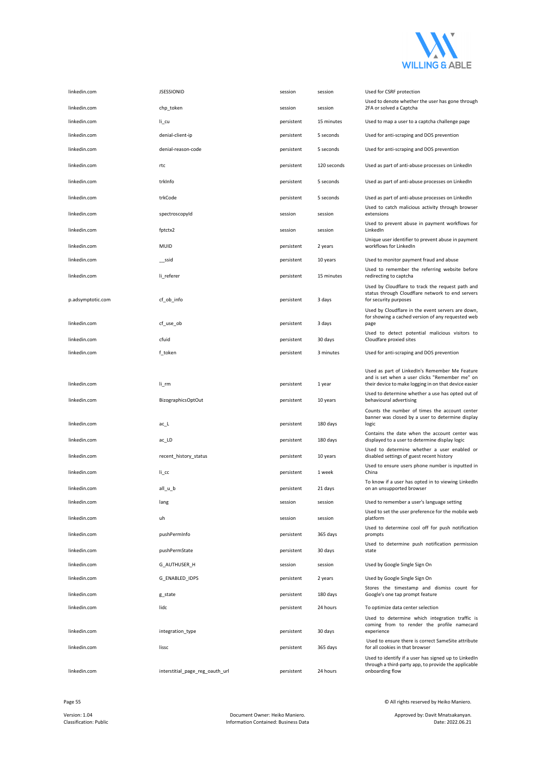

| linkedin.com                 | <b>JSESSIONID</b>               | session                  | session              | Used for CSRF protection                                                                                                                                  |
|------------------------------|---------------------------------|--------------------------|----------------------|-----------------------------------------------------------------------------------------------------------------------------------------------------------|
| linkedin.com                 | chp_token                       | session                  | session              | Used to denote whether the user has gone through<br>2FA or solved a Captcha                                                                               |
| linkedin.com                 | li_cu                           | persistent               | 15 minutes           | Used to map a user to a captcha challenge page                                                                                                            |
| linkedin.com                 | denial-client-ip                | persistent               | 5 seconds            | Used for anti-scraping and DOS prevention                                                                                                                 |
| linkedin.com                 | denial-reason-code              | persistent               | 5 seconds            | Used for anti-scraping and DOS prevention                                                                                                                 |
| linkedin.com                 | rtc                             | persistent               | 120 seconds          | Used as part of anti-abuse processes on LinkedIn                                                                                                          |
| linkedin.com                 | trkInfo                         | persistent               | 5 seconds            | Used as part of anti-abuse processes on LinkedIn                                                                                                          |
| linkedin.com                 | trkCode                         | persistent               | 5 seconds            | Used as part of anti-abuse processes on LinkedIn                                                                                                          |
| linkedin.com                 | spectroscopyId                  | session                  | session              | Used to catch malicious activity through browser<br>extensions                                                                                            |
| linkedin.com                 | fptctx2                         | session                  | session              | Used to prevent abuse in payment workflows for<br>LinkedIn                                                                                                |
| linkedin.com                 | <b>MUID</b>                     | persistent               | 2 years              | Unique user identifier to prevent abuse in payment<br>workflows for LinkedIn                                                                              |
| linkedin.com                 | __ssid                          | persistent               | 10 years             | Used to monitor payment fraud and abuse                                                                                                                   |
| linkedin.com                 | li_referer                      | persistent               | 15 minutes           | Used to remember the referring website before<br>redirecting to captcha                                                                                   |
| p.adsymptotic.com            | cf_ob_info                      | persistent               | 3 days               | Used by Cloudflare to track the request path and<br>status through Cloudflare network to end servers<br>for security purposes                             |
| linkedin.com                 | cf use ob                       | persistent               | 3 days               | Used by Cloudflare in the event servers are down,<br>for showing a cached version of any requested web<br>page                                            |
|                              |                                 |                          |                      | Used to detect potential malicious visitors to                                                                                                            |
| linkedin.com<br>linkedin.com | cfuid<br>f_token                | persistent<br>persistent | 30 days<br>3 minutes | Cloudfare proxied sites<br>Used for anti-scraping and DOS prevention                                                                                      |
|                              |                                 |                          |                      |                                                                                                                                                           |
| linkedin.com                 | li_rm                           | persistent               | 1 year               | Used as part of LinkedIn's Remember Me Feature<br>and is set when a user clicks "Remember me" on<br>their device to make logging in on that device easier |
| linkedin.com                 | <b>BizographicsOptOut</b>       | persistent               | 10 years             | Used to determine whether a use has opted out of<br>behavioural advertising                                                                               |
|                              |                                 |                          |                      | Counts the number of times the account center<br>banner was closed by a user to determine display                                                         |
| linkedin.com                 | ac_L                            | persistent               | 180 days             | logic<br>Contains the date when the account center was                                                                                                    |
| linkedin.com                 | ac_LD                           | persistent               | 180 days             | displayed to a user to determine display logic<br>Used to determine whether a user enabled or                                                             |
| linkedin.com                 | recent history status           | persistent               | 10 years             | disabled settings of guest recent history                                                                                                                 |
| linkedin.com                 | li_cc                           | persistent               | 1 week               | Used to ensure users phone number is inputted in<br>China                                                                                                 |
| linkedin.com                 | all_u_b                         | persistent               | 21 days              | To know if a user has opted in to viewing LinkedIn<br>on an unsupported browser                                                                           |
| linkedin.com                 | lang                            | session                  | session              | Used to remember a user's language setting                                                                                                                |
| linkedin.com                 | uh                              | session                  | session              | Used to set the user preference for the mobile web<br>platform                                                                                            |
| linkedin.com                 | pushPermInfo                    | persistent               | 365 days             | Used to determine cool off for push notification<br>prompts                                                                                               |
| linkedin.com                 | pushPermState                   | persistent               | 30 days              | Used to determine push notification permission<br>state                                                                                                   |
| linkedin.com                 | G_AUTHUSER_H                    | session                  | session              | Used by Google Single Sign On                                                                                                                             |
| linkedin.com                 | G_ENABLED_IDPS                  | persistent               | 2 years              | Used by Google Single Sign On                                                                                                                             |
| linkedin.com                 | g state                         | persistent               | 180 days             | Stores the timestamp and dismiss count for<br>Google's one tap prompt feature                                                                             |
| linkedin.com                 | lidc                            | persistent               | 24 hours             | To optimize data center selection                                                                                                                         |
|                              |                                 |                          |                      | Used to determine which integration traffic is<br>coming from to render the profile namecard                                                              |
| linkedin.com                 | integration type                | persistent               | 30 days              | experience                                                                                                                                                |
| linkedin.com                 | lissc                           | persistent               | 365 days             | Used to ensure there is correct SameSite attribute<br>for all cookies in that browser                                                                     |
| linkedin.com                 | interstitial_page_reg_oauth_url | persistent               | 24 hours             | Used to identify if a user has signed up to LinkedIn<br>through a third-party app, to provide the applicable<br>onboarding flow                           |

Page 55 © All rights reserved by Heiko Maniero.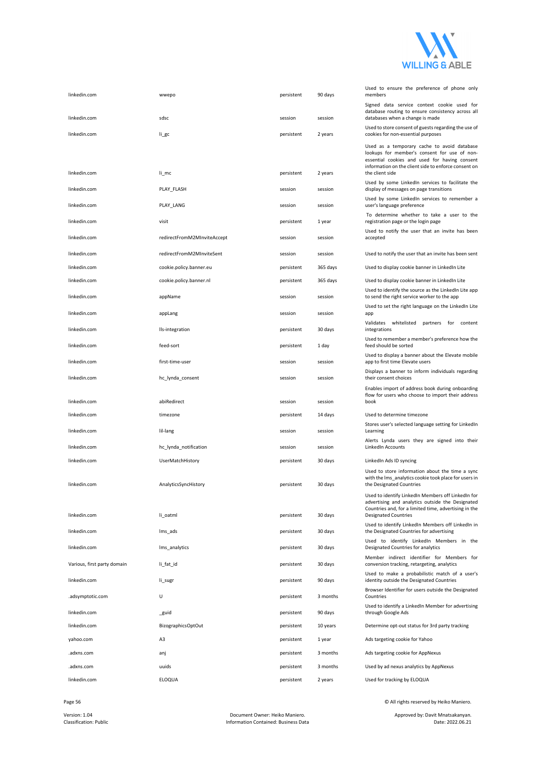

| linkedin.com                | wwepo                       | persistent         | 90 days            | Used to ensure the preference of phone only<br>members                                                                                                                                                                  |
|-----------------------------|-----------------------------|--------------------|--------------------|-------------------------------------------------------------------------------------------------------------------------------------------------------------------------------------------------------------------------|
| inkedin.com                 | sdsc                        | session            | session            | Signed data service context cookie used for<br>database routing to ensure consistency across all<br>databases when a change is made                                                                                     |
| inkedin.com                 | li_gc                       | persistent         | 2 years            | Used to store consent of guests regarding the use of<br>cookies for non-essential purposes                                                                                                                              |
| linkedin.com                | li mc                       | persistent         | 2 years            | Used as a temporary cache to avoid database<br>lookups for member's consent for use of non-<br>essential cookies and used for having consent<br>information on the client side to enforce consent on<br>the client side |
| inkedin.com                 |                             |                    |                    | Used by some LinkedIn services to facilitate the                                                                                                                                                                        |
| inkedin.com                 | PLAY_FLASH<br>PLAY_LANG     | session<br>session | session<br>session | display of messages on page transitions<br>Used by some LinkedIn services to remember a<br>user's language preference                                                                                                   |
| inkedin.com                 | visit                       | persistent         | 1 year             | To determine whether to take a user to the<br>registration page or the login page                                                                                                                                       |
|                             |                             |                    |                    | Used to notify the user that an invite has been                                                                                                                                                                         |
| inkedin.com                 | redirectFromM2MInviteAccept | session            | session            | accepted                                                                                                                                                                                                                |
| inkedin.com                 | redirectFromM2MInviteSent   | session            | session            | Used to notify the user that an invite has been sent                                                                                                                                                                    |
| inkedin.com                 | cookie.policy.banner.eu     | persistent         | 365 days           | Used to display cookie banner in LinkedIn Lite                                                                                                                                                                          |
| linkedin.com                | cookie.policy.banner.nl     | persistent         | 365 days           | Used to display cookie banner in LinkedIn Lite                                                                                                                                                                          |
| inkedin.com                 | appName                     | session            | session            | Used to identify the source as the LinkedIn Lite app<br>to send the right service worker to the app                                                                                                                     |
| inkedin.com                 | appLang                     | session            | session            | Used to set the right language on the LinkedIn Lite<br>app                                                                                                                                                              |
| inkedin.com                 | Ils-integration             | persistent         | 30 days            | Validates whitelisted partners for content<br>integrations                                                                                                                                                              |
| inkedin.com                 | feed-sort                   | persistent         | 1 day              | Used to remember a member's preference how the<br>feed should be sorted                                                                                                                                                 |
| inkedin.com                 | first-time-user             | session            | session            | Used to display a banner about the Elevate mobile<br>app to first time Elevate users                                                                                                                                    |
| inkedin.com                 | hc_lynda_consent            | session            | session            | Displays a banner to inform individuals regarding<br>their consent choices                                                                                                                                              |
| inkedin.com                 | abiRedirect                 | session            | session            | Enables import of address book during onboarding<br>flow for users who choose to import their address<br>book                                                                                                           |
| linkedin.com                | timezone                    | persistent         | 14 days            | Used to determine timezone                                                                                                                                                                                              |
| inkedin.com                 | lil-lang                    | session            | session            | Stores user's selected language setting for LinkedIn<br>Learning                                                                                                                                                        |
| inkedin.com                 | hc_lynda_notification       | session            | session            | Alerts Lynda users they are signed into their<br>LinkedIn Accounts                                                                                                                                                      |
| inkedin.com                 | UserMatchHistory            | persistent         | 30 days            | LinkedIn Ads ID syncing                                                                                                                                                                                                 |
|                             |                             |                    |                    | Used to store information about the time a sync<br>with the Ims_analytics cookie took place for users in                                                                                                                |
| linkedin.com                | AnalyticsSyncHistory        | persistent         | 30 days            | the Designated Countries                                                                                                                                                                                                |
| inkedin.com                 | li_oatml                    | persistent         | 30 days            | Used to identify LinkedIn Members off LinkedIn for<br>advertising and analytics outside the Designated<br>Countries and, for a limited time, advertising in the<br><b>Designated Countries</b>                          |
| inkedin.com                 | lms_ads                     | persistent         | 30 days            | Used to identify LinkedIn Members off LinkedIn in<br>the Designated Countries for advertising                                                                                                                           |
| inkedin.com                 | Ims analytics               | persistent         | 30 days            | Used to identify LinkedIn Members in the<br>Designated Countries for analytics                                                                                                                                          |
| Various, first party domain | li_fat_id                   | persistent         | 30 days            | Member indirect identifier for Members for<br>conversion tracking, retargeting, analytics                                                                                                                               |
| inkedin.com                 | li_sugr                     | persistent         | 90 days            | Used to make a probabilistic match of a user's<br>identity outside the Designated Countries                                                                                                                             |
| adsymptotic.com             | U                           | persistent         | 3 months           | Browser Identifier for users outside the Designated<br>Countries                                                                                                                                                        |
| inkedin.com                 | _guid                       | persistent         | 90 days            | Used to identify a LinkedIn Member for advertising<br>through Google Ads                                                                                                                                                |
| inkedin.com                 | <b>BizographicsOptOut</b>   | persistent         | 10 years           | Determine opt-out status for 3rd party tracking                                                                                                                                                                         |
| yahoo.com                   | A3                          | persistent         | 1 year             | Ads targeting cookie for Yahoo                                                                                                                                                                                          |
| adxns.com                   | anj                         | persistent         | 3 months           | Ads targeting cookie for AppNexus                                                                                                                                                                                       |
| adxns.com                   | uuids                       | persistent         | 3 months           | Used by ad nexus analytics by AppNexus                                                                                                                                                                                  |
| linkedin.com                | <b>ELOQUA</b>               | persistent         | 2 years            | Used for tracking by ELOQUA                                                                                                                                                                                             |

Page 56 © All rights reserved by Heiko Maniero.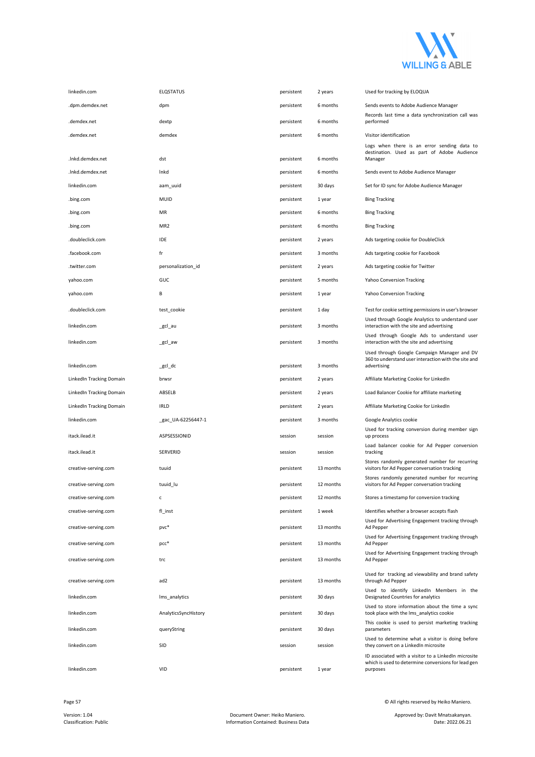

| linkedin.com             | <b>ELQSTATUS</b>     | persistent | 2 years   | Used for tracking by ELOQUA                                                                                             |
|--------------------------|----------------------|------------|-----------|-------------------------------------------------------------------------------------------------------------------------|
| .dpm.demdex.net          | dpm                  | persistent | 6 months  | Sends events to Adobe Audience Manager                                                                                  |
| .demdex.net              | dextp                | persistent | 6 months  | Records last time a data synchronization call was<br>performed                                                          |
| .demdex.net              | demdex               | persistent | 6 months  | Visitor identification                                                                                                  |
| .Inkd.demdex.net         | dst                  | persistent | 6 months  | Logs when there is an error sending data to<br>destination. Used as part of Adobe Audience<br>Manager                   |
| .Inkd.demdex.net         | Inkd                 | persistent | 6 months  | Sends event to Adobe Audience Manager                                                                                   |
| linkedin.com             | aam uuid             | persistent | 30 days   | Set for ID sync for Adobe Audience Manager                                                                              |
| .bing.com                | <b>MUID</b>          | persistent | 1 year    | <b>Bing Tracking</b>                                                                                                    |
| .bing.com                | MR                   | persistent | 6 months  | <b>Bing Tracking</b>                                                                                                    |
| .bing.com                | MR <sub>2</sub>      | persistent | 6 months  | <b>Bing Tracking</b>                                                                                                    |
| .doubleclick.com         | IDE                  | persistent | 2 years   | Ads targeting cookie for DoubleClick                                                                                    |
| .facebook.com            | fr                   | persistent | 3 months  | Ads targeting cookie for Facebook                                                                                       |
| .twitter.com             | personalization_id   | persistent | 2 years   | Ads targeting cookie for Twitter                                                                                        |
| yahoo.com                | GUC                  | persistent | 5 months  | <b>Yahoo Conversion Tracking</b>                                                                                        |
| yahoo.com                | В                    | persistent | 1 year    | <b>Yahoo Conversion Tracking</b>                                                                                        |
| .doubleclick.com         | test cookie          | persistent | 1 day     | Test for cookie setting permissions in user's browser                                                                   |
| linkedin.com             | _gcl_au              | persistent | 3 months  | Used through Google Analytics to understand user<br>interaction with the site and advertising                           |
| linkedin.com             | _gcl_aw              | persistent | 3 months  | Used through Google Ads to understand user<br>interaction with the site and advertising                                 |
| linkedin.com             | _gcl_dc              | persistent | 3 months  | Used through Google Campaign Manager and DV<br>360 to understand user interaction with the site and<br>advertising      |
| LinkedIn Tracking Domain | brwsr                | persistent | 2 years   | Affiliate Marketing Cookie for LinkedIn                                                                                 |
| LinkedIn Tracking Domain | ABSELB               | persistent | 2 years   | Load Balancer Cookie for affiliate marketing                                                                            |
| LinkedIn Tracking Domain | <b>IRLD</b>          | persistent | 2 years   | Affiliate Marketing Cookie for LinkedIn                                                                                 |
| linkedin.com             | _gac_UA-62256447-1   | persistent | 3 months  | Google Analytics cookie                                                                                                 |
| itack.ilead.it           | ASPSESSIONID         | session    | session   | Used for tracking conversion during member sign<br>up process                                                           |
| itack.ilead.it           | SERVERID             | session    | session   | Load balancer cookie for Ad Pepper conversion<br>tracking                                                               |
| creative-serving.com     | tuuid                | persistent | 13 months | Stores randomly generated number for recurring<br>visitors for Ad Pepper conversation tracking                          |
| creative-serving.com     | tuuid lu             | persistent | 12 months | Stores randomly generated number for recurring<br>visitors for Ad Pepper conversation tracking                          |
| creative-serving.com     | c                    | persistent | 12 months | Stores a timestamp for conversion tracking                                                                              |
| creative-serving.com     | fl_inst              | persistent | 1 week    | Identifies whether a browser accepts flash                                                                              |
| creative-serving.com     | pvc*                 | persistent | 13 months | Used for Advertising Engagement tracking through<br>Ad Pepper                                                           |
| creative-serving.com     | pcc*                 | persistent | 13 months | Used for Advertising Engagement tracking through<br>Ad Pepper                                                           |
| creative-serving.com     | trc                  | persistent | 13 months | Used for Advertising Engagement tracking through<br>Ad Pepper                                                           |
| creative-serving.com     | ad2                  | persistent | 13 months | Used for tracking ad viewability and brand safety<br>through Ad Pepper                                                  |
| linkedin.com             | Ims_analytics        | persistent | 30 days   | Used to identify LinkedIn Members in the<br>Designated Countries for analytics                                          |
| linkedin.com             | AnalyticsSyncHistory | persistent | 30 days   | Used to store information about the time a sync<br>took place with the Ims_analytics cookie                             |
| linkedin.com             | queryString          | persistent | 30 days   | This cookie is used to persist marketing tracking<br>parameters                                                         |
| linkedin.com             | <b>SID</b>           | session    | session   | Used to determine what a visitor is doing before<br>they convert on a LinkedIn microsite                                |
| linkedin.com             | VID                  | persistent | 1 year    | ID associated with a visitor to a LinkedIn microsite<br>which is used to determine conversions for lead gen<br>purposes |

Page 57 © All rights reserved by Heiko Maniero.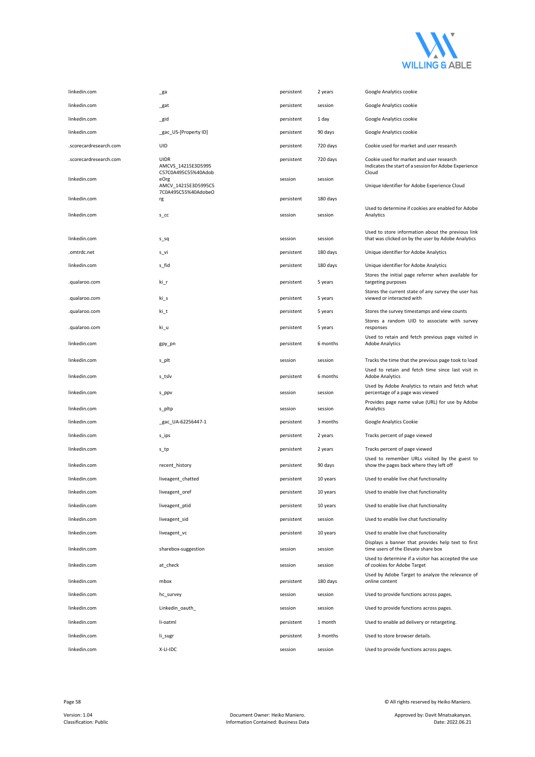

| linkedin.com           | _ga                                                      | persistent | 2 years  | Google Analytics cookie                                                                                    |
|------------------------|----------------------------------------------------------|------------|----------|------------------------------------------------------------------------------------------------------------|
| linkedin.com           | _gat                                                     | persistent | session  | Google Analytics cookie                                                                                    |
| linkedin.com           | _gid                                                     | persistent | 1 day    | Google Analytics cookie                                                                                    |
| linkedin.com           | gac US-[Property ID]                                     | persistent | 90 days  | Google Analytics cookie                                                                                    |
| .scorecardresearch.com | UID                                                      | persistent | 720 days | Cookie used for market and user research                                                                   |
| .scorecardresearch.com | <b>UIDR</b><br>AMCVS_14215E3D5995<br>C57C0A495C55%40Adob | persistent | 720 days | Cookie used for market and user research<br>Indicates the start of a session for Adobe Experience<br>Cloud |
| linkedin.com           | eOrg<br>AMCV_14215E3D5995C5                              | session    | session  | Unique Identifier for Adobe Experience Cloud                                                               |
| linkedin.com           | 7C0A495C55%40AdobeO<br>rg                                | persistent | 180 days |                                                                                                            |
| linkedin.com           | $S_{C}$                                                  | session    | session  | Used to determine if cookies are enabled for Adobe<br>Analytics                                            |
| linkedin.com           | $s$ _sq                                                  | session    | session  | Used to store information about the previous link<br>that was clicked on by the user by Adobe Analytics    |
| .omtrdc.net            | s_vi                                                     | persistent | 180 days | Unique identifier for Adobe Analytics                                                                      |
| linkedin.com           | s_fid                                                    | persistent | 180 days | Unique identifier for Adobe Analytics                                                                      |
| .qualaroo.com          | ki_r                                                     | persistent | 5 years  | Stores the initial page referrer when available for<br>targeting purposes                                  |
| qualaroo.com.          | ki_s                                                     | persistent | 5 years  | Stores the current state of any survey the user has<br>viewed or interacted with                           |
| qualaroo.com.          | ki_t                                                     | persistent | 5 years  | Stores the survey timestamps and view counts                                                               |
| .qualaroo.com          | ki_u                                                     | persistent | 5 years  | Stores a random UID to associate with survey<br>responses                                                  |
| linkedin.com           | gpy_pn                                                   | persistent | 6 months | Used to retain and fetch previous page visited in<br><b>Adobe Analytics</b>                                |
| linkedin.com           | s_plt                                                    | session    | session  | Tracks the time that the previous page took to load                                                        |
| linkedin.com           | s_tslv                                                   | persistent | 6 months | Used to retain and fetch time since last visit in<br><b>Adobe Analytics</b>                                |
| linkedin.com           | s_ppv                                                    | session    | session  | Used by Adobe Analytics to retain and fetch what<br>percentage of a page was viewed                        |
| linkedin.com           | s_pltp                                                   | session    | session  | Provides page name value (URL) for use by Adobe<br>Analytics                                               |
| linkedin.com           | _gac_UA-62256447-1                                       | persistent | 3 months | Google Analytics Cookie                                                                                    |
| linkedin.com           | s_ips                                                    | persistent | 2 years  | Tracks percent of page viewed                                                                              |
| linkedin.com           | s_tp                                                     | persistent | 2 years  | Tracks percent of page viewed                                                                              |
| linkedin.com           | recent_history                                           | persistent | 90 days  | Used to remember URLs visited by the guest to<br>show the pages back where they left off                   |
| linkedin.com           | liveagent chatted                                        | persistent | 10 years | Used to enable live chat functionality                                                                     |
| linkedin.com           | liveagent oref                                           | persistent | 10 years | Used to enable live chat functionality                                                                     |
| linkedin.com           | liveagent ptid                                           | persistent | 10 years | Used to enable live chat functionality                                                                     |
| linkedin.com           | liveagent sid                                            | persistent | session  | Used to enable live chat functionality                                                                     |
| linkedin.com           | liveagent_vc                                             | persistent | 10 years | Used to enable live chat functionality                                                                     |
| linkedin.com           | sharebox-suggestion                                      | session    | session  | Displays a banner that provides help text to first<br>time users of the Elevate share box                  |
| linkedin.com           | at_check                                                 | session    | session  | Used to determine if a visitor has accepted the use<br>of cookies for Adobe Target                         |
| linkedin.com           | mbox                                                     | persistent | 180 days | Used by Adobe Target to analyze the relevance of<br>online content                                         |
| linkedin.com           | hc_survey                                                | session    | session  | Used to provide functions across pages.                                                                    |
| linkedin.com           | Linkedin_oauth_                                          | session    | session  | Used to provide functions across pages.                                                                    |
| linkedin.com           | li-oatml                                                 | persistent | 1 month  | Used to enable ad delivery or retargeting.                                                                 |
| linkedin.com           | li_sugr                                                  | persistent | 3 months | Used to store browser details.                                                                             |
| linkedin.com           | X-LI-IDC                                                 | session    | session  | Used to provide functions across pages.                                                                    |

Page 58 © All rights reserved by Heiko Maniero.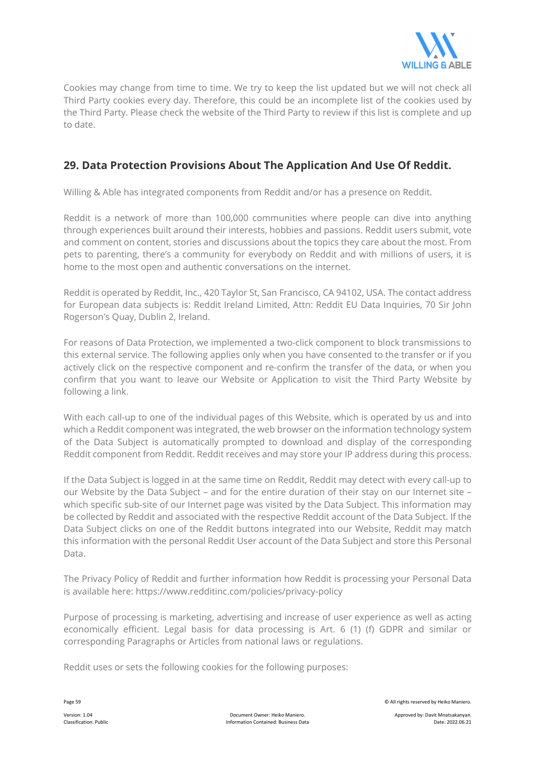

Cookies may change from time to time. We try to keep the list updated but we will not check all Third Party cookies every day. Therefore, this could be an incomplete list of the cookies used by the Third Party. Please check the website of the Third Party to review if this list is complete and up to date.

# **29. Data Protection Provisions About The Application And Use Of Reddit.**

Willing & Able has integrated components from Reddit and/or has a presence on Reddit.

Reddit is a network of more than 100,000 communities where people can dive into anything through experiences built around their interests, hobbies and passions. Reddit users submit, vote and comment on content, stories and discussions about the topics they care about the most. From pets to parenting, there's a community for everybody on Reddit and with millions of users, it is home to the most open and authentic conversations on the internet.

Reddit is operated by Reddit, Inc., 420 Taylor St, San Francisco, CA 94102, USA. The contact address for European data subjects is: Reddit Ireland Limited, Attn: Reddit EU Data Inquiries, 70 Sir John Rogerson's Quay, Dublin 2, Ireland.

For reasons of Data Protection, we implemented a two-click component to block transmissions to this external service. The following applies only when you have consented to the transfer or if you actively click on the respective component and re-confirm the transfer of the data, or when you confirm that you want to leave our Website or Application to visit the Third Party Website by following a link.

With each call-up to one of the individual pages of this Website, which is operated by us and into which a Reddit component was integrated, the web browser on the information technology system of the Data Subject is automatically prompted to download and display of the corresponding Reddit component from Reddit. Reddit receives and may store your IP address during this process.

If the Data Subject is logged in at the same time on Reddit, Reddit may detect with every call-up to our Website by the Data Subject – and for the entire duration of their stay on our Internet site – which specific sub-site of our Internet page was visited by the Data Subject. This information may be collected by Reddit and associated with the respective Reddit account of the Data Subject. If the Data Subject clicks on one of the Reddit buttons integrated into our Website, Reddit may match this information with the personal Reddit User account of the Data Subject and store this Personal Data.

The Privacy Policy of Reddit and further information how Reddit is processing your Personal Data is available here: https://www.redditinc.com/policies/privacy-policy

Purpose of processing is marketing, advertising and increase of user experience as well as acting economically efficient. Legal basis for data processing is Art. 6 (1) (f) GDPR and similar or corresponding Paragraphs or Articles from national laws or regulations.

Reddit uses or sets the following cookies for the following purposes: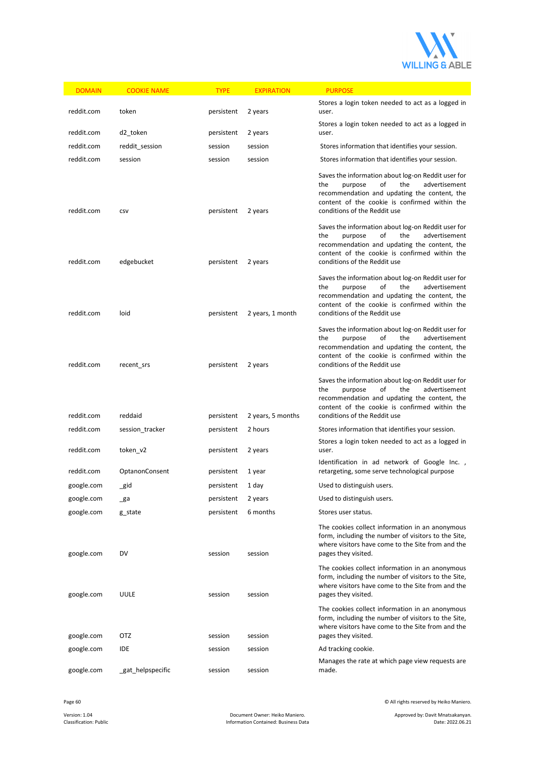

| <b>DOMAIN</b> | <b>COOKIE NAME</b> | <b>TYPE</b> | <b>EXPIRATION</b> | <b>PURPOSE</b>                                                                                                                                                                                                                      |
|---------------|--------------------|-------------|-------------------|-------------------------------------------------------------------------------------------------------------------------------------------------------------------------------------------------------------------------------------|
| reddit.com    | token              | persistent  | 2 years           | Stores a login token needed to act as a logged in<br>user.                                                                                                                                                                          |
| reddit.com    | d2_token           | persistent  | 2 years           | Stores a login token needed to act as a logged in<br>user.                                                                                                                                                                          |
| reddit.com    | reddit_session     | session     | session           | Stores information that identifies your session.                                                                                                                                                                                    |
| reddit.com    | session            | session     | session           | Stores information that identifies your session.                                                                                                                                                                                    |
| reddit.com    | CSV                | persistent  | 2 years           | Saves the information about log-on Reddit user for<br>the<br>the<br>purpose<br>of<br>advertisement<br>recommendation and updating the content, the<br>content of the cookie is confirmed within the<br>conditions of the Reddit use |
| reddit.com    | edgebucket         | persistent  | 2 years           | Saves the information about log-on Reddit user for<br>of<br>the<br>purpose<br>the<br>advertisement<br>recommendation and updating the content, the<br>content of the cookie is confirmed within the<br>conditions of the Reddit use |
| reddit.com    | loid               | persistent  | 2 years, 1 month  | Saves the information about log-on Reddit user for<br>of<br>the<br>advertisement<br>the<br>purpose<br>recommendation and updating the content, the<br>content of the cookie is confirmed within the<br>conditions of the Reddit use |
| reddit.com    | recent_srs         | persistent  | 2 years           | Saves the information about log-on Reddit user for<br>of<br>the<br>the<br>advertisement<br>purpose<br>recommendation and updating the content, the<br>content of the cookie is confirmed within the<br>conditions of the Reddit use |
| reddit.com    | reddaid            | persistent  | 2 years, 5 months | Saves the information about log-on Reddit user for<br>the<br>of<br>advertisement<br>the<br>purpose<br>recommendation and updating the content, the<br>content of the cookie is confirmed within the<br>conditions of the Reddit use |
| reddit.com    | session_tracker    | persistent  | 2 hours           | Stores information that identifies your session.                                                                                                                                                                                    |
| reddit.com    | token v2           | persistent  | 2 years           | Stores a login token needed to act as a logged in<br>user.                                                                                                                                                                          |
| reddit.com    | OptanonConsent     | persistent  | 1 year            | Identification in ad network of Google Inc.,<br>retargeting, some serve technological purpose                                                                                                                                       |
| google.com    | $\_$ gid           | persistent  | 1 day             | Used to distinguish users.                                                                                                                                                                                                          |
| google.com    | _ga                | persistent  | 2 years           | Used to distinguish users.                                                                                                                                                                                                          |
| google.com    | g_state            | persistent  | 6 months          | Stores user status.                                                                                                                                                                                                                 |
| google.com    | DV                 | session     | session           | The cookies collect information in an anonymous<br>form, including the number of visitors to the Site,<br>where visitors have come to the Site from and the<br>pages they visited.                                                  |
| google.com    | <b>UULE</b>        | session     | session           | The cookies collect information in an anonymous<br>form, including the number of visitors to the Site,<br>where visitors have come to the Site from and the<br>pages they visited.                                                  |
| google.com    | OTZ                | session     | session           | The cookies collect information in an anonymous<br>form, including the number of visitors to the Site,<br>where visitors have come to the Site from and the<br>pages they visited.                                                  |
| google.com    | IDE                | session     | session           | Ad tracking cookie.                                                                                                                                                                                                                 |
| google.com    | gat_helpspecific   | session     | session           | Manages the rate at which page view requests are<br>made.                                                                                                                                                                           |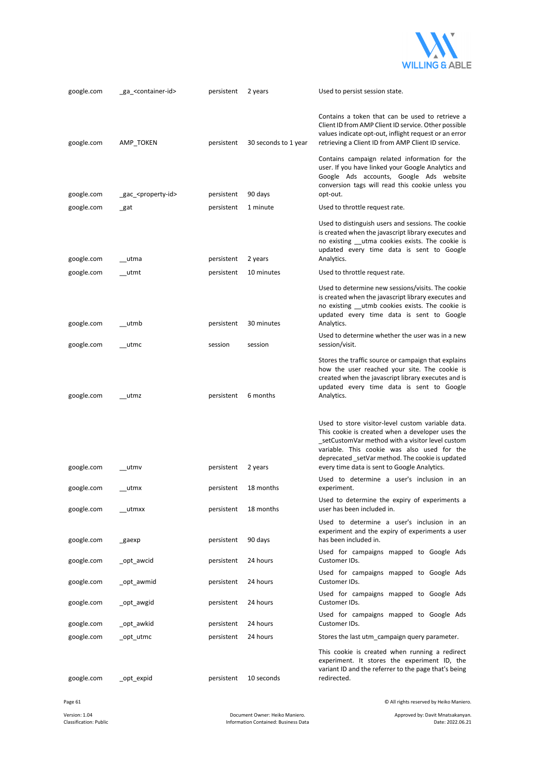

| google.com               | ga <container-id></container-id>           | persistent               | 2 years              | Used to persist session state.                                                                                                                                                                                                                                                                               |
|--------------------------|--------------------------------------------|--------------------------|----------------------|--------------------------------------------------------------------------------------------------------------------------------------------------------------------------------------------------------------------------------------------------------------------------------------------------------------|
| google.com               | AMP_TOKEN                                  | persistent               | 30 seconds to 1 year | Contains a token that can be used to retrieve a<br>Client ID from AMP Client ID service. Other possible<br>values indicate opt-out, inflight request or an error<br>retrieving a Client ID from AMP Client ID service.                                                                                       |
|                          |                                            |                          |                      | Contains campaign related information for the<br>user. If you have linked your Google Analytics and<br>Google Ads accounts, Google Ads website<br>conversion tags will read this cookie unless you<br>opt-out.                                                                                               |
| google.com<br>google.com | _gac_ <property-id><br/>_gat</property-id> | persistent<br>persistent | 90 days<br>1 minute  | Used to throttle request rate.                                                                                                                                                                                                                                                                               |
| google.com               | utma                                       | persistent               | 2 years              | Used to distinguish users and sessions. The cookie<br>is created when the javascript library executes and<br>no existing __utma cookies exists. The cookie is<br>updated every time data is sent to Google<br>Analytics.                                                                                     |
| google.com               | utmt                                       | persistent               | 10 minutes           | Used to throttle request rate.                                                                                                                                                                                                                                                                               |
| google.com               | utmb                                       | persistent               | 30 minutes           | Used to determine new sessions/visits. The cookie<br>is created when the javascript library executes and<br>no existing utmb cookies exists. The cookie is<br>updated every time data is sent to Google<br>Analytics.                                                                                        |
| google.com               | __utmc                                     | session                  | session              | Used to determine whether the user was in a new<br>session/visit.                                                                                                                                                                                                                                            |
| google.com               | utmz                                       | persistent               | 6 months             | Stores the traffic source or campaign that explains<br>how the user reached your site. The cookie is<br>created when the javascript library executes and is<br>updated every time data is sent to Google<br>Analytics.                                                                                       |
| google.com               | utmv                                       | persistent               | 2 years              | Used to store visitor-level custom variable data.<br>This cookie is created when a developer uses the<br>_setCustomVar method with a visitor level custom<br>variable. This cookie was also used for the<br>deprecated _setVar method. The cookie is updated<br>every time data is sent to Google Analytics. |
| google.com               | __utmx                                     | persistent               | 18 months            | Used to determine a user's inclusion in an<br>experiment.                                                                                                                                                                                                                                                    |
| google.com               | utmxx                                      | persistent               | 18 months            | Used to determine the expiry of experiments a<br>user has been included in.                                                                                                                                                                                                                                  |
| google.com               | _gaexp                                     | persistent               | 90 days              | Used to determine a user's inclusion in an<br>experiment and the expiry of experiments a user<br>has been included in.                                                                                                                                                                                       |
| google.com               | _opt_awcid                                 | persistent               | 24 hours             | Used for campaigns mapped to Google Ads<br>Customer IDs.                                                                                                                                                                                                                                                     |
| google.com               | _opt_awmid                                 | persistent               | 24 hours             | Used for campaigns mapped to Google Ads<br>Customer IDs.                                                                                                                                                                                                                                                     |
| google.com               | _opt_awgid                                 | persistent               | 24 hours             | Used for campaigns mapped to Google Ads<br>Customer IDs.                                                                                                                                                                                                                                                     |
| google.com               | _opt_awkid                                 | persistent               | 24 hours             | Used for campaigns mapped to Google Ads<br>Customer IDs.                                                                                                                                                                                                                                                     |
| google.com               | _opt_utmc                                  | persistent               | 24 hours             | Stores the last utm_campaign query parameter.                                                                                                                                                                                                                                                                |
| google.com               | _opt_expid                                 | persistent               | 10 seconds           | This cookie is created when running a redirect<br>experiment. It stores the experiment ID, the<br>variant ID and the referrer to the page that's being<br>redirected.                                                                                                                                        |
|                          |                                            |                          |                      |                                                                                                                                                                                                                                                                                                              |

Page 61 © All rights reserved by Heiko Maniero.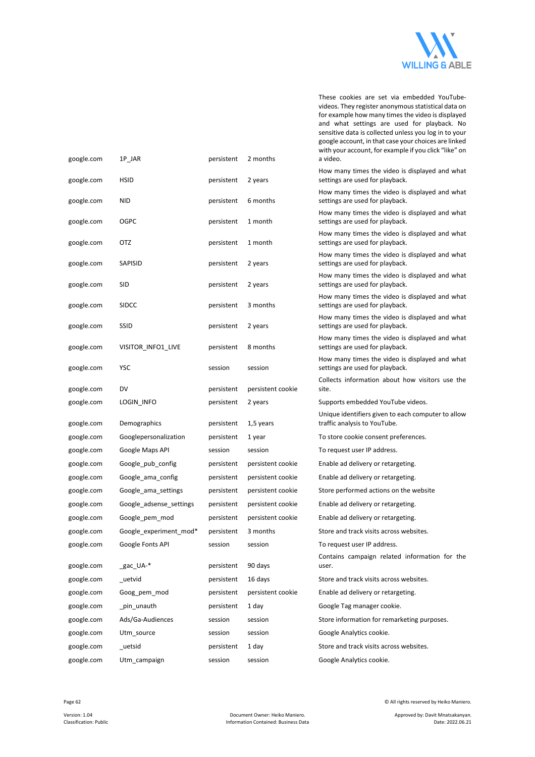

These cookies are set via embedded YouTubevideos. They register anonymous statistical data on for example how many times the video is displayed

| google.com | 1P_JAR                  | persistent | 2 months          | and what settings are used for playback. No<br>sensitive data is collected unless you log in to your<br>google account, in that case your choices are linked<br>with your account, for example if you click "like" on<br>a video. |
|------------|-------------------------|------------|-------------------|-----------------------------------------------------------------------------------------------------------------------------------------------------------------------------------------------------------------------------------|
| google.com | <b>HSID</b>             | persistent | 2 years           | How many times the video is displayed and what<br>settings are used for playback.                                                                                                                                                 |
| google.com | <b>NID</b>              | persistent | 6 months          | How many times the video is displayed and what<br>settings are used for playback.                                                                                                                                                 |
| google.com | OGPC                    | persistent | 1 month           | How many times the video is displayed and what<br>settings are used for playback.                                                                                                                                                 |
| google.com | <b>OTZ</b>              | persistent | 1 month           | How many times the video is displayed and what<br>settings are used for playback.                                                                                                                                                 |
| google.com | SAPISID                 | persistent | 2 years           | How many times the video is displayed and what<br>settings are used for playback.                                                                                                                                                 |
| google.com | SID                     | persistent | 2 years           | How many times the video is displayed and what<br>settings are used for playback.                                                                                                                                                 |
| google.com | <b>SIDCC</b>            | persistent | 3 months          | How many times the video is displayed and what<br>settings are used for playback.                                                                                                                                                 |
| google.com | SSID                    | persistent | 2 years           | How many times the video is displayed and what<br>settings are used for playback.                                                                                                                                                 |
| google.com | VISITOR_INFO1_LIVE      | persistent | 8 months          | How many times the video is displayed and what<br>settings are used for playback.                                                                                                                                                 |
| google.com | YSC                     | session    | session           | How many times the video is displayed and what<br>settings are used for playback.                                                                                                                                                 |
| google.com | DV                      | persistent | persistent cookie | Collects information about how visitors use the<br>site.                                                                                                                                                                          |
| google.com | LOGIN_INFO              | persistent | 2 years           | Supports embedded YouTube videos.                                                                                                                                                                                                 |
| google.com | Demographics            | persistent | 1,5 years         | Unique identifiers given to each computer to allow<br>traffic analysis to YouTube.                                                                                                                                                |
| google.com | Googlepersonalization   | persistent | 1 year            | To store cookie consent preferences.                                                                                                                                                                                              |
| google.com | Google Maps API         | session    | session           | To request user IP address.                                                                                                                                                                                                       |
| google.com | Google_pub_config       | persistent | persistent cookie | Enable ad delivery or retargeting.                                                                                                                                                                                                |
| google.com | Google_ama_config       | persistent | persistent cookie | Enable ad delivery or retargeting.                                                                                                                                                                                                |
| google.com | Google_ama_settings     | persistent | persistent cookie | Store performed actions on the website                                                                                                                                                                                            |
| google.com | Google_adsense_settings | persistent | persistent cookie | Enable ad delivery or retargeting.                                                                                                                                                                                                |
| google.com | Google_pem_mod          | persistent | persistent cookie | Enable ad delivery or retargeting.                                                                                                                                                                                                |
| google.com | Google_experiment_mod*  | persistent | 3 months          | Store and track visits across websites.                                                                                                                                                                                           |
| google.com | Google Fonts API        | session    | session           | To request user IP address.                                                                                                                                                                                                       |
| google.com | _gac_UA-*               | persistent | 90 days           | Contains campaign related information for the<br>user.                                                                                                                                                                            |
| google.com | _uetvid                 | persistent | 16 days           | Store and track visits across websites.                                                                                                                                                                                           |
| google.com | Goog_pem_mod            | persistent | persistent cookie | Enable ad delivery or retargeting.                                                                                                                                                                                                |
| google.com | _pin_unauth             | persistent | 1 day             | Google Tag manager cookie.                                                                                                                                                                                                        |
| google.com | Ads/Ga-Audiences        | session    | session           | Store information for remarketing purposes.                                                                                                                                                                                       |
| google.com | Utm_source              | session    | session           | Google Analytics cookie.                                                                                                                                                                                                          |
| google.com | _uetsid                 | persistent | 1 day             | Store and track visits across websites.                                                                                                                                                                                           |
| google.com | Utm_campaign            | session    | session           | Google Analytics cookie.                                                                                                                                                                                                          |

Page 62 © All rights reserved by Heiko Maniero.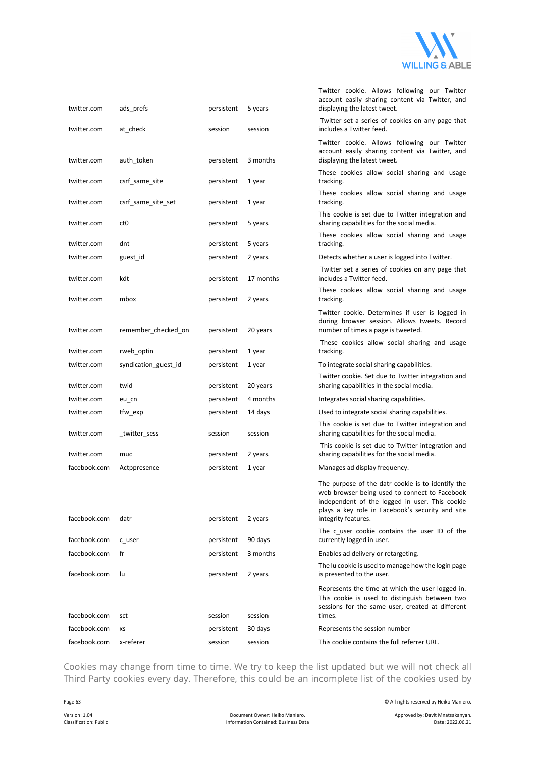

| twitter.com  | ads_prefs            | persistent            | 5 years            | Twitter cookie. Allows following our Twitter<br>account easily sharing content via Twitter, and<br>displaying the latest tweet.                                                                                                 |
|--------------|----------------------|-----------------------|--------------------|---------------------------------------------------------------------------------------------------------------------------------------------------------------------------------------------------------------------------------|
| twitter.com  | at_check             | session               | session            | Twitter set a series of cookies on any page that<br>includes a Twitter feed.                                                                                                                                                    |
| twitter.com  | auth_token           | persistent            | 3 months           | Twitter cookie. Allows following our Twitter<br>account easily sharing content via Twitter, and<br>displaying the latest tweet.                                                                                                 |
| twitter.com  | csrf_same_site       | persistent            | 1 year             | These cookies allow social sharing and usage<br>tracking.                                                                                                                                                                       |
| twitter.com  | csrf_same_site_set   | persistent            | 1 year             | These cookies allow social sharing and usage<br>tracking.                                                                                                                                                                       |
| twitter.com  | ct <sub>0</sub>      | persistent            | 5 years            | This cookie is set due to Twitter integration and<br>sharing capabilities for the social media.                                                                                                                                 |
| twitter.com  | dnt                  | persistent            | 5 years            | These cookies allow social sharing and usage<br>tracking.                                                                                                                                                                       |
| twitter.com  | guest_id             | persistent            | 2 years            | Detects whether a user is logged into Twitter.                                                                                                                                                                                  |
| twitter.com  | kdt                  | persistent            | 17 months          | Twitter set a series of cookies on any page that<br>includes a Twitter feed.                                                                                                                                                    |
| twitter.com  | mbox                 | persistent            | 2 years            | These cookies allow social sharing and usage<br>tracking.                                                                                                                                                                       |
|              |                      |                       |                    | Twitter cookie. Determines if user is logged in                                                                                                                                                                                 |
| twitter.com  | remember_checked_on  | persistent            | 20 years           | during browser session. Allows tweets. Record<br>number of times a page is tweeted.                                                                                                                                             |
| twitter.com  | rweb_optin           | persistent            | 1 year             | These cookies allow social sharing and usage<br>tracking.                                                                                                                                                                       |
| twitter.com  | syndication_guest_id | persistent            | 1 year             | To integrate social sharing capabilities.                                                                                                                                                                                       |
| twitter.com  | twid                 | persistent            | 20 years           | Twitter cookie. Set due to Twitter integration and<br>sharing capabilities in the social media.                                                                                                                                 |
| twitter.com  | eu_cn                | persistent            | 4 months           | Integrates social sharing capabilities.                                                                                                                                                                                         |
| twitter.com  | tfw_exp              | persistent            | 14 days            | Used to integrate social sharing capabilities.                                                                                                                                                                                  |
| twitter.com  | _twitter_sess        | session               | session            | This cookie is set due to Twitter integration and<br>sharing capabilities for the social media.                                                                                                                                 |
| twitter.com  | muc                  | persistent            | 2 years            | This cookie is set due to Twitter integration and<br>sharing capabilities for the social media.                                                                                                                                 |
| facebook.com | Actppresence         | persistent            | 1 year             | Manages ad display frequency.                                                                                                                                                                                                   |
| facebook.com | datr                 | persistent            | 2 years            | The purpose of the datr cookie is to identify the<br>web browser being used to connect to Facebook<br>independent of the logged in user. This cookie<br>plays a key role in Facebook's security and site<br>integrity features. |
| facebook.com | c_user               | persistent            | 90 days            | The c_user cookie contains the user ID of the<br>currently logged in user.                                                                                                                                                      |
| facebook.com | fr                   | persistent            | 3 months           | Enables ad delivery or retargeting.                                                                                                                                                                                             |
| facebook.com | lu                   | persistent            | 2 years            | The lu cookie is used to manage how the login page<br>is presented to the user.                                                                                                                                                 |
| facebook.com |                      |                       |                    | Represents the time at which the user logged in.<br>This cookie is used to distinguish between two                                                                                                                              |
|              |                      |                       |                    | sessions for the same user, created at different                                                                                                                                                                                |
| facebook.com | sct<br>XS            | session<br>persistent | session<br>30 days | times.<br>Represents the session number                                                                                                                                                                                         |

Cookies may change from time to time. We try to keep the list updated but we will not check all Third Party cookies every day. Therefore, this could be an incomplete list of the cookies used by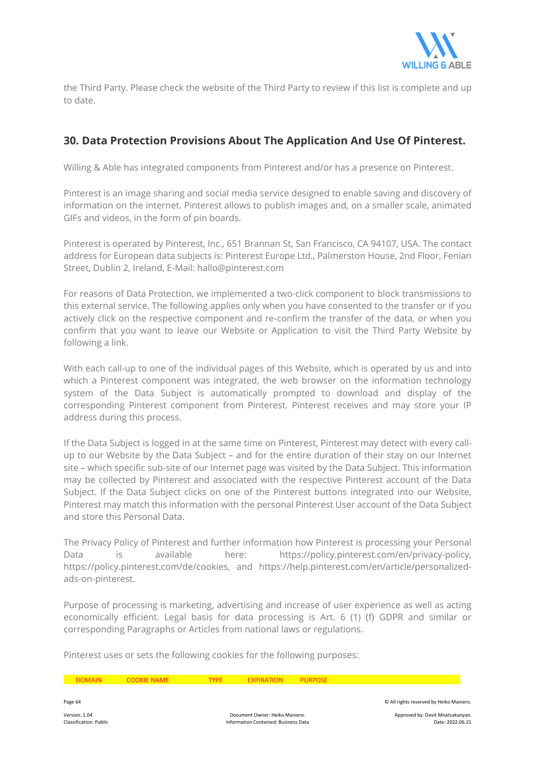

the Third Party. Please check the website of the Third Party to review if this list is complete and up to date.

#### **30. Data Protection Provisions About The Application And Use Of Pinterest.**

Willing & Able has integrated components from Pinterest and/or has a presence on Pinterest.

Pinterest is an image sharing and social media service designed to enable saving and discovery of information on the internet. Pinterest allows to publish images and, on a smaller scale, animated GIFs and videos, in the form of pin boards.

Pinterest is operated by Pinterest, Inc., 651 Brannan St, San Francisco, CA 94107, USA. The contact address for European data subjects is: Pinterest Europe Ltd., Palmerston House, 2nd Floor, Fenian Street, Dublin 2, Ireland, E-Mail: hallo@pinterest.com

For reasons of Data Protection, we implemented a two-click component to block transmissions to this external service. The following applies only when you have consented to the transfer or if you actively click on the respective component and re-confirm the transfer of the data, or when you confirm that you want to leave our Website or Application to visit the Third Party Website by following a link.

With each call-up to one of the individual pages of this Website, which is operated by us and into which a Pinterest component was integrated, the web browser on the information technology system of the Data Subject is automatically prompted to download and display of the corresponding Pinterest component from Pinterest. Pinterest receives and may store your IP address during this process.

If the Data Subject is logged in at the same time on Pinterest, Pinterest may detect with every callup to our Website by the Data Subject – and for the entire duration of their stay on our Internet site – which specific sub-site of our Internet page was visited by the Data Subject. This information may be collected by Pinterest and associated with the respective Pinterest account of the Data Subject. If the Data Subject clicks on one of the Pinterest buttons integrated into our Website, Pinterest may match this information with the personal Pinterest User account of the Data Subject and store this Personal Data.

The Privacy Policy of Pinterest and further information how Pinterest is processing your Personal Data is available here: https://policy.pinterest.com/en/privacy-policy, https://policy.pinterest.com/de/cookies, and https://help.pinterest.com/en/article/personalizedads-on-pinterest.

Purpose of processing is marketing, advertising and increase of user experience as well as acting economically efficient. Legal basis for data processing is Art. 6 (1) (f) GDPR and similar or corresponding Paragraphs or Articles from national laws or regulations.

Pinterest uses or sets the following cookies for the following purposes:

**DOMAIN COOKIE NAME TYPE EXPIRATION PURPOSE**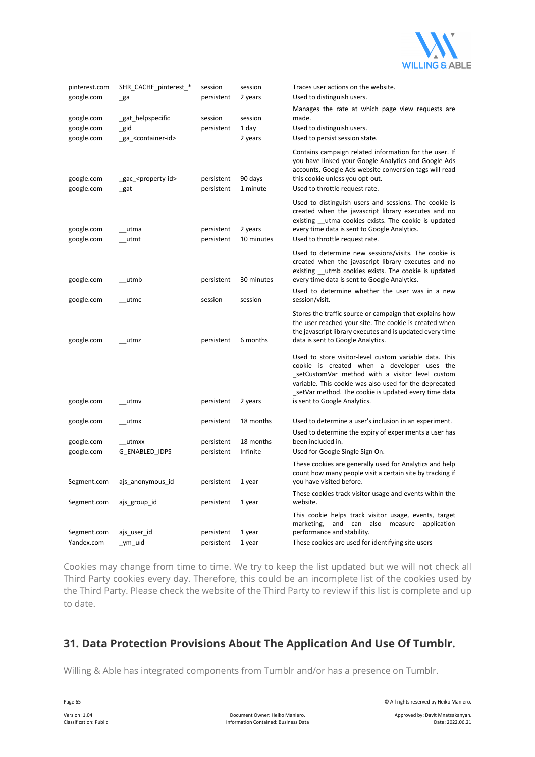

| pinterest.com<br>google.com            | SHR_CACHE_pinterest_*<br>_ga                                    | session<br>persistent    | session<br>2 years          | Traces user actions on the website.<br>Used to distinguish users.                                                                                                                                                                                                            |
|----------------------------------------|-----------------------------------------------------------------|--------------------------|-----------------------------|------------------------------------------------------------------------------------------------------------------------------------------------------------------------------------------------------------------------------------------------------------------------------|
| google.com<br>google.com<br>google.com | _gat_helpspecific<br>_gid<br>_ga_ <container-id></container-id> | session<br>persistent    | session<br>1 day<br>2 years | Manages the rate at which page view requests are<br>made.<br>Used to distinguish users.<br>Used to persist session state.                                                                                                                                                    |
| google.com<br>google.com               | _gac_ <property-id><br/>_gat</property-id>                      | persistent<br>persistent | 90 days<br>1 minute         | Contains campaign related information for the user. If<br>you have linked your Google Analytics and Google Ads<br>accounts, Google Ads website conversion tags will read<br>this cookie unless you opt-out.<br>Used to throttle request rate.                                |
|                                        |                                                                 |                          |                             | Used to distinguish users and sessions. The cookie is<br>created when the javascript library executes and no<br>existing __ utma cookies exists. The cookie is updated                                                                                                       |
| google.com<br>google.com               | utma<br>utmt                                                    | persistent<br>persistent | 2 years<br>10 minutes       | every time data is sent to Google Analytics.<br>Used to throttle request rate.                                                                                                                                                                                               |
| google.com                             | utmb                                                            | persistent               | 30 minutes                  | Used to determine new sessions/visits. The cookie is<br>created when the javascript library executes and no<br>existing __utmb cookies exists. The cookie is updated<br>every time data is sent to Google Analytics.                                                         |
| google.com                             | utmc                                                            | session                  | session                     | Used to determine whether the user was in a new<br>session/visit.                                                                                                                                                                                                            |
| google.com                             | utmz                                                            | persistent               | 6 months                    | Stores the traffic source or campaign that explains how<br>the user reached your site. The cookie is created when<br>the javascript library executes and is updated every time<br>data is sent to Google Analytics.                                                          |
|                                        |                                                                 |                          |                             | Used to store visitor-level custom variable data. This<br>cookie is created when a developer uses the<br>_setCustomVar method with a visitor level custom<br>variable. This cookie was also used for the deprecated<br>_setVar method. The cookie is updated every time data |
| google.com                             | utmv                                                            | persistent               | 2 years                     | is sent to Google Analytics.                                                                                                                                                                                                                                                 |
| google.com                             | utmx                                                            | persistent               | 18 months                   | Used to determine a user's inclusion in an experiment.                                                                                                                                                                                                                       |
| google.com<br>google.com               | utmxx<br>G_ENABLED_IDPS                                         | persistent<br>persistent | 18 months<br>Infinite       | Used to determine the expiry of experiments a user has<br>been included in.<br>Used for Google Single Sign On.                                                                                                                                                               |
| Segment.com                            | ajs_anonymous_id                                                | persistent               | 1 year                      | These cookies are generally used for Analytics and help<br>count how many people visit a certain site by tracking if<br>you have visited before.                                                                                                                             |
| Segment.com                            | ajs_group_id                                                    | persistent               | 1 year                      | These cookies track visitor usage and events within the<br>website.                                                                                                                                                                                                          |
|                                        |                                                                 |                          |                             | This cookie helps track visitor usage, events, target<br>marketing, and can also measure<br>application                                                                                                                                                                      |
| Segment.com<br>Yandex.com              | ajs_user_id<br>_ym_uid                                          | persistent<br>persistent | 1 year<br>1 year            | performance and stability.<br>These cookies are used for identifying site users                                                                                                                                                                                              |

Cookies may change from time to time. We try to keep the list updated but we will not check all Third Party cookies every day. Therefore, this could be an incomplete list of the cookies used by the Third Party. Please check the website of the Third Party to review if this list is complete and up to date.

## **31. Data Protection Provisions About The Application And Use Of Tumblr.**

Willing & Able has integrated components from Tumblr and/or has a presence on Tumblr.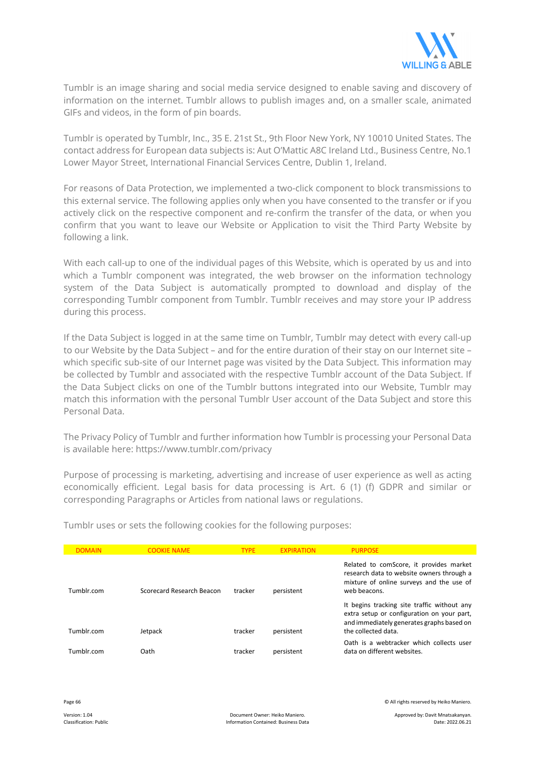

Tumblr is an image sharing and social media service designed to enable saving and discovery of information on the internet. Tumblr allows to publish images and, on a smaller scale, animated GIFs and videos, in the form of pin boards.

Tumblr is operated by Tumblr, Inc., 35 E. 21st St., 9th Floor New York, NY 10010 United States. The contact address for European data subjects is: Aut O'Mattic A8C Ireland Ltd., Business Centre, No.1 Lower Mayor Street, International Financial Services Centre, Dublin 1, Ireland.

For reasons of Data Protection, we implemented a two-click component to block transmissions to this external service. The following applies only when you have consented to the transfer or if you actively click on the respective component and re-confirm the transfer of the data, or when you confirm that you want to leave our Website or Application to visit the Third Party Website by following a link.

With each call-up to one of the individual pages of this Website, which is operated by us and into which a Tumblr component was integrated, the web browser on the information technology system of the Data Subject is automatically prompted to download and display of the corresponding Tumblr component from Tumblr. Tumblr receives and may store your IP address during this process.

If the Data Subject is logged in at the same time on Tumblr, Tumblr may detect with every call-up to our Website by the Data Subject – and for the entire duration of their stay on our Internet site – which specific sub-site of our Internet page was visited by the Data Subject. This information may be collected by Tumblr and associated with the respective Tumblr account of the Data Subject. If the Data Subject clicks on one of the Tumblr buttons integrated into our Website, Tumblr may match this information with the personal Tumblr User account of the Data Subject and store this Personal Data.

The Privacy Policy of Tumblr and further information how Tumblr is processing your Personal Data is available here: https://www.tumblr.com/privacy

Purpose of processing is marketing, advertising and increase of user experience as well as acting economically efficient. Legal basis for data processing is Art. 6 (1) (f) GDPR and similar or corresponding Paragraphs or Articles from national laws or regulations.

| <b>DOMAIN</b> | <b>COOKIE NAME</b>        | <b>TYPF</b> | <b>FXPIRATION</b> | <b>PURPOSE</b>                                                                                                                                                |
|---------------|---------------------------|-------------|-------------------|---------------------------------------------------------------------------------------------------------------------------------------------------------------|
| Tumblr.com    | Scorecard Research Beacon | tracker     | persistent        | Related to comScore, it provides market<br>research data to website owners through a<br>mixture of online surveys and the use of<br>web beacons.              |
| Tumblr.com    | Jetpack                   | tracker     | persistent        | It begins tracking site traffic without any<br>extra setup or configuration on your part,<br>and immediately generates graphs based on<br>the collected data. |
| Tumblr.com    | Oath                      | tracker     | persistent        | Oath is a webtracker which collects user<br>data on different websites.                                                                                       |

Tumblr uses or sets the following cookies for the following purposes:

Page 66 © All rights reserved by Heiko Maniero.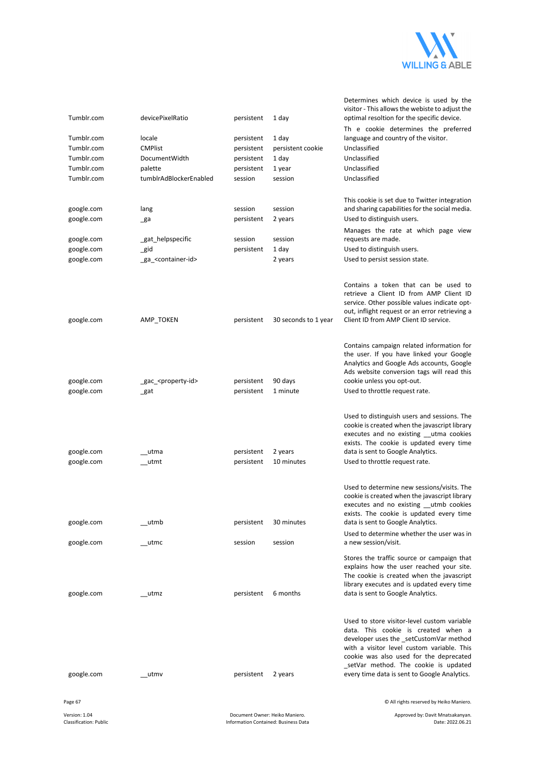

| Tumblr.com               | devicePixelRatio                           | persistent               | 1 day                | Determines which device is used by the<br>visitor - This allows the webiste to adjust the<br>optimal resoltion for the specific device.                                                                                                                                                                         |
|--------------------------|--------------------------------------------|--------------------------|----------------------|-----------------------------------------------------------------------------------------------------------------------------------------------------------------------------------------------------------------------------------------------------------------------------------------------------------------|
|                          |                                            |                          |                      | Th e cookie determines the preferred                                                                                                                                                                                                                                                                            |
| Tumblr.com               | locale                                     | persistent               | 1 day                | language and country of the visitor.                                                                                                                                                                                                                                                                            |
| Tumblr.com               | <b>CMPlist</b>                             | persistent               | persistent cookie    | Unclassified                                                                                                                                                                                                                                                                                                    |
| Tumblr.com               | DocumentWidth                              | persistent               | 1 day                | Unclassified                                                                                                                                                                                                                                                                                                    |
| Tumblr.com               | palette                                    | persistent               | 1 year               | Unclassified                                                                                                                                                                                                                                                                                                    |
| Tumblr.com               | tumblrAdBlockerEnabled                     | session                  | session              | Unclassified                                                                                                                                                                                                                                                                                                    |
|                          |                                            |                          |                      | This cookie is set due to Twitter integration                                                                                                                                                                                                                                                                   |
| google.com               | lang                                       | session                  | session              | and sharing capabilities for the social media.                                                                                                                                                                                                                                                                  |
| google.com               | _ga                                        | persistent               | 2 years              | Used to distinguish users.                                                                                                                                                                                                                                                                                      |
|                          |                                            |                          |                      | Manages the rate at which page view                                                                                                                                                                                                                                                                             |
| google.com               | _gat_helpspecific                          | session                  | session              | requests are made.                                                                                                                                                                                                                                                                                              |
| google.com               | _gid                                       | persistent               | 1 day                | Used to distinguish users.                                                                                                                                                                                                                                                                                      |
| google.com               | _ga_ <container-id></container-id>         |                          | 2 years              | Used to persist session state.                                                                                                                                                                                                                                                                                  |
| google.com               | AMP_TOKEN                                  | persistent               | 30 seconds to 1 year | Contains a token that can be used to<br>retrieve a Client ID from AMP Client ID<br>service. Other possible values indicate opt-<br>out, inflight request or an error retrieving a<br>Client ID from AMP Client ID service.                                                                                      |
| google.com<br>google.com | _gac_ <property-id><br/>_gat</property-id> | persistent<br>persistent | 90 days<br>1 minute  | Contains campaign related information for<br>the user. If you have linked your Google<br>Analytics and Google Ads accounts, Google<br>Ads website conversion tags will read this<br>cookie unless you opt-out.<br>Used to throttle request rate.                                                                |
| google.com               | utma                                       | persistent               | 2 years              | Used to distinguish users and sessions. The<br>cookie is created when the javascript library<br>executes and no existing __ utma cookies<br>exists. The cookie is updated every time<br>data is sent to Google Analytics.                                                                                       |
| google.com               | utmt                                       | persistent               | 10 minutes           | Used to throttle request rate.                                                                                                                                                                                                                                                                                  |
| google.com               | utmb                                       | persistent               | 30 minutes           | Used to determine new sessions/visits. The<br>cookie is created when the javascript library<br>executes and no existing __utmb cookies<br>exists. The cookie is updated every time<br>data is sent to Google Analytics.                                                                                         |
|                          |                                            |                          |                      | Used to determine whether the user was in                                                                                                                                                                                                                                                                       |
| google.com               | _utmc                                      | session                  | session              | a new session/visit.                                                                                                                                                                                                                                                                                            |
| google.com               | utmz                                       | persistent               | 6 months             | Stores the traffic source or campaign that<br>explains how the user reached your site.<br>The cookie is created when the javascript<br>library executes and is updated every time<br>data is sent to Google Analytics.                                                                                          |
|                          |                                            |                          |                      |                                                                                                                                                                                                                                                                                                                 |
| google.com               | utmv                                       | persistent               | 2 years              | Used to store visitor-level custom variable<br>data. This cookie is created when a<br>developer uses the _setCustomVar method<br>with a visitor level custom variable. This<br>cookie was also used for the deprecated<br>_setVar method. The cookie is updated<br>every time data is sent to Google Analytics. |
|                          |                                            |                          |                      |                                                                                                                                                                                                                                                                                                                 |
| Page 67                  |                                            |                          |                      | C All rights reserved by Heiko Maniero.                                                                                                                                                                                                                                                                         |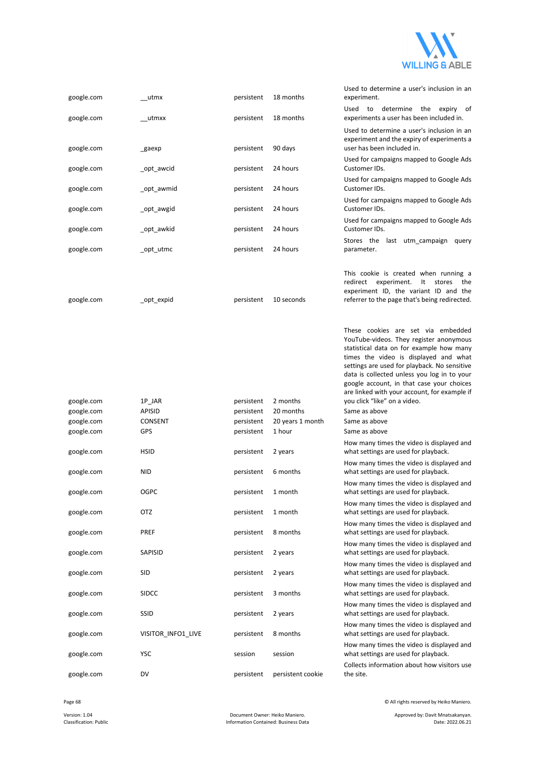

| google.com | utmx               | persistent | 18 months         | Used to determine a user's inclusion in an<br>experiment.                                                                                                                                                                                                                                                                                                                                      |
|------------|--------------------|------------|-------------------|------------------------------------------------------------------------------------------------------------------------------------------------------------------------------------------------------------------------------------------------------------------------------------------------------------------------------------------------------------------------------------------------|
| google.com | __utmxx            | persistent | 18 months         | to determine the expiry of<br>Used<br>experiments a user has been included in.                                                                                                                                                                                                                                                                                                                 |
| google.com | _gaexp             | persistent | 90 days           | Used to determine a user's inclusion in an<br>experiment and the expiry of experiments a<br>user has been included in.                                                                                                                                                                                                                                                                         |
| google.com | _opt_awcid         | persistent | 24 hours          | Used for campaigns mapped to Google Ads<br>Customer IDs.                                                                                                                                                                                                                                                                                                                                       |
| google.com | _opt_awmid         | persistent | 24 hours          | Used for campaigns mapped to Google Ads<br>Customer IDs.                                                                                                                                                                                                                                                                                                                                       |
| google.com | _opt_awgid         | persistent | 24 hours          | Used for campaigns mapped to Google Ads<br>Customer IDs.                                                                                                                                                                                                                                                                                                                                       |
| google.com | _opt_awkid         | persistent | 24 hours          | Used for campaigns mapped to Google Ads<br>Customer IDs.                                                                                                                                                                                                                                                                                                                                       |
| google.com | _opt_utmc          | persistent | 24 hours          | Stores the last utm_campaign query<br>parameter.                                                                                                                                                                                                                                                                                                                                               |
| google.com | _opt_expid         | persistent | 10 seconds        | This cookie is created when running a<br>experiment.<br>redirect<br>It<br>stores<br>the<br>experiment ID, the variant ID and the<br>referrer to the page that's being redirected.                                                                                                                                                                                                              |
| google.com | 1P_JAR             | persistent | 2 months          | These cookies are set via embedded<br>YouTube-videos. They register anonymous<br>statistical data on for example how many<br>times the video is displayed and what<br>settings are used for playback. No sensitive<br>data is collected unless you log in to your<br>google account, in that case your choices<br>are linked with your account, for example if<br>you click "like" on a video. |
| google.com | <b>APISID</b>      | persistent | 20 months         | Same as above                                                                                                                                                                                                                                                                                                                                                                                  |
| google.com | CONSENT            | persistent | 20 years 1 month  | Same as above                                                                                                                                                                                                                                                                                                                                                                                  |
| google.com | GPS                | persistent | 1 hour            | Same as above                                                                                                                                                                                                                                                                                                                                                                                  |
| google.com | <b>HSID</b>        | persistent | 2 years           | How many times the video is displayed and<br>what settings are used for playback.                                                                                                                                                                                                                                                                                                              |
| google.com | <b>NID</b>         | persistent | 6 months          | How many times the video is displayed and<br>what settings are used for playback.                                                                                                                                                                                                                                                                                                              |
| google.com | OGPC               | persistent | 1 month           | How many times the video is displayed and<br>what settings are used for playback.                                                                                                                                                                                                                                                                                                              |
| google.com | <b>OTZ</b>         | persistent | 1 month           | How many times the video is displayed and<br>what settings are used for playback.                                                                                                                                                                                                                                                                                                              |
| google.com | PREF               | persistent | 8 months          | How many times the video is displayed and<br>what settings are used for playback.                                                                                                                                                                                                                                                                                                              |
| google.com | SAPISID            | persistent | 2 years           | How many times the video is displayed and<br>what settings are used for playback.                                                                                                                                                                                                                                                                                                              |
| google.com | SID                | persistent | 2 years           | How many times the video is displayed and<br>what settings are used for playback.                                                                                                                                                                                                                                                                                                              |
| google.com | <b>SIDCC</b>       | persistent | 3 months          | How many times the video is displayed and<br>what settings are used for playback.                                                                                                                                                                                                                                                                                                              |
| google.com | SSID               | persistent | 2 years           | How many times the video is displayed and<br>what settings are used for playback.                                                                                                                                                                                                                                                                                                              |
| google.com | VISITOR_INFO1_LIVE | persistent | 8 months          | How many times the video is displayed and<br>what settings are used for playback.                                                                                                                                                                                                                                                                                                              |
| google.com | YSC                | session    | session           | How many times the video is displayed and<br>what settings are used for playback.                                                                                                                                                                                                                                                                                                              |
| google.com | DV                 | persistent | persistent cookie | Collects information about how visitors use<br>the site.                                                                                                                                                                                                                                                                                                                                       |

Page 68 © All rights reserved by Heiko Maniero.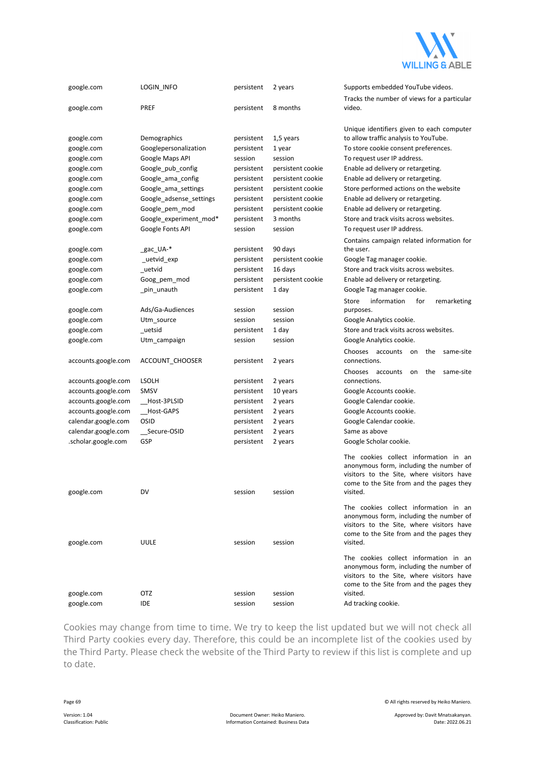

| google.com          | LOGIN_INFO              | persistent | 2 years           | Supports embedded YouTube videos.                                                                                                                                                     |
|---------------------|-------------------------|------------|-------------------|---------------------------------------------------------------------------------------------------------------------------------------------------------------------------------------|
| google.com          | PREF                    | persistent | 8 months          | Tracks the number of views for a particular<br>video.                                                                                                                                 |
|                     |                         |            |                   |                                                                                                                                                                                       |
|                     |                         |            |                   | Unique identifiers given to each computer                                                                                                                                             |
| google.com          | Demographics            | persistent | 1,5 years         | to allow traffic analysis to YouTube.                                                                                                                                                 |
| google.com          | Googlepersonalization   | persistent | 1 year            | To store cookie consent preferences.                                                                                                                                                  |
| google.com          | Google Maps API         | session    | session           | To request user IP address.                                                                                                                                                           |
| google.com          | Google_pub_config       | persistent | persistent cookie | Enable ad delivery or retargeting.                                                                                                                                                    |
| google.com          | Google_ama_config       | persistent | persistent cookie | Enable ad delivery or retargeting.                                                                                                                                                    |
| google.com          | Google_ama_settings     | persistent | persistent cookie | Store performed actions on the website                                                                                                                                                |
| google.com          | Google_adsense_settings | persistent | persistent cookie | Enable ad delivery or retargeting.                                                                                                                                                    |
| google.com          | Google_pem_mod          | persistent | persistent cookie | Enable ad delivery or retargeting.                                                                                                                                                    |
| google.com          | Google_experiment_mod*  | persistent | 3 months          | Store and track visits across websites.                                                                                                                                               |
| google.com          | Google Fonts API        | session    | session           | To request user IP address.                                                                                                                                                           |
|                     |                         |            |                   | Contains campaign related information for                                                                                                                                             |
| google.com          | gac_UA-*                | persistent | 90 days           | the user.                                                                                                                                                                             |
| google.com          | _uetvid_exp             | persistent | persistent cookie | Google Tag manager cookie.                                                                                                                                                            |
| google.com          | _uetvid                 | persistent | 16 days           | Store and track visits across websites.                                                                                                                                               |
| google.com          | Goog_pem_mod            | persistent | persistent cookie | Enable ad delivery or retargeting.                                                                                                                                                    |
| google.com          | _pin_unauth             | persistent | 1 day             | Google Tag manager cookie.                                                                                                                                                            |
|                     |                         |            |                   | information<br>for<br>Store<br>remarketing                                                                                                                                            |
| google.com          | Ads/Ga-Audiences        | session    | session           | purposes.                                                                                                                                                                             |
| google.com          | Utm_source              | session    | session           | Google Analytics cookie.                                                                                                                                                              |
| google.com          | _uetsid                 | persistent | 1 day             | Store and track visits across websites.                                                                                                                                               |
| google.com          | Utm_campaign            | session    | session           | Google Analytics cookie.                                                                                                                                                              |
| accounts.google.com | ACCOUNT_CHOOSER         | persistent | 2 years           | Chooses<br>accounts<br>the<br>same-site<br>on<br>connections.                                                                                                                         |
|                     |                         |            |                   | Chooses<br>accounts<br>on<br>the<br>same-site                                                                                                                                         |
| accounts.google.com | <b>LSOLH</b>            | persistent | 2 years           | connections.                                                                                                                                                                          |
| accounts.google.com | SMSV                    | persistent | 10 years          | Google Accounts cookie.                                                                                                                                                               |
| accounts.google.com | _Host-3PLSID            | persistent | 2 years           | Google Calendar cookie.                                                                                                                                                               |
| accounts.google.com | _Host-GAPS              | persistent | 2 years           | Google Accounts cookie.                                                                                                                                                               |
| calendar.google.com | OSID                    | persistent | 2 years           | Google Calendar cookie.                                                                                                                                                               |
| calendar.google.com | __Secure-OSID           | persistent | 2 years           | Same as above                                                                                                                                                                         |
| .scholar.google.com | GSP                     | persistent | 2 years           | Google Scholar cookie.                                                                                                                                                                |
| google.com          | DV                      | session    | session           | The cookies collect information in an<br>anonymous form, including the number of<br>visitors to the Site, where visitors have<br>come to the Site from and the pages they<br>visited. |
|                     |                         |            |                   |                                                                                                                                                                                       |
| google.com          | <b>UULE</b>             | session    | session           | The cookies collect information in an<br>anonymous form, including the number of<br>visitors to the Site, where visitors have<br>come to the Site from and the pages they<br>visited. |
|                     |                         |            |                   | The cookies collect information in an<br>anonymous form, including the number of<br>visitors to the Site, where visitors have<br>come to the Site from and the pages they             |
| google.com          | OTZ                     | session    | session           | visited.                                                                                                                                                                              |
| google.com          | IDE                     | session    | session           | Ad tracking cookie.                                                                                                                                                                   |

Cookies may change from time to time. We try to keep the list updated but we will not check all Third Party cookies every day. Therefore, this could be an incomplete list of the cookies used by the Third Party. Please check the website of the Third Party to review if this list is complete and up to date.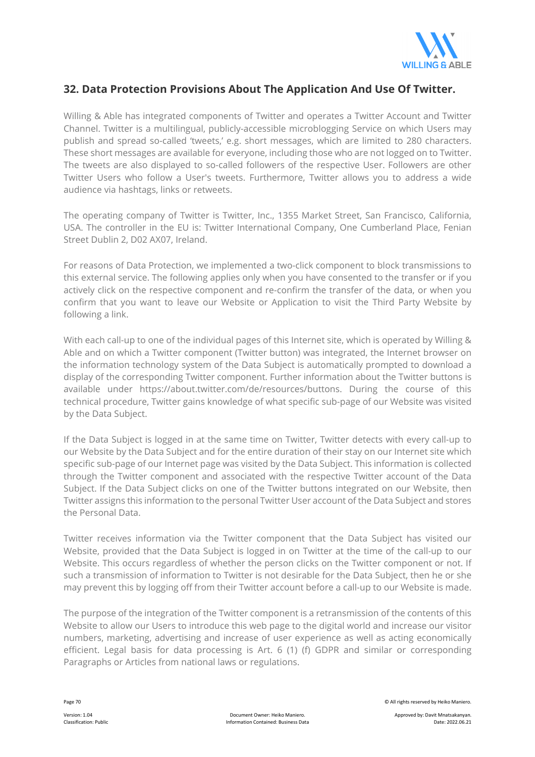

## **32. Data Protection Provisions About The Application And Use Of Twitter.**

Willing & Able has integrated components of Twitter and operates a Twitter Account and Twitter Channel. Twitter is a multilingual, publicly-accessible microblogging Service on which Users may publish and spread so-called 'tweets,' e.g. short messages, which are limited to 280 characters. These short messages are available for everyone, including those who are not logged on to Twitter. The tweets are also displayed to so-called followers of the respective User. Followers are other Twitter Users who follow a User's tweets. Furthermore, Twitter allows you to address a wide audience via hashtags, links or retweets.

The operating company of Twitter is Twitter, Inc., 1355 Market Street, San Francisco, California, USA. The controller in the EU is: Twitter International Company, One Cumberland Place, Fenian Street Dublin 2, D02 AX07, Ireland.

For reasons of Data Protection, we implemented a two-click component to block transmissions to this external service. The following applies only when you have consented to the transfer or if you actively click on the respective component and re-confirm the transfer of the data, or when you confirm that you want to leave our Website or Application to visit the Third Party Website by following a link.

With each call-up to one of the individual pages of this Internet site, which is operated by Willing & Able and on which a Twitter component (Twitter button) was integrated, the Internet browser on the information technology system of the Data Subject is automatically prompted to download a display of the corresponding Twitter component. Further information about the Twitter buttons is available under https://about.twitter.com/de/resources/buttons. During the course of this technical procedure, Twitter gains knowledge of what specific sub-page of our Website was visited by the Data Subject.

If the Data Subject is logged in at the same time on Twitter, Twitter detects with every call-up to our Website by the Data Subject and for the entire duration of their stay on our Internet site which specific sub-page of our Internet page was visited by the Data Subject. This information is collected through the Twitter component and associated with the respective Twitter account of the Data Subject. If the Data Subject clicks on one of the Twitter buttons integrated on our Website, then Twitter assigns this information to the personal Twitter User account of the Data Subject and stores the Personal Data.

Twitter receives information via the Twitter component that the Data Subject has visited our Website, provided that the Data Subject is logged in on Twitter at the time of the call-up to our Website. This occurs regardless of whether the person clicks on the Twitter component or not. If such a transmission of information to Twitter is not desirable for the Data Subject, then he or she may prevent this by logging off from their Twitter account before a call-up to our Website is made.

The purpose of the integration of the Twitter component is a retransmission of the contents of this Website to allow our Users to introduce this web page to the digital world and increase our visitor numbers, marketing, advertising and increase of user experience as well as acting economically efficient. Legal basis for data processing is Art. 6 (1) (f) GDPR and similar or corresponding Paragraphs or Articles from national laws or regulations.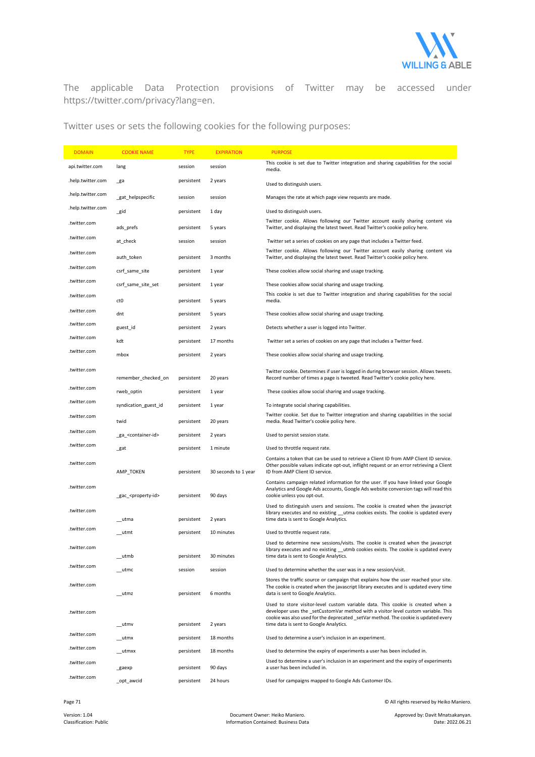

The applicable Data Protection provisions of Twitter may be accessed under https://twitter.com/privacy?lang=en.

Twitter uses or sets the following cookies for the following purposes:

| <b>DOMAIN</b>     | <b>COOKIE NAME</b>                 | <b>TYPE</b> | <b>EXPIRATION</b>    | <b>PURPOSE</b>                                                                                                                                                                                                                                                                                        |
|-------------------|------------------------------------|-------------|----------------------|-------------------------------------------------------------------------------------------------------------------------------------------------------------------------------------------------------------------------------------------------------------------------------------------------------|
| api.twitter.com   | lang                               | session     | session              | This cookie is set due to Twitter integration and sharing capabilities for the social<br>media.                                                                                                                                                                                                       |
| .help.twitter.com | $_{\text{ga}}$                     | persistent  | 2 years              | Used to distinguish users.                                                                                                                                                                                                                                                                            |
| .help.twitter.com | _gat_helpspecific                  | session     | session              | Manages the rate at which page view requests are made.                                                                                                                                                                                                                                                |
| .help.twitter.com | gid                                | persistent  | 1 day                | Used to distinguish users.                                                                                                                                                                                                                                                                            |
| .twitter.com      | ads_prefs                          | persistent  | 5 years              | Twitter cookie. Allows following our Twitter account easily sharing content via<br>Twitter, and displaying the latest tweet. Read Twitter's cookie policy here.                                                                                                                                       |
| .twitter.com      | at_check                           | session     | session              | Twitter set a series of cookies on any page that includes a Twitter feed.                                                                                                                                                                                                                             |
| .twitter.com      | auth_token                         | persistent  | 3 months             | Twitter cookie. Allows following our Twitter account easily sharing content via<br>Twitter, and displaying the latest tweet. Read Twitter's cookie policy here.                                                                                                                                       |
| .twitter.com      | csrf same site                     | persistent  | 1 year               | These cookies allow social sharing and usage tracking.                                                                                                                                                                                                                                                |
| .twitter.com      | csrf_same_site_set                 | persistent  | 1 year               | These cookies allow social sharing and usage tracking.                                                                                                                                                                                                                                                |
| .twitter.com      | ct <sub>0</sub>                    | persistent  | 5 years              | This cookie is set due to Twitter integration and sharing capabilities for the social<br>media.                                                                                                                                                                                                       |
| .twitter.com      | dnt                                | persistent  | 5 years              | These cookies allow social sharing and usage tracking.                                                                                                                                                                                                                                                |
| .twitter.com      | guest_id                           | persistent  | 2 years              | Detects whether a user is logged into Twitter.                                                                                                                                                                                                                                                        |
| .twitter.com      | kdt                                | persistent  | 17 months            | Twitter set a series of cookies on any page that includes a Twitter feed.                                                                                                                                                                                                                             |
| .twitter.com      | mbox                               | persistent  | 2 years              | These cookies allow social sharing and usage tracking.                                                                                                                                                                                                                                                |
| .twitter.com      | remember_checked_on                | persistent  | 20 years             | Twitter cookie. Determines if user is logged in during browser session. Allows tweets.<br>Record number of times a page is tweeted. Read Twitter's cookie policy here.                                                                                                                                |
| .twitter.com      | rweb_optin                         | persistent  | 1 year               | These cookies allow social sharing and usage tracking.                                                                                                                                                                                                                                                |
| .twitter.com      | syndication_guest_id               | persistent  | 1 year               | To integrate social sharing capabilities.                                                                                                                                                                                                                                                             |
| .twitter.com      | twid                               | persistent  | 20 years             | Twitter cookie. Set due to Twitter integration and sharing capabilities in the social<br>media. Read Twitter's cookie policy here.                                                                                                                                                                    |
| .twitter.com      | _ga_ <container-id></container-id> | persistent  | 2 years              | Used to persist session state.                                                                                                                                                                                                                                                                        |
| .twitter.com      | _gat                               | persistent  | 1 minute             | Used to throttle request rate.                                                                                                                                                                                                                                                                        |
| .twitter.com      | AMP_TOKEN                          | persistent  | 30 seconds to 1 year | Contains a token that can be used to retrieve a Client ID from AMP Client ID service.<br>Other possible values indicate opt-out, inflight request or an error retrieving a Client<br>ID from AMP Client ID service.                                                                                   |
| .twitter.com      | _gac_ <property-id></property-id>  | persistent  | 90 days              | Contains campaign related information for the user. If you have linked your Google<br>Analytics and Google Ads accounts, Google Ads website conversion tags will read this<br>cookie unless you opt-out.                                                                                              |
| .twitter.com      | utma                               | persistent  | 2 years              | Used to distinguish users and sessions. The cookie is created when the javascript<br>library executes and no existing utma cookies exists. The cookie is updated every<br>time data is sent to Google Analytics.                                                                                      |
| .twitter.com      | utmt                               | persistent  | 10 minutes           | Used to throttle request rate.                                                                                                                                                                                                                                                                        |
|                   |                                    |             |                      | Used to determine new sessions/visits. The cookie is created when the javascript                                                                                                                                                                                                                      |
| .twitter.com      | utmb                               | persistent  | 30 minutes           | library executes and no existing __ utmb cookies exists. The cookie is updated every<br>time data is sent to Google Analytics.                                                                                                                                                                        |
| .twitter.com      | utmc                               | session     | session              | Used to determine whether the user was in a new session/visit.                                                                                                                                                                                                                                        |
| .twitter.com      | _utmz                              | persistent  | 6 months             | Stores the traffic source or campaign that explains how the user reached your site.<br>The cookie is created when the javascript library executes and is updated every time<br>data is sent to Google Analytics.                                                                                      |
| .twitter.com      | utmv                               | persistent  | 2 years              | Used to store visitor-level custom variable data. This cookie is created when a<br>developer uses the setCustomVar method with a visitor level custom variable. This<br>cookie was also used for the deprecated _setVar method. The cookie is updated every<br>time data is sent to Google Analytics. |
| .twitter.com      | utmx                               |             | 18 months            | Used to determine a user's inclusion in an experiment.                                                                                                                                                                                                                                                |
| .twitter.com      |                                    | persistent  |                      | Used to determine the expiry of experiments a user has been included in.                                                                                                                                                                                                                              |
| .twitter.com      | utmxx                              | persistent  | 18 months            | Used to determine a user's inclusion in an experiment and the expiry of experiments                                                                                                                                                                                                                   |
|                   | _gaexp                             | persistent  | 90 days              | a user has been included in.                                                                                                                                                                                                                                                                          |
| .twitter.com      | _opt_awcid                         | persistent  | 24 hours             | Used for campaigns mapped to Google Ads Customer IDs.                                                                                                                                                                                                                                                 |

Page 71 © All rights reserved by Heiko Maniero.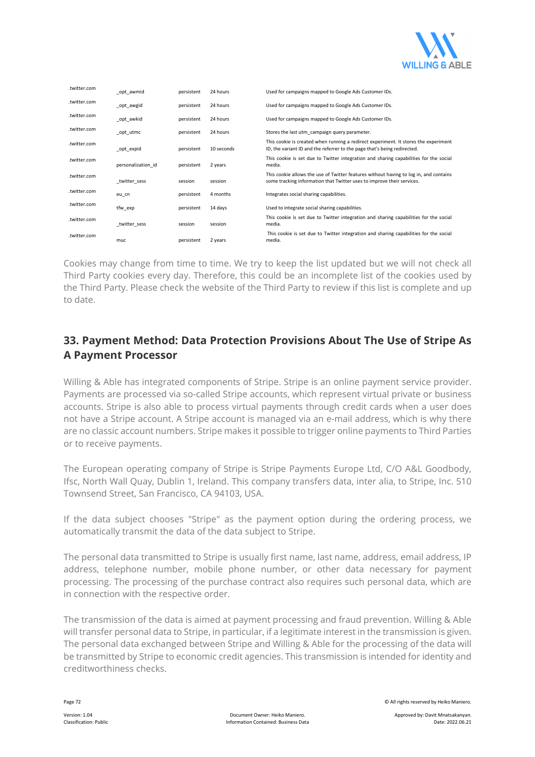

| .twitter.com | opt awmid          | persistent | 24 hours   | Used for campaigns mapped to Google Ads Customer IDs.                                                                                                           |
|--------------|--------------------|------------|------------|-----------------------------------------------------------------------------------------------------------------------------------------------------------------|
| .twitter.com | opt awgid          | persistent | 24 hours   | Used for campaigns mapped to Google Ads Customer IDs.                                                                                                           |
| .twitter.com | opt awkid          | persistent | 24 hours   | Used for campaigns mapped to Google Ads Customer IDs.                                                                                                           |
| .twitter.com | opt utmc           | persistent | 24 hours   | Stores the last utm campaign query parameter.                                                                                                                   |
| .twitter.com | opt expid          | persistent | 10 seconds | This cookie is created when running a redirect experiment. It stores the experiment<br>ID, the variant ID and the referrer to the page that's being redirected. |
| .twitter.com | personalization id | persistent | 2 years    | This cookie is set due to Twitter integration and sharing capabilities for the social<br>media.                                                                 |
| .twitter.com | twitter sess       | session    | session    | This cookie allows the use of Twitter features without having to log in, and contains<br>some tracking information that Twitter uses to improve their services. |
| .twitter.com | eu cn              | persistent | 4 months   | Integrates social sharing capabilities.                                                                                                                         |
| .twitter.com | tfw exp            | persistent | 14 days    | Used to integrate social sharing capabilities.                                                                                                                  |
| .twitter.com | twitter sess       | session    | session    | This cookie is set due to Twitter integration and sharing capabilities for the social<br>media.                                                                 |
| .twitter.com | muc                | persistent | 2 years    | This cookie is set due to Twitter integration and sharing capabilities for the social<br>media.                                                                 |

Cookies may change from time to time. We try to keep the list updated but we will not check all Third Party cookies every day. Therefore, this could be an incomplete list of the cookies used by the Third Party. Please check the website of the Third Party to review if this list is complete and up to date.

# **33. Payment Method: Data Protection Provisions About The Use of Stripe As A Payment Processor**

Willing & Able has integrated components of Stripe. Stripe is an online payment service provider. Payments are processed via so-called Stripe accounts, which represent virtual private or business accounts. Stripe is also able to process virtual payments through credit cards when a user does not have a Stripe account. A Stripe account is managed via an e-mail address, which is why there are no classic account numbers. Stripe makes it possible to trigger online payments to Third Parties or to receive payments.

The European operating company of Stripe is Stripe Payments Europe Ltd, C/O A&L Goodbody, Ifsc, North Wall Quay, Dublin 1, Ireland. This company transfers data, inter alia, to Stripe, Inc. 510 Townsend Street, San Francisco, CA 94103, USA.

If the data subject chooses "Stripe" as the payment option during the ordering process, we automatically transmit the data of the data subject to Stripe.

The personal data transmitted to Stripe is usually first name, last name, address, email address, IP address, telephone number, mobile phone number, or other data necessary for payment processing. The processing of the purchase contract also requires such personal data, which are in connection with the respective order.

The transmission of the data is aimed at payment processing and fraud prevention. Willing & Able will transfer personal data to Stripe, in particular, if a legitimate interest in the transmission is given. The personal data exchanged between Stripe and Willing & Able for the processing of the data will be transmitted by Stripe to economic credit agencies. This transmission is intended for identity and creditworthiness checks.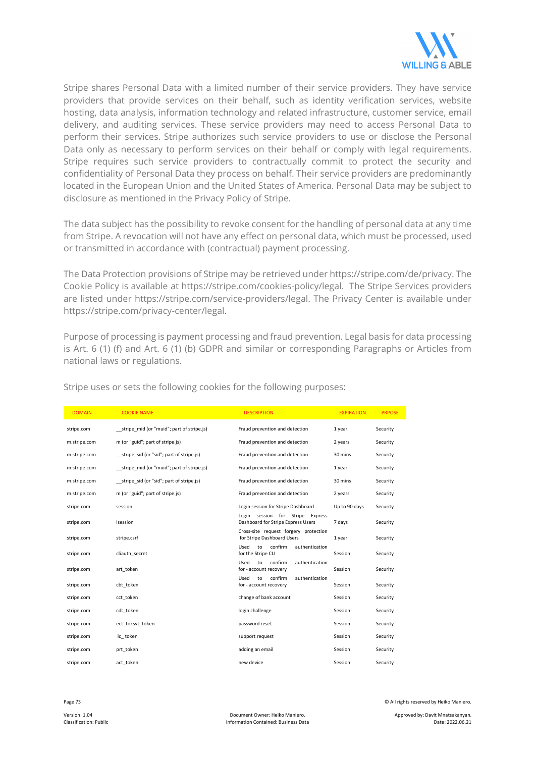

Stripe shares Personal Data with a limited number of their service providers. They have service providers that provide services on their behalf, such as identity verification services, website hosting, data analysis, information technology and related infrastructure, customer service, email delivery, and auditing services. These service providers may need to access Personal Data to perform their services. Stripe authorizes such service providers to use or disclose the Personal Data only as necessary to perform services on their behalf or comply with legal requirements. Stripe requires such service providers to contractually commit to protect the security and confidentiality of Personal Data they process on behalf. Their service providers are predominantly located in the European Union and the United States of America. Personal Data may be subject to disclosure as mentioned in the Privacy Policy of Stripe.

The data subject has the possibility to revoke consent for the handling of personal data at any time from Stripe. A revocation will not have any effect on personal data, which must be processed, used or transmitted in accordance with (contractual) payment processing.

The Data Protection provisions of Stripe may be retrieved under https://stripe.com/de/privacy. The Cookie Policy is available at https://stripe.com/cookies-policy/legal. The Stripe Services providers are listed under https://stripe.com/service-providers/legal. The Privacy Center is available under https://stripe.com/privacy-center/legal.

Purpose of processing is payment processing and fraud prevention. Legal basis for data processing is Art. 6 (1) (f) and Art. 6 (1) (b) GDPR and similar or corresponding Paragraphs or Articles from national laws or regulations.

| <b>DOMAIN</b> | <b>COOKIE NAME</b>                        | <b>DESCRIPTION</b>                                                     | <b>EXPIRATION</b> | <b>PRPOSE</b> |
|---------------|-------------------------------------------|------------------------------------------------------------------------|-------------------|---------------|
| stripe.com    | stripe mid (or "muid"; part of stripe.js) | Fraud prevention and detection                                         | 1 year            | Security      |
| m.stripe.com  | m (or "guid"; part of stripe.js)          | Fraud prevention and detection                                         | 2 years           | Security      |
| m.stripe.com  | stripe sid (or "sid"; part of stripe.js)  | Fraud prevention and detection                                         | 30 mins           | Security      |
| m.stripe.com  | stripe mid (or "muid"; part of stripe.js) | Fraud prevention and detection                                         | 1 year            | Security      |
| m.stripe.com  | stripe sid (or "sid"; part of stripe.js)  | Fraud prevention and detection                                         | 30 mins           | Security      |
| m.stripe.com  | m (or "guid"; part of stripe.js)          | Fraud prevention and detection                                         | 2 years           | Security      |
| stripe.com    | session                                   | Login session for Stripe Dashboard                                     | Up to 90 days     | Security      |
| stripe.com    | Isession                                  | Login session for Stripe Express<br>Dashboard for Stripe Express Users | 7 days            | Security      |
| stripe.com    | stripe.csrf                               | Cross-site request forgery protection<br>for Stripe Dashboard Users    | 1 year            | Security      |
| stripe.com    | cliauth secret                            | confirm<br>Used<br>to<br>authentication<br>for the Stripe CLI          | Session           | Security      |
| stripe.com    | art token                                 | confirm<br>Used<br>to<br>authentication<br>for - account recovery      | Session           | Security      |
| stripe.com    | cbt token                                 | confirm<br>authentication<br>Used<br>to<br>for - account recovery      | Session           | Security      |
| stripe.com    | cct token                                 | change of bank account                                                 | Session           | Security      |
| stripe.com    | cdt token                                 | login challenge                                                        | Session           | Security      |
| stripe.com    | ect toksvt token                          | password reset                                                         | Session           | Security      |
| stripe.com    | Ic token                                  | support request                                                        | Session           | Security      |
| stripe.com    | prt token                                 | adding an email                                                        | Session           | Security      |
| stripe.com    | act token                                 | new device                                                             | Session           | Security      |

Stripe uses or sets the following cookies for the following purposes: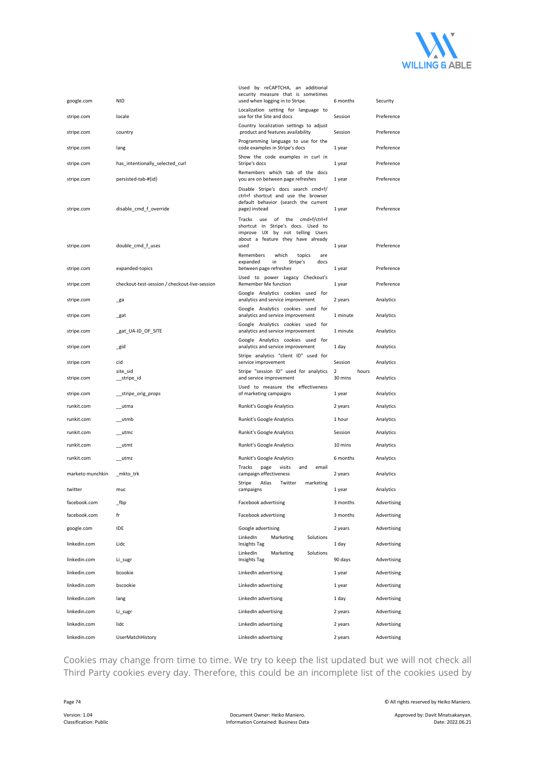

|                  |                                               | Used by reCAPTCHA, an additional<br>security measure that is sometimes                                                                                                                         |                       |             |
|------------------|-----------------------------------------------|------------------------------------------------------------------------------------------------------------------------------------------------------------------------------------------------|-----------------------|-------------|
| google.com       | NID                                           | used when logging in to Stripe.<br>Localization setting for language to                                                                                                                        | 6 months              | Security    |
| stripe.com       | locale                                        | use for the Site and docs<br>Country localization settings to adjust                                                                                                                           | Session               | Preference  |
| stripe.com       | country                                       | product and features availability                                                                                                                                                              | Session               | Preference  |
| stripe.com       | lang                                          | Programming language to use for the<br>code examples in Stripe's docs                                                                                                                          | 1 year                | Preference  |
| stripe.com       | has_intentionally_selected_curl               | Show the code examples in curl in<br>Stripe's docs                                                                                                                                             | 1 year                | Preference  |
| stripe.com       | persisted-tab-#{id}                           | Remembers which tab of the docs<br>you are on between page refreshes                                                                                                                           | 1 year                | Preference  |
| stripe.com       | disable_cmd_f_override                        | Disable Stripe's docs search cmd+f/<br>ctrl+f shortcut and use the browser<br>default behavior (search the current<br>page) instead                                                            | 1 year                | Preference  |
| stripe.com       | double cmd f uses                             | cmd+f/ctrl+f<br>Tracks use of the<br>shortcut in Stripe's docs. Used to<br>improve UX by not telling Users<br>about a feature they have already<br>used<br>Remembers<br>which<br>topics<br>are | 1 year                | Preference  |
| stripe.com       | expanded-topics                               | expanded<br>in<br>Stripe's<br>docs<br>between page refreshes                                                                                                                                   | 1 year                | Preference  |
| stripe.com       | checkout-test-session / checkout-live-session | Used to power Legacy Checkout's<br>Remember Me function                                                                                                                                        | 1 year                | Preference  |
| stripe.com       | _ga                                           | Google Analytics cookies used for<br>analytics and service improvement                                                                                                                         | 2 years               | Analytics   |
| stripe.com       | _gat                                          | Google Analytics cookies used for<br>analytics and service improvement                                                                                                                         | 1 minute              | Analytics   |
| stripe.com       | gat_UA-ID_OF_SITE                             | Google Analytics cookies used for<br>analytics and service improvement                                                                                                                         | 1 minute              | Analytics   |
| stripe.com       | gid                                           | Google Analytics cookies used for<br>analytics and service improvement                                                                                                                         | 1 day                 | Analytics   |
| stripe.com       | cid                                           | Stripe analytics "client ID" used for<br>service improvement                                                                                                                                   | Session               | Analytics   |
| stripe.com       | site_sid<br>__stripe_id                       | Stripe "session ID" used for analytics<br>and service improvement                                                                                                                              | 2<br>hours<br>30 mins | Analytics   |
| stripe.com       | _stripe_orig_props                            | Used to measure the effectiveness<br>of marketing campaigns                                                                                                                                    | 1 year                | Analytics   |
| runkit.com       | utma                                          | Runkit's Google Analytics                                                                                                                                                                      | 2 years               | Analytics   |
| runkit.com       | utmb                                          | Runkit's Google Analytics                                                                                                                                                                      | 1 hour                | Analytics   |
| runkit.com       | utmc                                          | Runkit's Google Analytics                                                                                                                                                                      | Session               | Analytics   |
| runkit.com       | utmt                                          | Runkit's Google Analytics                                                                                                                                                                      | 10 mins               | Analytics   |
| runkit.com       | utmz                                          | Runkit's Google Analytics                                                                                                                                                                      | 6 months              | Analytics   |
| marketo munchkin | _mkto_trk                                     | visits<br>and<br>email<br>Tracks<br>page<br>campaign effectiveness                                                                                                                             | 2 years               | Analytics   |
| twitter          | muc                                           | Stripe<br>Atlas<br>Twitter<br>marketing<br>campaigns                                                                                                                                           | 1 year                | Analytics   |
| facebook.com     | _fbp                                          | Facebook advertising                                                                                                                                                                           | 3 months              | Advertising |
| facebook.com     | fr                                            | Facebook advertising                                                                                                                                                                           | 3 months              | Advertising |
| google.com       | IDE                                           | Google advertising                                                                                                                                                                             | 2 years               | Advertising |
| linkedin.com     | Lidc                                          | LinkedIn<br>Marketing<br>Solutions<br>Insights Tag                                                                                                                                             | 1 day                 | Advertising |
| linkedin.com     | Li_sugr                                       | LinkedIn<br>Marketing<br>Solutions<br>Insights Tag                                                                                                                                             | 90 days               | Advertising |
| linkedin.com     | bcookie                                       | LinkedIn advertising                                                                                                                                                                           | 1 year                | Advertising |
| linkedin.com     | bscookie                                      | LinkedIn advertising                                                                                                                                                                           | 1 year                | Advertising |
| linkedin.com     | lang                                          | LinkedIn advertising                                                                                                                                                                           | 1 day                 | Advertising |
| linkedin.com     | Li_sugr                                       | LinkedIn advertising                                                                                                                                                                           | 2 years               | Advertising |
| linkedin.com     | lidc                                          | LinkedIn advertising                                                                                                                                                                           | 2 years               | Advertising |
| linkedin.com     | UserMatchHistory                              | LinkedIn advertising                                                                                                                                                                           | 2 years               | Advertising |

Cookies may change from time to time. We try to keep the list updated but we will not check all Third Party cookies every day. Therefore, this could be an incomplete list of the cookies used by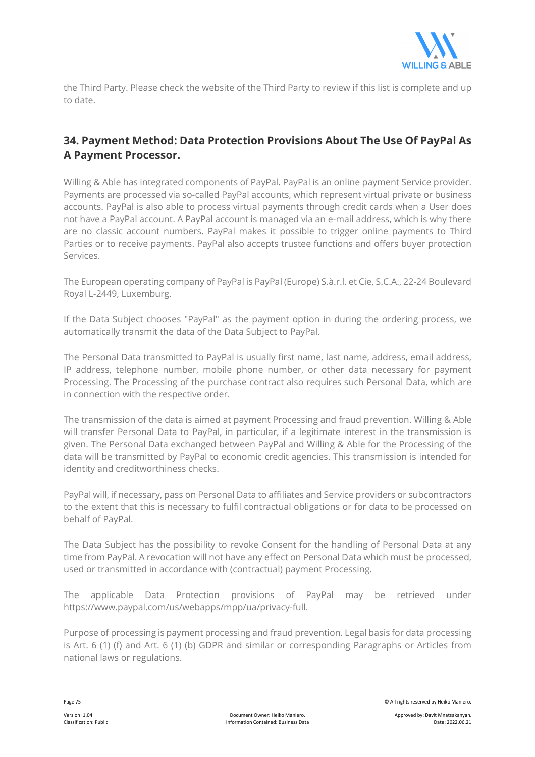

the Third Party. Please check the website of the Third Party to review if this list is complete and up to date.

# **34. Payment Method: Data Protection Provisions About The Use Of PayPal As A Payment Processor.**

Willing & Able has integrated components of PayPal. PayPal is an online payment Service provider. Payments are processed via so-called PayPal accounts, which represent virtual private or business accounts. PayPal is also able to process virtual payments through credit cards when a User does not have a PayPal account. A PayPal account is managed via an e-mail address, which is why there are no classic account numbers. PayPal makes it possible to trigger online payments to Third Parties or to receive payments. PayPal also accepts trustee functions and offers buyer protection Services.

The European operating company of PayPal is PayPal (Europe) S.à.r.l. et Cie, S.C.A., 22-24 Boulevard Royal L-2449, Luxemburg.

If the Data Subject chooses "PayPal" as the payment option in during the ordering process, we automatically transmit the data of the Data Subject to PayPal.

The Personal Data transmitted to PayPal is usually first name, last name, address, email address, IP address, telephone number, mobile phone number, or other data necessary for payment Processing. The Processing of the purchase contract also requires such Personal Data, which are in connection with the respective order.

The transmission of the data is aimed at payment Processing and fraud prevention. Willing & Able will transfer Personal Data to PayPal, in particular, if a legitimate interest in the transmission is given. The Personal Data exchanged between PayPal and Willing & Able for the Processing of the data will be transmitted by PayPal to economic credit agencies. This transmission is intended for identity and creditworthiness checks.

PayPal will, if necessary, pass on Personal Data to affiliates and Service providers or subcontractors to the extent that this is necessary to fulfil contractual obligations or for data to be processed on behalf of PayPal.

The Data Subject has the possibility to revoke Consent for the handling of Personal Data at any time from PayPal. A revocation will not have any effect on Personal Data which must be processed, used or transmitted in accordance with (contractual) payment Processing.

The applicable Data Protection provisions of PayPal may be retrieved under https://www.paypal.com/us/webapps/mpp/ua/privacy-full.

Purpose of processing is payment processing and fraud prevention. Legal basis for data processing is Art. 6 (1) (f) and Art. 6 (1) (b) GDPR and similar or corresponding Paragraphs or Articles from national laws or regulations.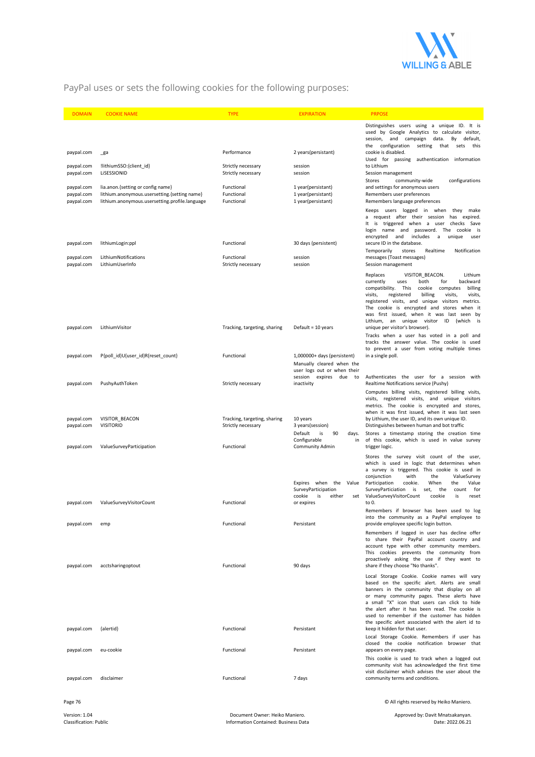

## PayPal uses or sets the following cookies for the following purposes:

| <b>DOMAIN</b>                          | <b>COOKIE NAME</b>                                                                                                                  | <b>TYPE</b>                                        | <b>EXPIRATION</b>                                                                                                      | <b>PRPOSE</b>                                                                                                                                                                                                                                                                                                                                                                                                                             |
|----------------------------------------|-------------------------------------------------------------------------------------------------------------------------------------|----------------------------------------------------|------------------------------------------------------------------------------------------------------------------------|-------------------------------------------------------------------------------------------------------------------------------------------------------------------------------------------------------------------------------------------------------------------------------------------------------------------------------------------------------------------------------------------------------------------------------------------|
|                                        |                                                                                                                                     |                                                    |                                                                                                                        | Distinguishes users using a unique ID. It is<br>used by Google Analytics to calculate visitor,<br>session, and campaign data.<br>By default,<br>configuration<br>setting that<br>the<br>sets<br>this                                                                                                                                                                                                                                      |
| paypal.com                             | _ga                                                                                                                                 | Performance                                        | 2 years(persistant)                                                                                                    | cookie is disabled.<br>Used for passing authentication information                                                                                                                                                                                                                                                                                                                                                                        |
| paypal.com<br>paypal.com               | !lithiumSSO:{client_id}<br>LISESSIONID                                                                                              | Strictly necessary<br>Strictly necessary           | session<br>session                                                                                                     | to Lithium<br>Session management<br><b>Stores</b><br>community-wide<br>configurations                                                                                                                                                                                                                                                                                                                                                     |
| paypal.com<br>paypal.com<br>paypal.com | lia.anon.{setting or config name}<br>lithium.anonymous.usersetting.{setting name}<br>lithium.anonymous.usersetting.profile.language | Functional<br>Functional<br>Functional             | 1 year(persistant)<br>1 year(persistant)<br>1 year(persistant)                                                         | and settings for anonymous users<br>Remembers user preferences<br>Remembers language preferences                                                                                                                                                                                                                                                                                                                                          |
| paypal.com                             | lithiumLogin:ppl                                                                                                                    | Functional                                         | 30 days (persistent)                                                                                                   | Keeps users logged in when<br>they make<br>a request after their session<br>has expired.<br>It is triggered when a user<br>checks Save<br>login name and<br>password. The cookie is<br>encrypted<br>and<br>includes<br>unique<br>a<br>user<br>secure ID in the database.                                                                                                                                                                  |
| paypal.com                             | LithiumNotifications                                                                                                                | Functional                                         | session                                                                                                                | Temporarily<br>stores<br>Realtime<br>Notification<br>messages (Toast messages)                                                                                                                                                                                                                                                                                                                                                            |
| paypal.com                             | LithiumUserInfo                                                                                                                     | Strictly necessary                                 | session                                                                                                                | Session management<br>Replaces<br>VISITOR BEACON.<br>Lithium<br>currently<br>uses<br>both<br>for<br>backward<br>compatibility.<br>This<br>billing<br>cookie<br>computes<br>registered<br>billing<br>visits,<br>visits,<br>visits,<br>registered visits, and unique visitors metrics.<br>The cookie is encrypted and stores when it<br>was first issued, when it was last seen by<br>Lithium, an unique visitor ID<br>(which is            |
| paypal.com                             | LithiumVisitor                                                                                                                      | Tracking, targeting, sharing                       | Default = 10 years                                                                                                     | unique per visitor's browser).<br>Tracks when a user has voted in a poll and<br>tracks the answer value. The cookie is used<br>to prevent a user from voting multiple times                                                                                                                                                                                                                                                               |
| paypal.com                             | P{poll_id}U{user_id}R{reset count}                                                                                                  | Functional                                         | $1,000000+$ days (persistent)<br>Manually cleared when the<br>user logs out or when their<br>session expires<br>due to | in a single poll.<br>Authenticates the user for a session with                                                                                                                                                                                                                                                                                                                                                                            |
| paypal.com                             | PushyAuthToken                                                                                                                      | Strictly necessary                                 | inactivity                                                                                                             | Realtime Notifications service (Pushy)<br>Computes billing visits, registered billing visits,<br>visits, registered visits, and unique visitors<br>metrics. The cookie is encrypted and stores,<br>when it was first issued, when it was last seen                                                                                                                                                                                        |
| paypal.com<br>paypal.com               | VISITOR BEACON<br><b>VISITORID</b>                                                                                                  | Tracking, targeting, sharing<br>Strictly necessary | 10 years<br>3 years(session)<br>Default<br>is<br>90<br>days.<br>Configurable<br>in                                     | by Lithium, the user ID, and its own unique ID.<br>Distinguishes between human and bot traffic<br>Stores a timestamp storing the creation time<br>of this cookie, which is used in value survey                                                                                                                                                                                                                                           |
| paypal.com                             | ValueSurveyParticipation                                                                                                            | Functional                                         | Community Admin<br>Expires when the Value<br>SurveyParticipation<br>cookie<br>either<br>is<br>set                      | trigger logic.<br>Stores the survey visit count of the user,<br>which is used in logic that determines when<br>a survey is triggered. This cookie is used in<br>conjunction<br>with<br>the<br>ValueSurvey<br>Participation<br>cookie.<br>When<br>the<br>Value<br>SurveyParticiation is<br>set,<br>the<br>count<br>for<br>ValueSurveyVisitorCount<br>cookie<br>is<br>reset                                                                 |
| paypal.com                             | ValueSurveyVisitorCount                                                                                                             | Functional                                         | or expires                                                                                                             | to 0.<br>Remembers if browser has been used to log<br>into the community as a PayPal employee to                                                                                                                                                                                                                                                                                                                                          |
| paypal.com                             | emp                                                                                                                                 | Functional                                         | Persistant                                                                                                             | provide employee specific login button.<br>Remembers if logged in user has decline offer<br>to share their PayPal account country and<br>account type with other community members.<br>This cookies prevents the community from<br>proactively asking the use if they want to                                                                                                                                                             |
| paypal.com                             | acctsharingoptout                                                                                                                   | Functional                                         | 90 days                                                                                                                | share if they choose "No thanks".<br>Local Storage Cookie. Cookie names will vary<br>based on the specific alert. Alerts are small<br>banners in the community that display on all<br>or many community pages. These alerts have<br>a small "X" icon that users can click to hide<br>the alert after it has been read. The cookie is<br>used to remember if the customer has hidden<br>the specific alert associated with the alert id to |
| paypal.com                             | {alertid}                                                                                                                           | Functional                                         | Persistant                                                                                                             | keep it hidden for that user.<br>Local Storage Cookie. Remembers if user has<br>closed the cookie notification browser that                                                                                                                                                                                                                                                                                                               |
| paypal.com                             | eu-cookie                                                                                                                           | Functional                                         | Persistant                                                                                                             | appears on every page.<br>This cookie is used to track when a logged out<br>community visit has acknowledged the first time<br>visit disclaimer which advises the user about the                                                                                                                                                                                                                                                          |
| paypal.com                             | disclaimer                                                                                                                          | Functional                                         | 7 days                                                                                                                 | community terms and conditions.                                                                                                                                                                                                                                                                                                                                                                                                           |
| Page 76                                |                                                                                                                                     |                                                    |                                                                                                                        | © All rights reserved by Heiko Maniero.                                                                                                                                                                                                                                                                                                                                                                                                   |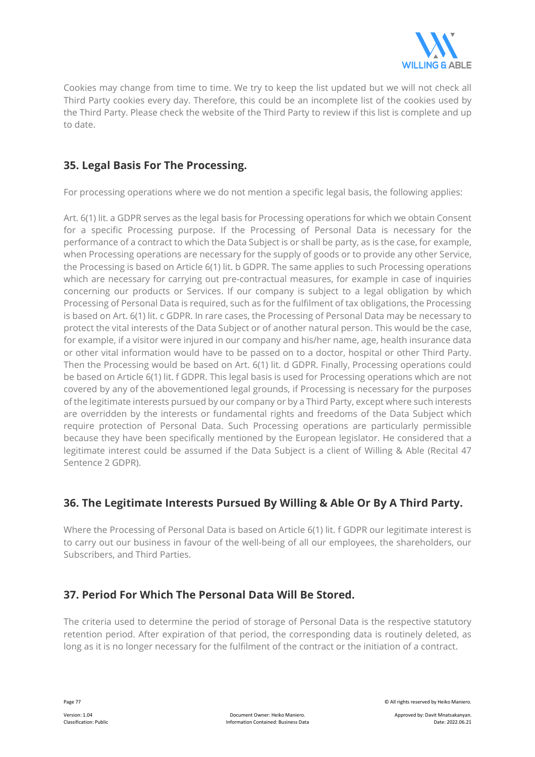

Cookies may change from time to time. We try to keep the list updated but we will not check all Third Party cookies every day. Therefore, this could be an incomplete list of the cookies used by the Third Party. Please check the website of the Third Party to review if this list is complete and up to date.

# **35. Legal Basis For The Processing.**

For processing operations where we do not mention a specific legal basis, the following applies:

Art. 6(1) lit. a GDPR serves as the legal basis for Processing operations for which we obtain Consent for a specific Processing purpose. If the Processing of Personal Data is necessary for the performance of a contract to which the Data Subject is or shall be party, as is the case, for example, when Processing operations are necessary for the supply of goods or to provide any other Service, the Processing is based on Article 6(1) lit. b GDPR. The same applies to such Processing operations which are necessary for carrying out pre-contractual measures, for example in case of inquiries concerning our products or Services. If our company is subject to a legal obligation by which Processing of Personal Data is required, such as for the fulfilment of tax obligations, the Processing is based on Art. 6(1) lit. c GDPR. In rare cases, the Processing of Personal Data may be necessary to protect the vital interests of the Data Subject or of another natural person. This would be the case, for example, if a visitor were injured in our company and his/her name, age, health insurance data or other vital information would have to be passed on to a doctor, hospital or other Third Party. Then the Processing would be based on Art. 6(1) lit. d GDPR. Finally, Processing operations could be based on Article 6(1) lit. f GDPR. This legal basis is used for Processing operations which are not covered by any of the abovementioned legal grounds, if Processing is necessary for the purposes of the legitimate interests pursued by our company or by a Third Party, except where such interests are overridden by the interests or fundamental rights and freedoms of the Data Subject which require protection of Personal Data. Such Processing operations are particularly permissible because they have been specifically mentioned by the European legislator. He considered that a legitimate interest could be assumed if the Data Subject is a client of Willing & Able (Recital 47 Sentence 2 GDPR).

# **36. The Legitimate Interests Pursued By Willing & Able Or By A Third Party.**

Where the Processing of Personal Data is based on Article 6(1) lit. f GDPR our legitimate interest is to carry out our business in favour of the well-being of all our employees, the shareholders, our Subscribers, and Third Parties.

# **37. Period For Which The Personal Data Will Be Stored.**

The criteria used to determine the period of storage of Personal Data is the respective statutory retention period. After expiration of that period, the corresponding data is routinely deleted, as long as it is no longer necessary for the fulfilment of the contract or the initiation of a contract.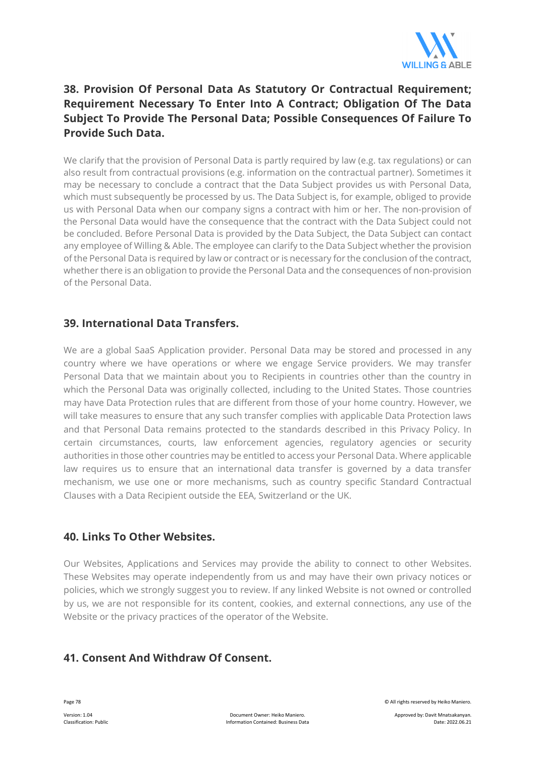

# **38. Provision Of Personal Data As Statutory Or Contractual Requirement; Requirement Necessary To Enter Into A Contract; Obligation Of The Data Subject To Provide The Personal Data; Possible Consequences Of Failure To Provide Such Data.**

We clarify that the provision of Personal Data is partly required by law (e.g. tax regulations) or can also result from contractual provisions (e.g. information on the contractual partner). Sometimes it may be necessary to conclude a contract that the Data Subject provides us with Personal Data, which must subsequently be processed by us. The Data Subject is, for example, obliged to provide us with Personal Data when our company signs a contract with him or her. The non-provision of the Personal Data would have the consequence that the contract with the Data Subject could not be concluded. Before Personal Data is provided by the Data Subject, the Data Subject can contact any employee of Willing & Able. The employee can clarify to the Data Subject whether the provision of the Personal Data is required by law or contract or is necessary for the conclusion of the contract, whether there is an obligation to provide the Personal Data and the consequences of non-provision of the Personal Data.

## **39. International Data Transfers.**

We are a global SaaS Application provider. Personal Data may be stored and processed in any country where we have operations or where we engage Service providers. We may transfer Personal Data that we maintain about you to Recipients in countries other than the country in which the Personal Data was originally collected, including to the United States. Those countries may have Data Protection rules that are different from those of your home country. However, we will take measures to ensure that any such transfer complies with applicable Data Protection laws and that Personal Data remains protected to the standards described in this Privacy Policy. In certain circumstances, courts, law enforcement agencies, regulatory agencies or security authorities in those other countries may be entitled to access your Personal Data. Where applicable law requires us to ensure that an international data transfer is governed by a data transfer mechanism, we use one or more mechanisms, such as country specific Standard Contractual Clauses with a Data Recipient outside the EEA, Switzerland or the UK.

## **40. Links To Other Websites.**

Our Websites, Applications and Services may provide the ability to connect to other Websites. These Websites may operate independently from us and may have their own privacy notices or policies, which we strongly suggest you to review. If any linked Website is not owned or controlled by us, we are not responsible for its content, cookies, and external connections, any use of the Website or the privacy practices of the operator of the Website.

## **41. Consent And Withdraw Of Consent.**

Page 78 © All rights reserved by Heiko Maniero.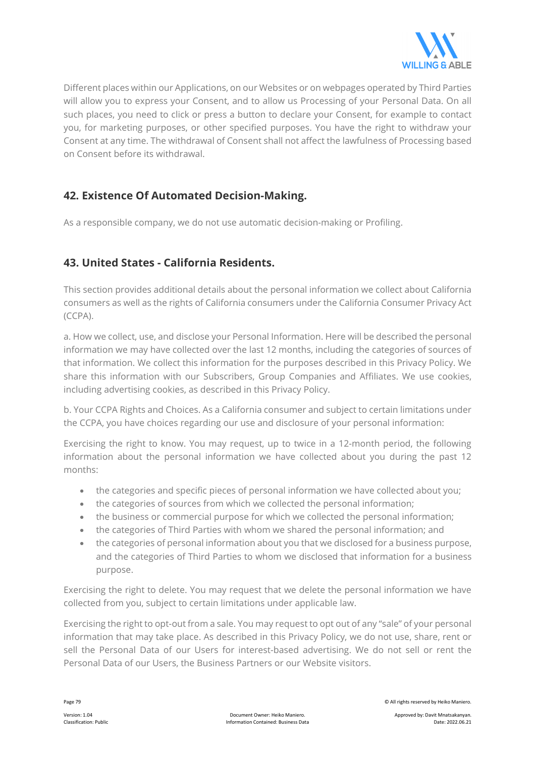

Different places within our Applications, on our Websites or on webpages operated by Third Parties will allow you to express your Consent, and to allow us Processing of your Personal Data. On all such places, you need to click or press a button to declare your Consent, for example to contact you, for marketing purposes, or other specified purposes. You have the right to withdraw your Consent at any time. The withdrawal of Consent shall not affect the lawfulness of Processing based on Consent before its withdrawal.

## **42. Existence Of Automated Decision-Making.**

As a responsible company, we do not use automatic decision-making or Profiling.

## **43. United States - California Residents.**

This section provides additional details about the personal information we collect about California consumers as well as the rights of California consumers under the California Consumer Privacy Act (CCPA).

a. How we collect, use, and disclose your Personal Information. Here will be described the personal information we may have collected over the last 12 months, including the categories of sources of that information. We collect this information for the purposes described in this Privacy Policy. We share this information with our Subscribers, Group Companies and Affiliates. We use cookies, including advertising cookies, as described in this Privacy Policy.

b. Your CCPA Rights and Choices. As a California consumer and subject to certain limitations under the CCPA, you have choices regarding our use and disclosure of your personal information:

Exercising the right to know. You may request, up to twice in a 12-month period, the following information about the personal information we have collected about you during the past 12 months:

- the categories and specific pieces of personal information we have collected about you;
- the categories of sources from which we collected the personal information;
- the business or commercial purpose for which we collected the personal information;
- the categories of Third Parties with whom we shared the personal information; and
- the categories of personal information about you that we disclosed for a business purpose, and the categories of Third Parties to whom we disclosed that information for a business purpose.

Exercising the right to delete. You may request that we delete the personal information we have collected from you, subject to certain limitations under applicable law.

Exercising the right to opt-out from a sale. You may request to opt out of any "sale" of your personal information that may take place. As described in this Privacy Policy, we do not use, share, rent or sell the Personal Data of our Users for interest-based advertising. We do not sell or rent the Personal Data of our Users, the Business Partners or our Website visitors.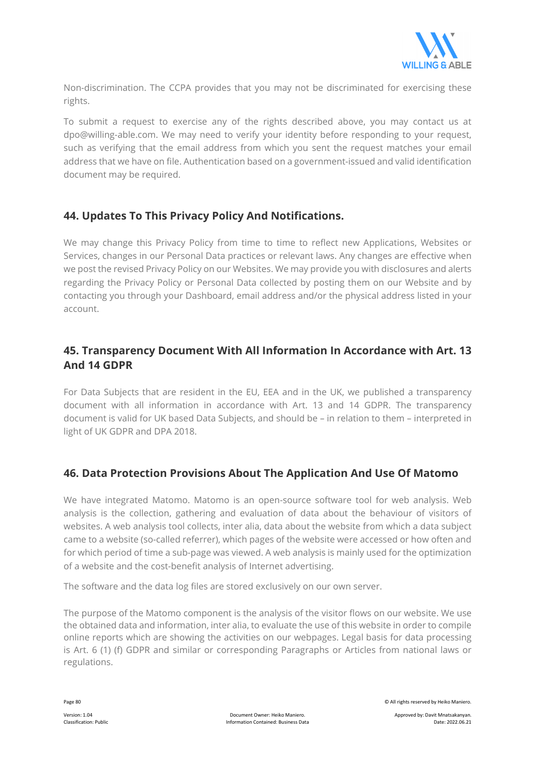

Non-discrimination. The CCPA provides that you may not be discriminated for exercising these rights.

To submit a request to exercise any of the rights described above, you may contact us at dpo@willing-able.com. We may need to verify your identity before responding to your request, such as verifying that the email address from which you sent the request matches your email address that we have on file. Authentication based on a government-issued and valid identification document may be required.

# **44. Updates To This Privacy Policy And Notifications.**

We may change this Privacy Policy from time to time to reflect new Applications, Websites or Services, changes in our Personal Data practices or relevant laws. Any changes are effective when we post the revised Privacy Policy on our Websites. We may provide you with disclosures and alerts regarding the Privacy Policy or Personal Data collected by posting them on our Website and by contacting you through your Dashboard, email address and/or the physical address listed in your account.

# **45. Transparency Document With All Information In Accordance with Art. 13 And 14 GDPR**

For Data Subjects that are resident in the EU, EEA and in the UK, we published a transparency document with all information in accordance with Art. 13 and 14 GDPR. The transparency document is valid for UK based Data Subjects, and should be – in relation to them – interpreted in light of UK GDPR and DPA 2018.

## **46. Data Protection Provisions About The Application And Use Of Matomo**

We have integrated Matomo. Matomo is an open-source software tool for web analysis. Web analysis is the collection, gathering and evaluation of data about the behaviour of visitors of websites. A web analysis tool collects, inter alia, data about the website from which a data subject came to a website (so-called referrer), which pages of the website were accessed or how often and for which period of time a sub-page was viewed. A web analysis is mainly used for the optimization of a website and the cost-benefit analysis of Internet advertising.

The software and the data log files are stored exclusively on our own server.

The purpose of the Matomo component is the analysis of the visitor flows on our website. We use the obtained data and information, inter alia, to evaluate the use of this website in order to compile online reports which are showing the activities on our webpages. Legal basis for data processing is Art. 6 (1) (f) GDPR and similar or corresponding Paragraphs or Articles from national laws or regulations.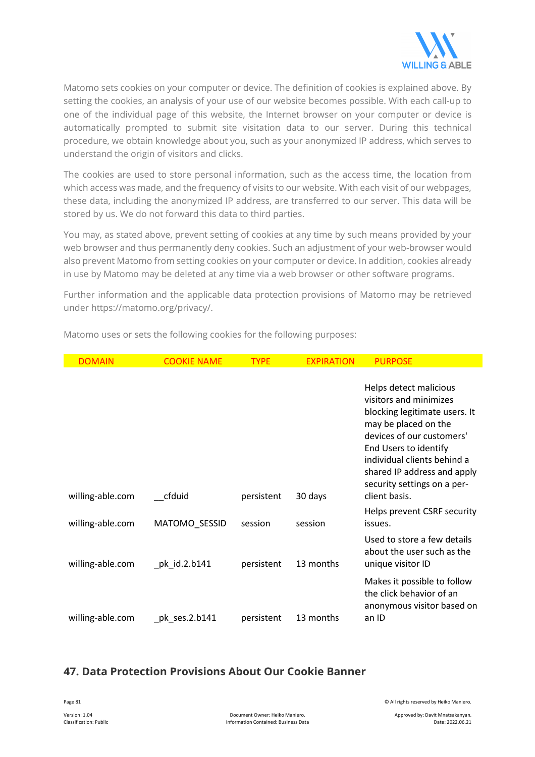

Matomo sets cookies on your computer or device. The definition of cookies is explained above. By setting the cookies, an analysis of your use of our website becomes possible. With each call-up to one of the individual page of this website, the Internet browser on your computer or device is automatically prompted to submit site visitation data to our server. During this technical procedure, we obtain knowledge about you, such as your anonymized IP address, which serves to understand the origin of visitors and clicks.

The cookies are used to store personal information, such as the access time, the location from which access was made, and the frequency of visits to our website. With each visit of our webpages, these data, including the anonymized IP address, are transferred to our server. This data will be stored by us. We do not forward this data to third parties.

You may, as stated above, prevent setting of cookies at any time by such means provided by your web browser and thus permanently deny cookies. Such an adjustment of your web-browser would also prevent Matomo from setting cookies on your computer or device. In addition, cookies already in use by Matomo may be deleted at any time via a web browser or other software programs.

Further information and the applicable data protection provisions of Matomo may be retrieved under https://matomo.org/privacy/.

| <b>DOMAIN</b>    | <b>COOKIE NAME</b> | <b>TYPE</b> | <b>EXPIRATION</b> | <b>PURPOSE</b>                                                                                                                                                                                                                                                                |
|------------------|--------------------|-------------|-------------------|-------------------------------------------------------------------------------------------------------------------------------------------------------------------------------------------------------------------------------------------------------------------------------|
| willing-able.com | cfduid             | persistent  | 30 days           | Helps detect malicious<br>visitors and minimizes<br>blocking legitimate users. It<br>may be placed on the<br>devices of our customers'<br>End Users to identify<br>individual clients behind a<br>shared IP address and apply<br>security settings on a per-<br>client basis. |
| willing-able.com | MATOMO_SESSID      | session     | session           | Helps prevent CSRF security<br>issues.                                                                                                                                                                                                                                        |
| willing-able.com | pk id.2.b141       | persistent  | 13 months         | Used to store a few details<br>about the user such as the<br>unique visitor ID                                                                                                                                                                                                |
| willing-able.com | pk ses.2.b141      | persistent  | 13 months         | Makes it possible to follow<br>the click behavior of an<br>anonymous visitor based on<br>an ID                                                                                                                                                                                |

Matomo uses or sets the following cookies for the following purposes:

# **47. Data Protection Provisions About Our Cookie Banner**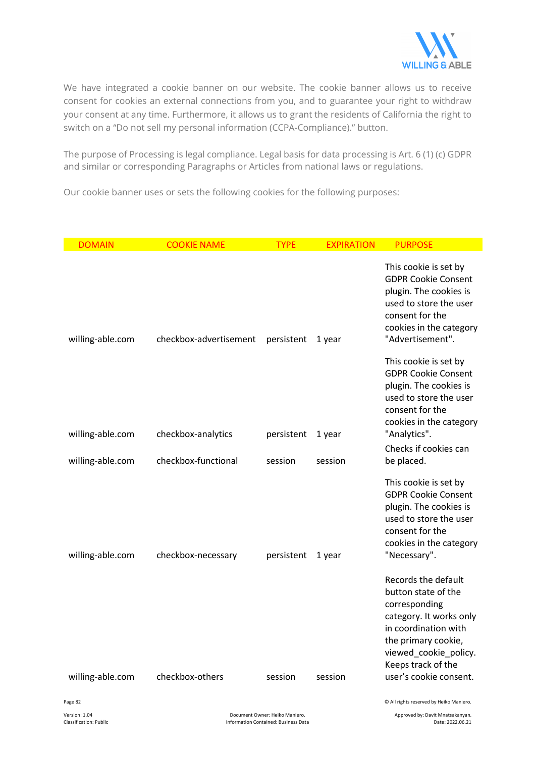

We have integrated a cookie banner on our website. The cookie banner allows us to receive consent for cookies an external connections from you, and to guarantee your right to withdraw your consent at any time. Furthermore, it allows us to grant the residents of California the right to switch on a "Do not sell my personal information (CCPA-Compliance)." button.

The purpose of Processing is legal compliance. Legal basis for data processing is Art. 6 (1) (c) GDPR and similar or corresponding Paragraphs or Articles from national laws or regulations.

Our cookie banner uses or sets the following cookies for the following purposes:

| <b>DOMAIN</b>                        | <b>COOKIE NAME</b>     | <b>TYPE</b> | <b>EXPIRATION</b> | <b>PURPOSE</b>                                                                                                                                                                                                 |
|--------------------------------------|------------------------|-------------|-------------------|----------------------------------------------------------------------------------------------------------------------------------------------------------------------------------------------------------------|
| willing-able.com                     | checkbox-advertisement | persistent  | 1 year            | This cookie is set by<br><b>GDPR Cookie Consent</b><br>plugin. The cookies is<br>used to store the user<br>consent for the<br>cookies in the category<br>"Advertisement".                                      |
| willing-able.com                     | checkbox-analytics     | persistent  | 1 year            | This cookie is set by<br><b>GDPR Cookie Consent</b><br>plugin. The cookies is<br>used to store the user<br>consent for the<br>cookies in the category<br>"Analytics".                                          |
|                                      | checkbox-functional    | session     | session           | Checks if cookies can<br>be placed.                                                                                                                                                                            |
| willing-able.com<br>willing-able.com | checkbox-necessary     | persistent  | 1 year            | This cookie is set by<br><b>GDPR Cookie Consent</b><br>plugin. The cookies is<br>used to store the user<br>consent for the<br>cookies in the category<br>"Necessary".                                          |
| willing-able.com                     | checkbox-others        | session     | session           | Records the default<br>button state of the<br>corresponding<br>category. It works only<br>in coordination with<br>the primary cookie,<br>viewed_cookie_policy.<br>Keeps track of the<br>user's cookie consent. |
| Page 82                              |                        |             |                   | © All rights reserved by Heiko Maniero.                                                                                                                                                                        |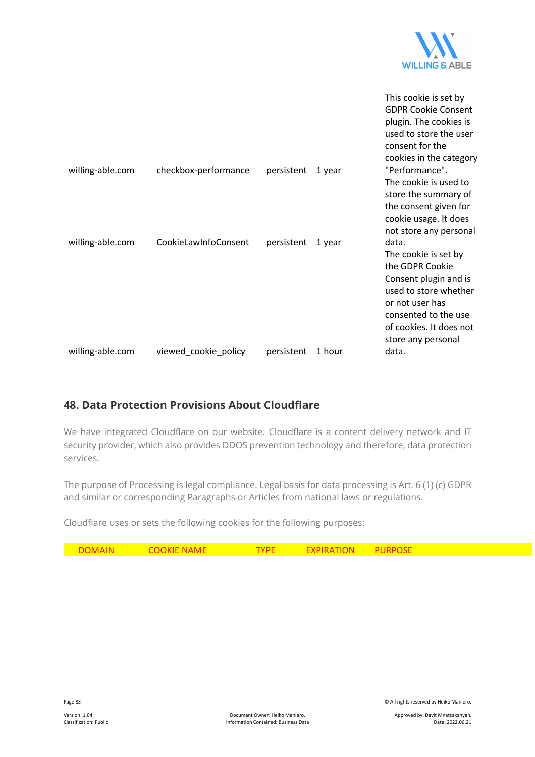

|                  |                      |            |        | This cookie is set by<br><b>GDPR Cookie Consent</b><br>plugin. The cookies is<br>used to store the user<br>consent for the<br>cookies in the category                                          |
|------------------|----------------------|------------|--------|------------------------------------------------------------------------------------------------------------------------------------------------------------------------------------------------|
| willing-able.com | checkbox-performance | persistent | 1 year | "Performance".<br>The cookie is used to<br>store the summary of<br>the consent given for<br>cookie usage. It does<br>not store any personal                                                    |
| willing-able.com | CookieLawInfoConsent | persistent | 1 year | data.<br>The cookie is set by<br>the GDPR Cookie<br>Consent plugin and is<br>used to store whether<br>or not user has<br>consented to the use<br>of cookies. It does not<br>store any personal |
| willing-able.com | viewed_cookie_policy | persistent | 1 hour | data.                                                                                                                                                                                          |

## **48. Data Protection Provisions About Cloudflare**

We have integrated Cloudflare on our website. Cloudflare is a content delivery network and IT security provider, which also provides DDOS prevention technology and therefore, data protection services.

The purpose of Processing is legal compliance. Legal basis for data processing is Art. 6 (1) (c) GDPR and similar or corresponding Paragraphs or Articles from national laws or regulations.

Cloudflare uses or sets the following cookies for the following purposes:

| <b>EXPIRATION PURPOSE</b><br><b>COOKIE NAME</b> | <b>DOMAIN</b> |  |  |  |  |  |
|-------------------------------------------------|---------------|--|--|--|--|--|
|-------------------------------------------------|---------------|--|--|--|--|--|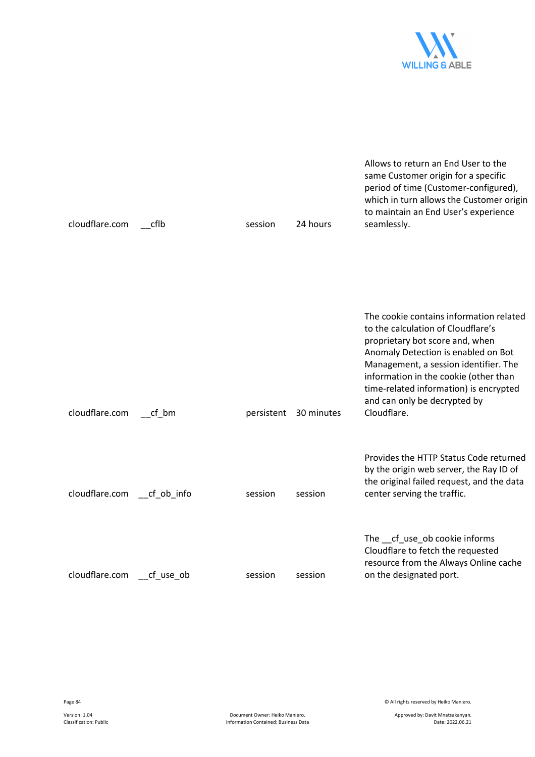

| cloudflare.com | cflb            | session    | 24 hours   | Allows to return an End User to the<br>same Customer origin for a specific<br>period of time (Customer-configured),<br>which in turn allows the Customer origin<br>to maintain an End User's experience<br>seamlessly.                                                                                                             |
|----------------|-----------------|------------|------------|------------------------------------------------------------------------------------------------------------------------------------------------------------------------------------------------------------------------------------------------------------------------------------------------------------------------------------|
| cloudflare.com | $\__$ cf $_$ bm | persistent | 30 minutes | The cookie contains information related<br>to the calculation of Cloudflare's<br>proprietary bot score and, when<br>Anomaly Detection is enabled on Bot<br>Management, a session identifier. The<br>information in the cookie (other than<br>time-related information) is encrypted<br>and can only be decrypted by<br>Cloudflare. |
| cloudflare.com | ___cf_ob_info   | session    | session    | Provides the HTTP Status Code returned<br>by the origin web server, the Ray ID of<br>the original failed request, and the data<br>center serving the traffic.                                                                                                                                                                      |
| cloudflare.com | ___cf_use_ob    | session    | session    | The _cf_use_ob cookie informs<br>Cloudflare to fetch the requested<br>resource from the Always Online cache<br>on the designated port.                                                                                                                                                                                             |

Page 84 © All rights reserved by Heiko Maniero.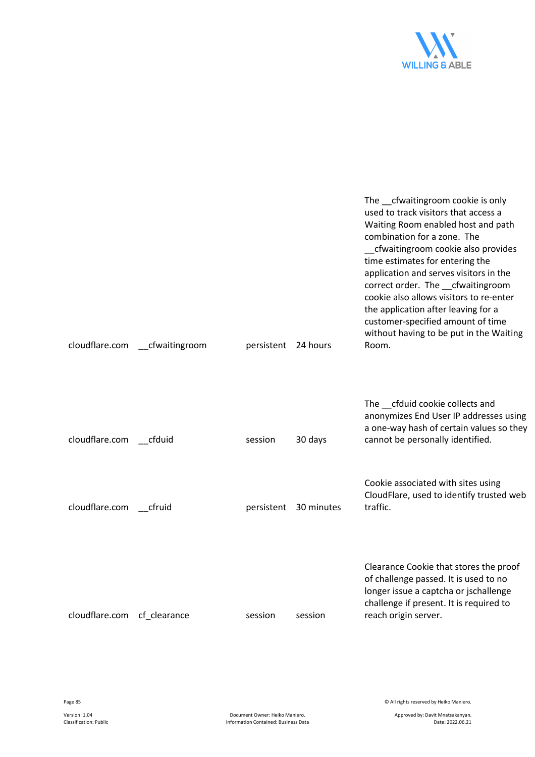

| cloudflare.com              | cfwaitingroom | persistent 24 hours |            | The __cfwaitingroom cookie is only<br>used to track visitors that access a<br>Waiting Room enabled host and path<br>combination for a zone. The<br>cfwaitingroom cookie also provides<br>time estimates for entering the<br>application and serves visitors in the<br>correct order. The __cfwaitingroom<br>cookie also allows visitors to re-enter<br>the application after leaving for a<br>customer-specified amount of time<br>without having to be put in the Waiting<br>Room. |
|-----------------------------|---------------|---------------------|------------|-------------------------------------------------------------------------------------------------------------------------------------------------------------------------------------------------------------------------------------------------------------------------------------------------------------------------------------------------------------------------------------------------------------------------------------------------------------------------------------|
| cloudflare.com              | cfduid        | session             | 30 days    | The __cfduid cookie collects and<br>anonymizes End User IP addresses using<br>a one-way hash of certain values so they<br>cannot be personally identified.                                                                                                                                                                                                                                                                                                                          |
| cloudflare.com              | cfruid        | persistent          | 30 minutes | Cookie associated with sites using<br>CloudFlare, used to identify trusted web<br>traffic.                                                                                                                                                                                                                                                                                                                                                                                          |
| cloudflare.com cf_clearance |               | session             | session    | Clearance Cookie that stores the proof<br>of challenge passed. It is used to no<br>longer issue a captcha or jschallenge<br>challenge if present. It is required to<br>reach origin server.                                                                                                                                                                                                                                                                                         |

Page 85 © All rights reserved by Heiko Maniero.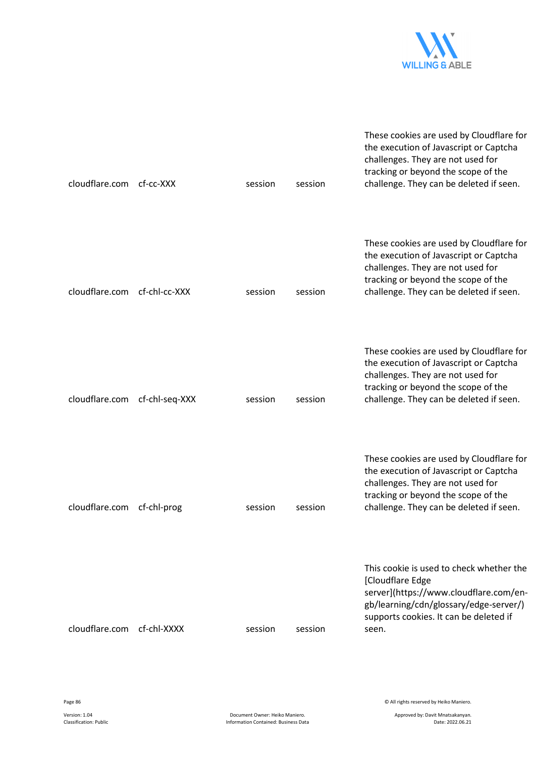

| cloudflare.com cf-cc-XXX     |                | session | session | These cookies are used by Cloudflare for<br>the execution of Javascript or Captcha<br>challenges. They are not used for<br>tracking or beyond the scope of the<br>challenge. They can be deleted if seen. |
|------------------------------|----------------|---------|---------|-----------------------------------------------------------------------------------------------------------------------------------------------------------------------------------------------------------|
| cloudflare.com cf-chl-cc-XXX |                | session | session | These cookies are used by Cloudflare for<br>the execution of Javascript or Captcha<br>challenges. They are not used for<br>tracking or beyond the scope of the<br>challenge. They can be deleted if seen. |
| cloudflare.com               | cf-chl-seq-XXX | session | session | These cookies are used by Cloudflare for<br>the execution of Javascript or Captcha<br>challenges. They are not used for<br>tracking or beyond the scope of the<br>challenge. They can be deleted if seen. |
| cloudflare.com               | cf-chl-prog    | session | session | These cookies are used by Cloudflare for<br>the execution of Javascript or Captcha<br>challenges. They are not used for<br>tracking or beyond the scope of the<br>challenge. They can be deleted if seen. |
| cloudflare.com               | cf-chl-XXXX    | session | session | This cookie is used to check whether the<br>[Cloudflare Edge<br>server](https://www.cloudflare.com/en-<br>gb/learning/cdn/glossary/edge-server/)<br>supports cookies. It can be deleted if<br>seen.       |

Page 86 © All rights reserved by Heiko Maniero.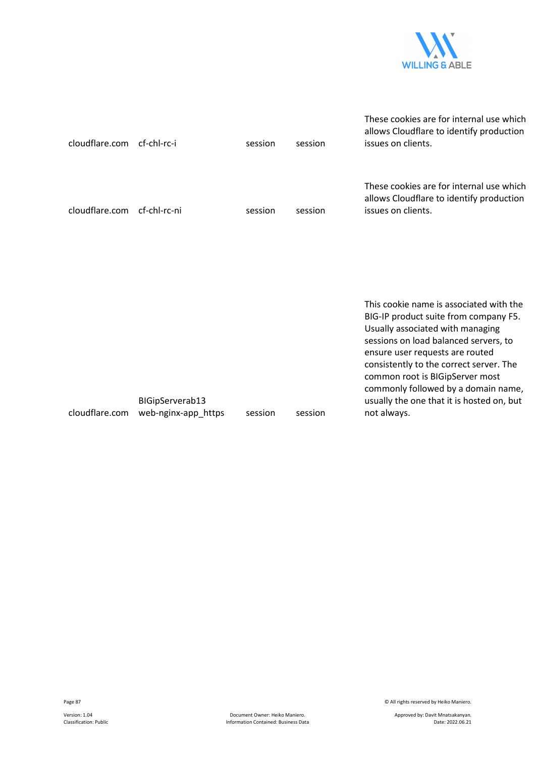

| cloudflare.com cf-chl-rc-i  |                                        | session | session | These cookies are for internal use which<br>allows Cloudflare to identify production<br>issues on clients.                                                                                                                                                                                                                                                                        |
|-----------------------------|----------------------------------------|---------|---------|-----------------------------------------------------------------------------------------------------------------------------------------------------------------------------------------------------------------------------------------------------------------------------------------------------------------------------------------------------------------------------------|
| cloudflare.com cf-chl-rc-ni |                                        | session | session | These cookies are for internal use which<br>allows Cloudflare to identify production<br>issues on clients.                                                                                                                                                                                                                                                                        |
| cloudflare.com              | BIGipServerab13<br>web-nginx-app_https | session | session | This cookie name is associated with the<br>BIG-IP product suite from company F5.<br>Usually associated with managing<br>sessions on load balanced servers, to<br>ensure user requests are routed<br>consistently to the correct server. The<br>common root is BIGipServer most<br>commonly followed by a domain name,<br>usually the one that it is hosted on, but<br>not always. |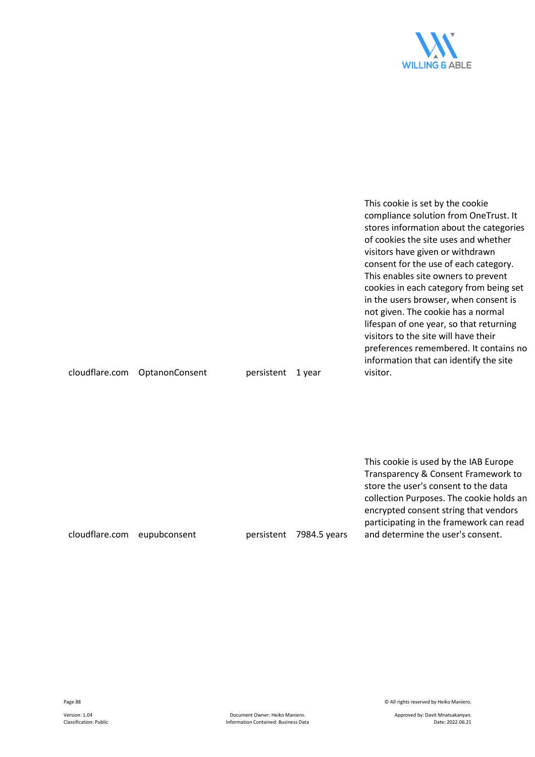

This cookie is set by the cookie compliance solution from OneTrust. It stores information about the categories of cookies the site uses and whether visitors have given or withdrawn consent for the use of each category. This enables site owners to prevent cookies in each category from being set in the users browser, when consent is not given. The cookie has a normal lifespan of one year, so that returning visitors to the site will have their preferences remembered. It contains no information that can identify the site visitor.

cloudflare.com OptanonConsent persistent 1 year

This cookie is used by the IAB Europe Transparency & Consent Framework to store the user's consent to the data collection Purposes. The cookie holds an encrypted consent string that vendors participating in the framework can read and determine the user's consent.

#### cloudflare.com eupubconsent persistent 7984.5 years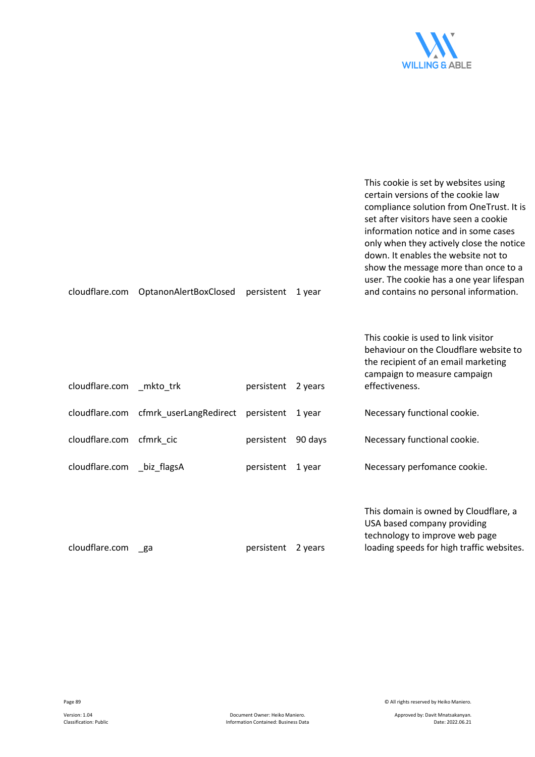

This cookie is set by websites using certain versions of the cookie law compliance solution from OneTrust. It is set after visitors have seen a cookie information notice and in some cases only when they actively close the notice down. It enables the website not to show the message more than once to a user. The cookie has a one year lifespan and contains no personal information.

| cloudflare.com | mkto trk                              | persistent        | 2 years | This cookie is used to link visitor<br>behaviour on the Cloudflare website to<br>the recipient of an email marketing<br>campaign to measure campaign<br>effectiveness. |
|----------------|---------------------------------------|-------------------|---------|------------------------------------------------------------------------------------------------------------------------------------------------------------------------|
|                | cloudflare.com cfmrk userLangRedirect | persistent 1 year |         | Necessary functional cookie.                                                                                                                                           |
| cloudflare.com | cfmrk cic                             | persistent        | 90 days | Necessary functional cookie.                                                                                                                                           |
| cloudflare.com | biz flagsA                            | persistent        | 1 year  | Necessary perfomance cookie.                                                                                                                                           |

cloudflare.com OptanonAlertBoxClosed persistent 1 year

This domain is owned by Cloudflare, a USA based company providing technology to improve web page loading speeds for high traffic websites.

cloudflare.com ga persistent 2 years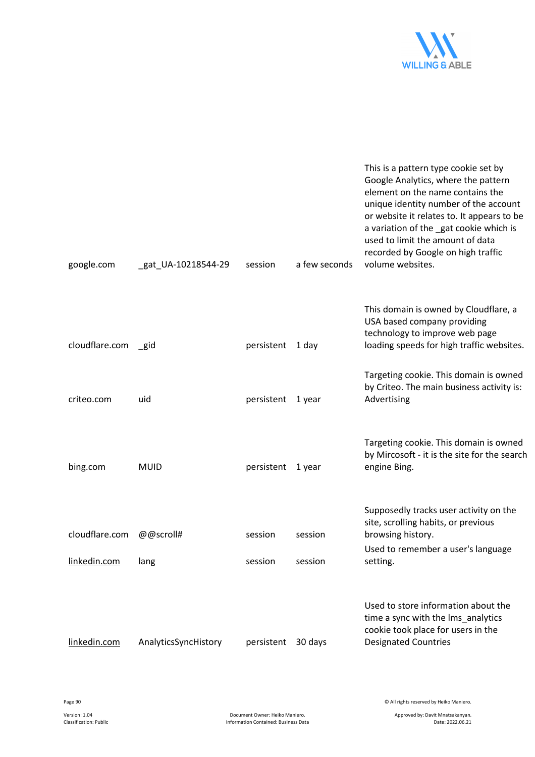

| google.com                     | gat_UA-10218544-29   | session            | a few seconds      | This is a pattern type cookie set by<br>Google Analytics, where the pattern<br>element on the name contains the<br>unique identity number of the account<br>or website it relates to. It appears to be<br>a variation of the gat cookie which is<br>used to limit the amount of data<br>recorded by Google on high traffic<br>volume websites. |
|--------------------------------|----------------------|--------------------|--------------------|------------------------------------------------------------------------------------------------------------------------------------------------------------------------------------------------------------------------------------------------------------------------------------------------------------------------------------------------|
| cloudflare.com _gid            |                      | persistent         | 1 day              | This domain is owned by Cloudflare, a<br>USA based company providing<br>technology to improve web page<br>loading speeds for high traffic websites.                                                                                                                                                                                            |
| criteo.com                     | uid                  | persistent         | 1 year             | Targeting cookie. This domain is owned<br>by Criteo. The main business activity is:<br>Advertising                                                                                                                                                                                                                                             |
| bing.com                       | <b>MUID</b>          | persistent         | 1 year             | Targeting cookie. This domain is owned<br>by Mircosoft - it is the site for the search<br>engine Bing.                                                                                                                                                                                                                                         |
| cloudflare.com<br>linkedin.com | @@scroll#<br>lang    | session<br>session | session<br>session | Supposedly tracks user activity on the<br>site, scrolling habits, or previous<br>browsing history.<br>Used to remember a user's language<br>setting.                                                                                                                                                                                           |
| linkedin.com                   | AnalyticsSyncHistory | persistent         | 30 days            | Used to store information about the<br>time a sync with the Ims_analytics<br>cookie took place for users in the<br><b>Designated Countries</b>                                                                                                                                                                                                 |

Page 90 © All rights reserved by Heiko Maniero.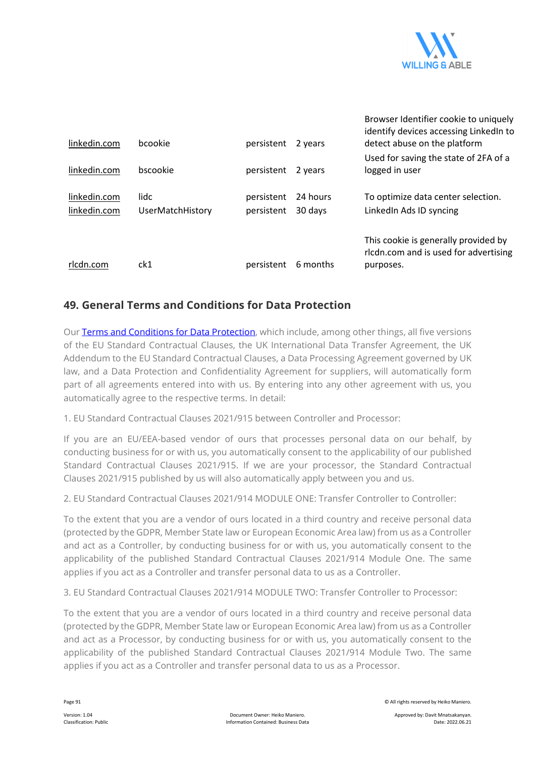

| linkedin.com                 | bcookie                         | persistent               | 2 years             | Browser Identifier cookie to uniquely<br>identify devices accessing LinkedIn to<br>detect abuse on the platform |
|------------------------------|---------------------------------|--------------------------|---------------------|-----------------------------------------------------------------------------------------------------------------|
| linkedin.com                 | bscookie                        | persistent               | 2 years             | Used for saving the state of 2FA of a<br>logged in user                                                         |
| linkedin.com<br>linkedin.com | lidc<br><b>UserMatchHistory</b> | persistent<br>persistent | 24 hours<br>30 days | To optimize data center selection.<br>LinkedIn Ads ID syncing                                                   |
| rlcdn.com                    | ck1                             | persistent               | 6 months            | This cookie is generally provided by<br>rlcdn.com and is used for advertising<br>purposes.                      |

## **49. General Terms and Conditions for Data Protection**

Our Terms and Conditions for Data Protection, which include, among other things, all five versions of the EU Standard Contractual Clauses, the UK International Data Transfer Agreement, the UK Addendum to the EU Standard Contractual Clauses, a Data Processing Agreement governed by UK law, and a Data Protection and Confidentiality Agreement for suppliers, will automatically form part of all agreements entered into with us. By entering into any other agreement with us, you automatically agree to the respective terms. In detail:

1. EU Standard Contractual Clauses 2021/915 between Controller and Processor:

If you are an EU/EEA-based vendor of ours that processes personal data on our behalf, by conducting business for or with us, you automatically consent to the applicability of our published Standard Contractual Clauses 2021/915. If we are your processor, the Standard Contractual Clauses 2021/915 published by us will also automatically apply between you and us.

2. EU Standard Contractual Clauses 2021/914 MODULE ONE: Transfer Controller to Controller:

To the extent that you are a vendor of ours located in a third country and receive personal data (protected by the GDPR, Member State law or European Economic Area law) from us as a Controller and act as a Controller, by conducting business for or with us, you automatically consent to the applicability of the published Standard Contractual Clauses 2021/914 Module One. The same applies if you act as a Controller and transfer personal data to us as a Controller.

3. EU Standard Contractual Clauses 2021/914 MODULE TWO: Transfer Controller to Processor:

To the extent that you are a vendor of ours located in a third country and receive personal data (protected by the GDPR, Member State law or European Economic Area law) from us as a Controller and act as a Processor, by conducting business for or with us, you automatically consent to the applicability of the published Standard Contractual Clauses 2021/914 Module Two. The same applies if you act as a Controller and transfer personal data to us as a Processor.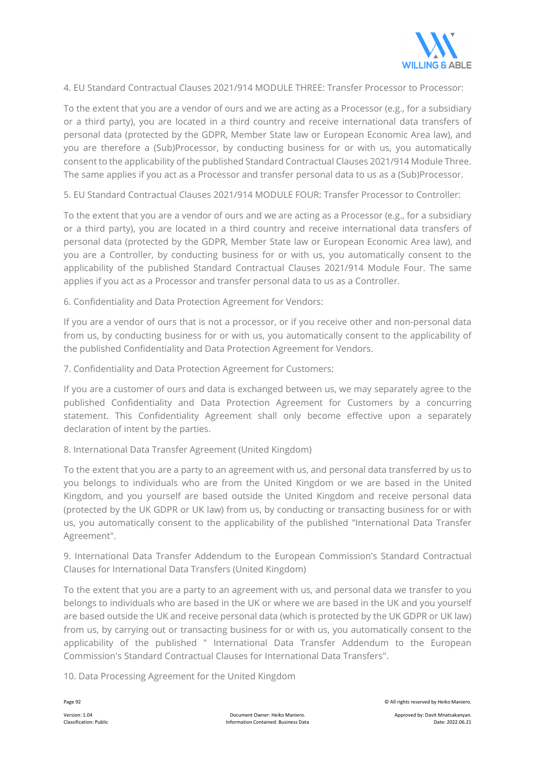

4. EU Standard Contractual Clauses 2021/914 MODULE THREE: Transfer Processor to Processor:

To the extent that you are a vendor of ours and we are acting as a Processor (e.g., for a subsidiary or a third party), you are located in a third country and receive international data transfers of personal data (protected by the GDPR, Member State law or European Economic Area law), and you are therefore a (Sub)Processor, by conducting business for or with us, you automatically consent to the applicability of the published Standard Contractual Clauses 2021/914 Module Three. The same applies if you act as a Processor and transfer personal data to us as a (Sub)Processor.

5. EU Standard Contractual Clauses 2021/914 MODULE FOUR: Transfer Processor to Controller:

To the extent that you are a vendor of ours and we are acting as a Processor (e.g., for a subsidiary or a third party), you are located in a third country and receive international data transfers of personal data (protected by the GDPR, Member State law or European Economic Area law), and you are a Controller, by conducting business for or with us, you automatically consent to the applicability of the published Standard Contractual Clauses 2021/914 Module Four. The same applies if you act as a Processor and transfer personal data to us as a Controller.

6. Confidentiality and Data Protection Agreement for Vendors:

If you are a vendor of ours that is not a processor, or if you receive other and non-personal data from us, by conducting business for or with us, you automatically consent to the applicability of the published Confidentiality and Data Protection Agreement for Vendors.

7. Confidentiality and Data Protection Agreement for Customers:

If you are a customer of ours and data is exchanged between us, we may separately agree to the published Confidentiality and Data Protection Agreement for Customers by a concurring statement. This Confidentiality Agreement shall only become effective upon a separately declaration of intent by the parties.

8. International Data Transfer Agreement (United Kingdom)

To the extent that you are a party to an agreement with us, and personal data transferred by us to you belongs to individuals who are from the United Kingdom or we are based in the United Kingdom, and you yourself are based outside the United Kingdom and receive personal data (protected by the UK GDPR or UK law) from us, by conducting or transacting business for or with us, you automatically consent to the applicability of the published "International Data Transfer Agreement".

9. International Data Transfer Addendum to the European Commission's Standard Contractual Clauses for International Data Transfers (United Kingdom)

To the extent that you are a party to an agreement with us, and personal data we transfer to you belongs to individuals who are based in the UK or where we are based in the UK and you yourself are based outside the UK and receive personal data (which is protected by the UK GDPR or UK law) from us, by carrying out or transacting business for or with us, you automatically consent to the applicability of the published " International Data Transfer Addendum to the European Commission's Standard Contractual Clauses for International Data Transfers".

10. Data Processing Agreement for the United Kingdom